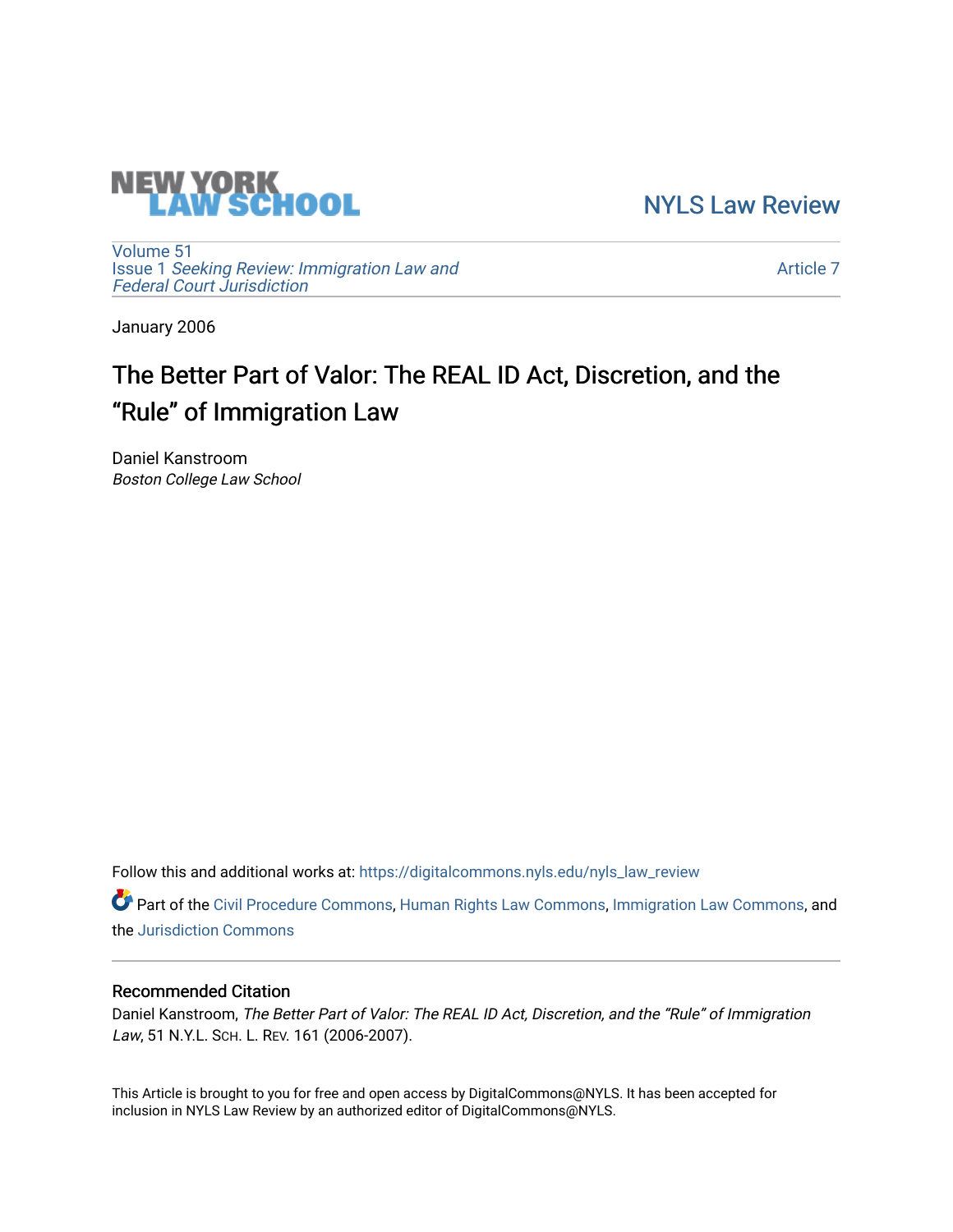

[NYLS Law Review](https://digitalcommons.nyls.edu/nyls_law_review) 

[Volume 51](https://digitalcommons.nyls.edu/nyls_law_review/vol51) Issue 1 [Seeking Review: Immigration Law and](https://digitalcommons.nyls.edu/nyls_law_review/vol51/iss1) [Federal Court Jurisdiction](https://digitalcommons.nyls.edu/nyls_law_review/vol51/iss1) 

[Article 7](https://digitalcommons.nyls.edu/nyls_law_review/vol51/iss1/7) 

January 2006

# The Better Part of Valor: The REAL ID Act, Discretion, and the "Rule" of Immigration Law

Daniel Kanstroom Boston College Law School

Follow this and additional works at: [https://digitalcommons.nyls.edu/nyls\\_law\\_review](https://digitalcommons.nyls.edu/nyls_law_review?utm_source=digitalcommons.nyls.edu%2Fnyls_law_review%2Fvol51%2Fiss1%2F7&utm_medium=PDF&utm_campaign=PDFCoverPages) 

Part of the [Civil Procedure Commons,](https://network.bepress.com/hgg/discipline/584?utm_source=digitalcommons.nyls.edu%2Fnyls_law_review%2Fvol51%2Fiss1%2F7&utm_medium=PDF&utm_campaign=PDFCoverPages) [Human Rights Law Commons](https://network.bepress.com/hgg/discipline/847?utm_source=digitalcommons.nyls.edu%2Fnyls_law_review%2Fvol51%2Fiss1%2F7&utm_medium=PDF&utm_campaign=PDFCoverPages), [Immigration Law Commons,](https://network.bepress.com/hgg/discipline/604?utm_source=digitalcommons.nyls.edu%2Fnyls_law_review%2Fvol51%2Fiss1%2F7&utm_medium=PDF&utm_campaign=PDFCoverPages) and the [Jurisdiction Commons](https://network.bepress.com/hgg/discipline/850?utm_source=digitalcommons.nyls.edu%2Fnyls_law_review%2Fvol51%2Fiss1%2F7&utm_medium=PDF&utm_campaign=PDFCoverPages)

# Recommended Citation

Daniel Kanstroom, The Better Part of Valor: The REAL ID Act, Discretion, and the "Rule" of Immigration Law, 51 N.Y.L. SCH. L. REV. 161 (2006-2007).

This Article is brought to you for free and open access by DigitalCommons@NYLS. It has been accepted for inclusion in NYLS Law Review by an authorized editor of DigitalCommons@NYLS.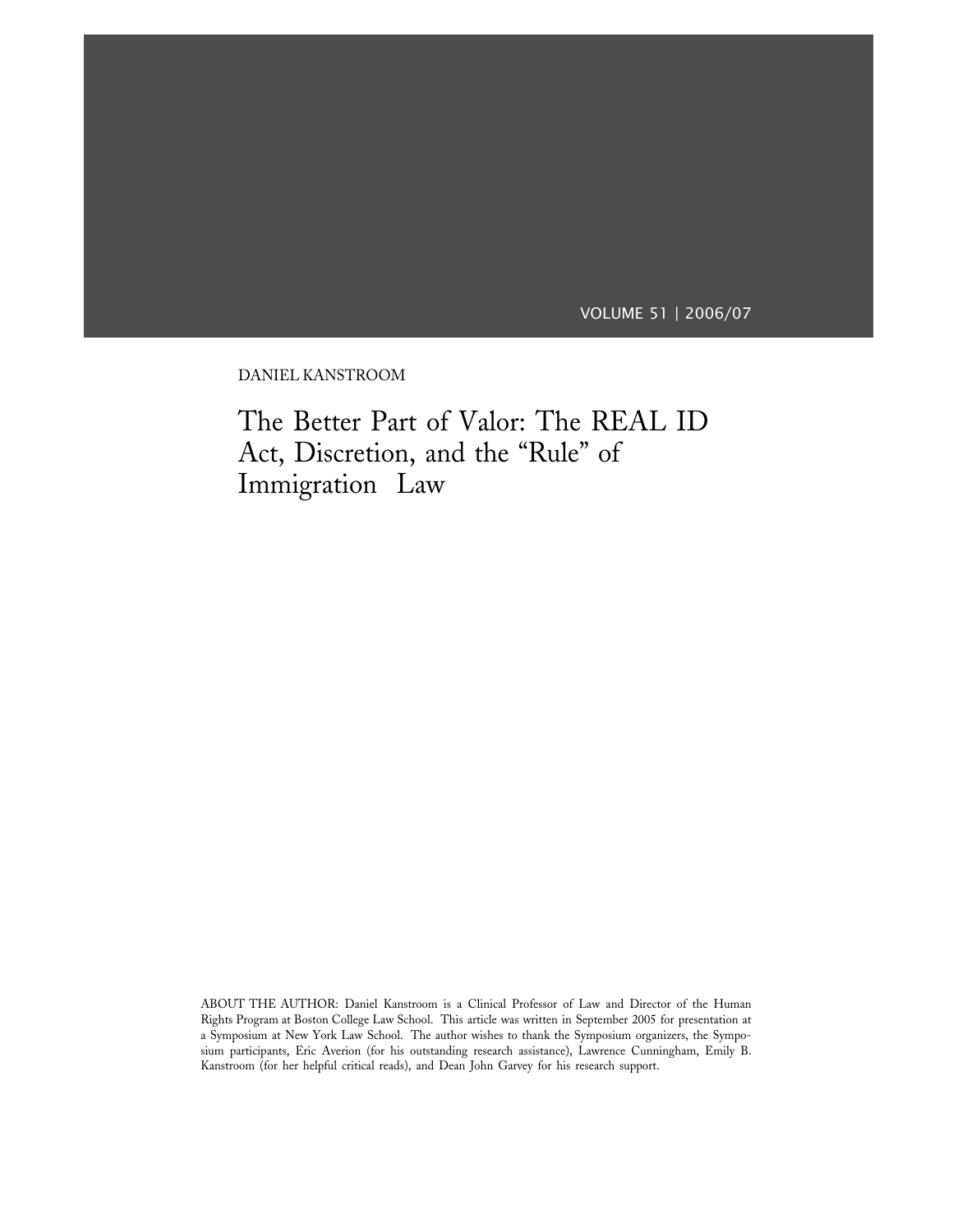VOLUME 51 | 2006/07

DANIEL KANSTROOM

The Better Part of Valor: The REAL ID Act, Discretion, and the "Rule" of Immigration Law

ABOUT THE AUTHOR: Daniel Kanstroom is a Clinical Professor of Law and Director of the Human Rights Program at Boston College Law School. This article was written in September 2005 for presentation at a Symposium at New York Law School. The author wishes to thank the Symposium organizers, the Symposium participants, Eric Averion (for his outstanding research assistance), Lawrence Cunningham, Emily B. Kanstroom (for her helpful critical reads), and Dean John Garvey for his research support.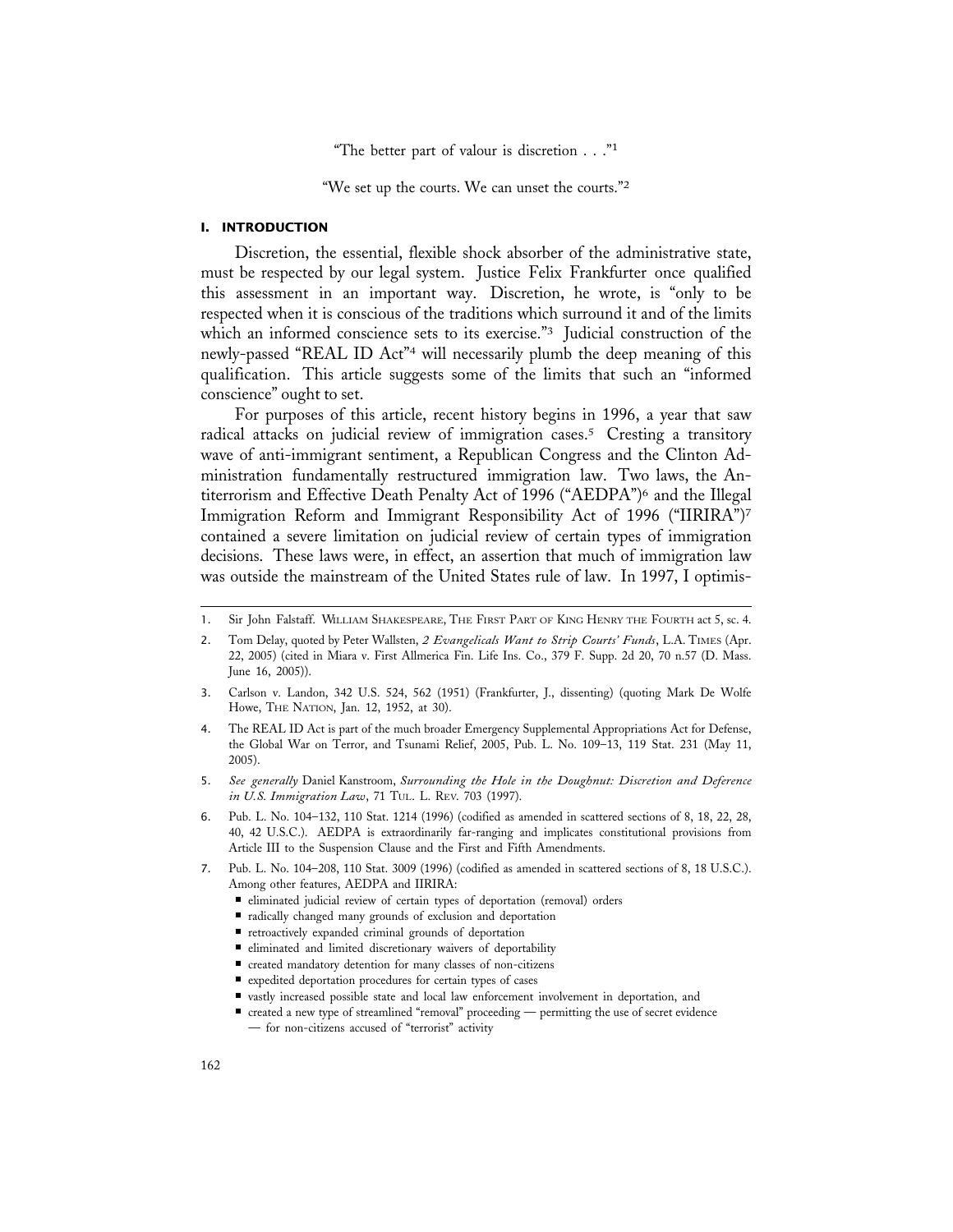"The better part of valour is discretion  $\ldots$ ."<sup>1</sup>

"We set up the courts. We can unset the courts."<sup>2</sup>

### **I. INTRODUCTION**

Discretion, the essential, flexible shock absorber of the administrative state, must be respected by our legal system. Justice Felix Frankfurter once qualified this assessment in an important way. Discretion, he wrote, is "only to be respected when it is conscious of the traditions which surround it and of the limits which an informed conscience sets to its exercise."<sup>3</sup> Judicial construction of the newly-passed "REAL ID Act"4 will necessarily plumb the deep meaning of this qualification. This article suggests some of the limits that such an "informed conscience" ought to set.

For purposes of this article, recent history begins in 1996, a year that saw radical attacks on judicial review of immigration cases.5 Cresting a transitory wave of anti-immigrant sentiment, a Republican Congress and the Clinton Administration fundamentally restructured immigration law. Two laws, the Antiterrorism and Effective Death Penalty Act of 1996 ("AEDPA")6 and the Illegal Immigration Reform and Immigrant Responsibility Act of 1996 ("IIRIRA")7 contained a severe limitation on judicial review of certain types of immigration decisions. These laws were, in effect, an assertion that much of immigration law was outside the mainstream of the United States rule of law. In 1997, I optimis-

- 5. *See generally* Daniel Kanstroom, *Surrounding the Hole in the Doughnut: Discretion and Deference in U.S. Immigration Law*, 71 TUL. L. REV. 703 (1997).
- 6. Pub. L. No. 104–132, 110 Stat. 1214 (1996) (codified as amended in scattered sections of 8, 18, 22, 28, 40, 42 U.S.C.). AEDPA is extraordinarily far-ranging and implicates constitutional provisions from Article III to the Suspension Clause and the First and Fifth Amendments.
- 7. Pub. L. No. 104–208, 110 Stat. 3009 (1996) (codified as amended in scattered sections of 8, 18 U.S.C.). Among other features, AEDPA and IIRIRA:
	- eliminated judicial review of certain types of deportation (removal) orders
	- radically changed many grounds of exclusion and deportation
	- retroactively expanded criminal grounds of deportation
	- eliminated and limited discretionary waivers of deportability
	- created mandatory detention for many classes of non-citizens
	- expedited deportation procedures for certain types of cases
	- vastly increased possible state and local law enforcement involvement in deportation, and

<sup>1.</sup> Sir John Falstaff. WILLIAM SHAKESPEARE, THE FIRST PART OF KING HENRY THE FOURTH act 5, sc. 4.

<sup>2.</sup> Tom Delay, quoted by Peter Wallsten, *2 Evangelicals Want to Strip Courts' Funds*, L.A. TIMES (Apr. 22, 2005) (cited in Miara v. First Allmerica Fin. Life Ins. Co., 379 F. Supp. 2d 20, 70 n.57 (D. Mass. June 16, 2005)).

<sup>3.</sup> Carlson v. Landon, 342 U.S. 524, 562 (1951) (Frankfurter, J., dissenting) (quoting Mark De Wolfe Howe, THE NATION, Jan. 12, 1952, at 30).

<sup>4.</sup> The REAL ID Act is part of the much broader Emergency Supplemental Appropriations Act for Defense, the Global War on Terror, and Tsunami Relief, 2005, Pub. L. No. 109–13, 119 Stat. 231 (May 11, 2005).

<sup>■</sup> created a new type of streamlined "removal" proceeding — permitting the use of secret evidence — for non-citizens accused of "terrorist" activity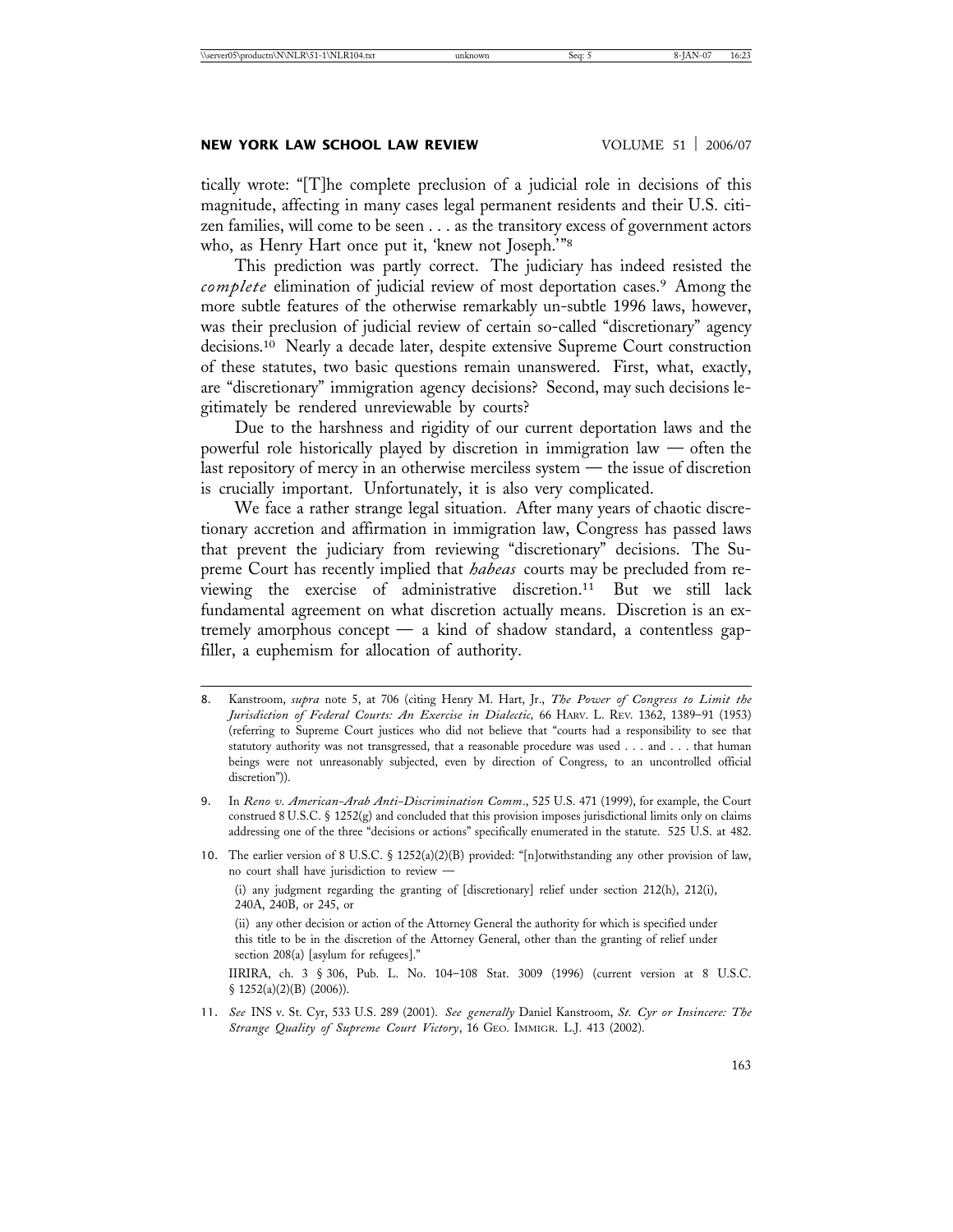tically wrote: "[T]he complete preclusion of a judicial role in decisions of this magnitude, affecting in many cases legal permanent residents and their U.S. citizen families, will come to be seen . . . as the transitory excess of government actors who, as Henry Hart once put it, 'knew not Joseph.'"8

This prediction was partly correct. The judiciary has indeed resisted the *complete* elimination of judicial review of most deportation cases.9 Among the more subtle features of the otherwise remarkably un-subtle 1996 laws, however, was their preclusion of judicial review of certain so-called "discretionary" agency decisions.10 Nearly a decade later, despite extensive Supreme Court construction of these statutes, two basic questions remain unanswered. First, what, exactly, are "discretionary" immigration agency decisions? Second, may such decisions legitimately be rendered unreviewable by courts?

Due to the harshness and rigidity of our current deportation laws and the powerful role historically played by discretion in immigration law — often the last repository of mercy in an otherwise merciless system — the issue of discretion is crucially important. Unfortunately, it is also very complicated.

We face a rather strange legal situation. After many years of chaotic discretionary accretion and affirmation in immigration law, Congress has passed laws that prevent the judiciary from reviewing "discretionary" decisions. The Supreme Court has recently implied that *habeas* courts may be precluded from reviewing the exercise of administrative discretion.11 But we still lack fundamental agreement on what discretion actually means. Discretion is an extremely amorphous concept — a kind of shadow standard, a contentless gapfiller, a euphemism for allocation of authority.

- 8. Kanstroom, *supra* note 5, at 706 (citing Henry M. Hart, Jr., *The Power of Congress to Limit the Jurisdiction of Federal Courts: An Exercise in Dialectic,* 66 HARV. L. REV. 1362, 1389–91 (1953) (referring to Supreme Court justices who did not believe that "courts had a responsibility to see that statutory authority was not transgressed, that a reasonable procedure was used . . . and . . . that human beings were not unreasonably subjected, even by direction of Congress, to an uncontrolled official discretion")).
- 9. In *Reno v. American-Arab Anti-Discrimination Comm*., 525 U.S. 471 (1999), for example, the Court construed 8 U.S.C. § 1252(g) and concluded that this provision imposes jurisdictional limits only on claims addressing one of the three "decisions or actions" specifically enumerated in the statute. 525 U.S. at 482.
- 10. The earlier version of 8 U.S.C. § 1252(a)(2)(B) provided: "[n]otwithstanding any other provision of law, no court shall have jurisdiction to review —

(i) any judgment regarding the granting of [discretionary] relief under section 212(h), 212(i), 240A, 240B, or 245, or

(ii) any other decision or action of the Attorney General the authority for which is specified under this title to be in the discretion of the Attorney General, other than the granting of relief under section 208(a) [asylum for refugees]."

IIRIRA, ch. 3 § 306, Pub. L. No. 104–108 Stat. 3009 (1996) (current version at 8 U.S.C. § 1252(a)(2)(B) (2006)).

11. *See* INS v. St. Cyr, 533 U.S. 289 (2001). *See generally* Daniel Kanstroom, *St. Cyr or Insincere: The Strange Quality of Supreme Court Victory*, 16 GEO. IMMIGR. L.J. 413 (2002).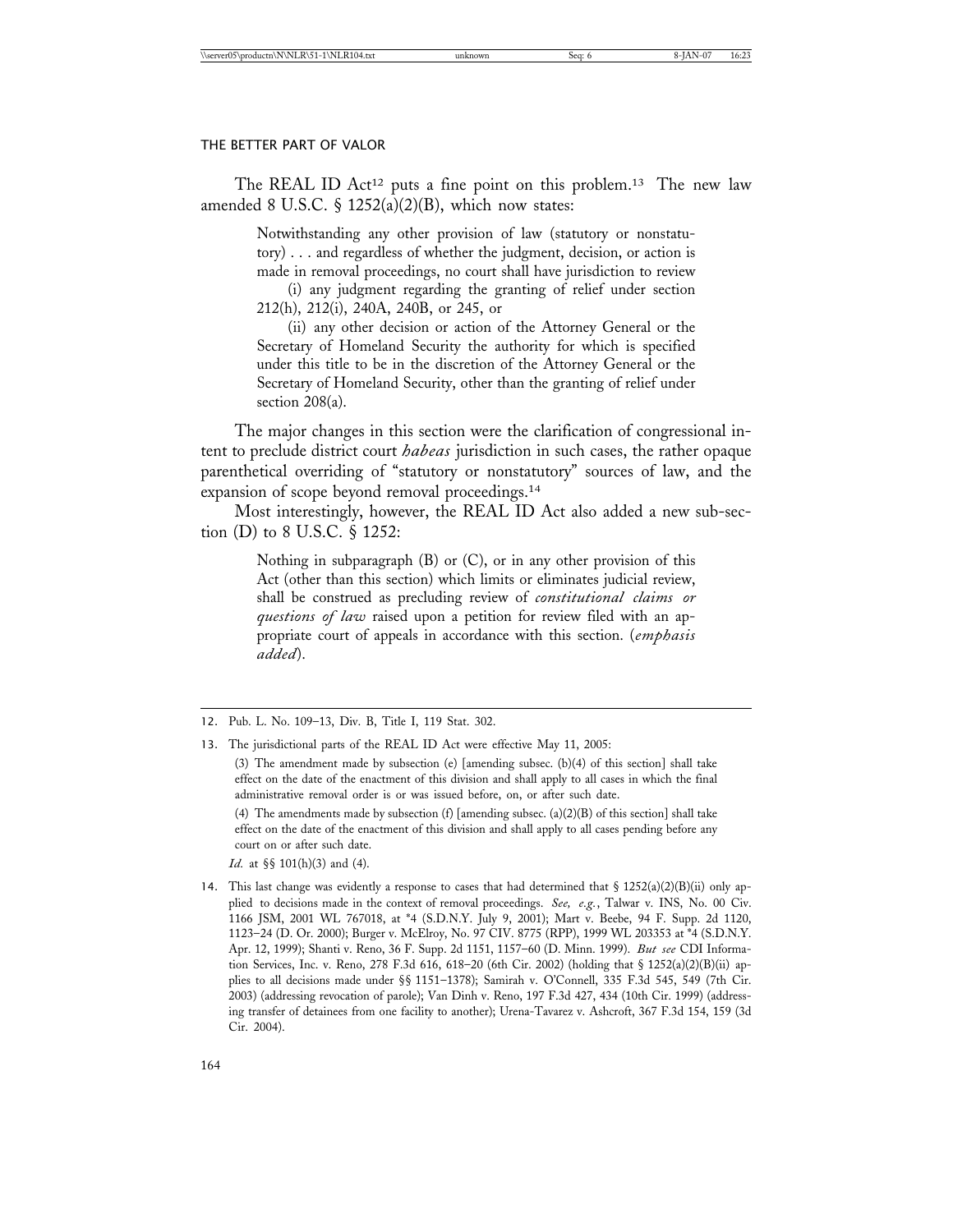The REAL ID Act<sup>12</sup> puts a fine point on this problem.<sup>13</sup> The new law amended 8 U.S.C.  $\frac{1}{2}$  1252(a)(2)(B), which now states:

> Notwithstanding any other provision of law (statutory or nonstatutory) . . . and regardless of whether the judgment, decision, or action is made in removal proceedings, no court shall have jurisdiction to review

> (i) any judgment regarding the granting of relief under section 212(h), 212(i), 240A, 240B, or 245, or

> (ii) any other decision or action of the Attorney General or the Secretary of Homeland Security the authority for which is specified under this title to be in the discretion of the Attorney General or the Secretary of Homeland Security, other than the granting of relief under section 208(a).

The major changes in this section were the clarification of congressional intent to preclude district court *habeas* jurisdiction in such cases, the rather opaque parenthetical overriding of "statutory or nonstatutory" sources of law, and the expansion of scope beyond removal proceedings.14

Most interestingly, however, the REAL ID Act also added a new sub-section (D) to 8 U.S.C. § 1252:

> Nothing in subparagraph (B) or (C), or in any other provision of this Act (other than this section) which limits or eliminates judicial review, shall be construed as precluding review of *constitutional claims or questions of law* raised upon a petition for review filed with an appropriate court of appeals in accordance with this section. (*emphasis added*).

(4) The amendments made by subsection (f) [amending subsec. (a)(2)(B) of this section] shall take effect on the date of the enactment of this division and shall apply to all cases pending before any court on or after such date.

*Id.* at §§ 101(h)(3) and (4).

14. This last change was evidently a response to cases that had determined that  $\S$  1252(a)(2)(B)(ii) only applied to decisions made in the context of removal proceedings. *See, e.g.*, Talwar v. INS, No. 00 Civ. 1166 JSM, 2001 WL 767018, at \*4 (S.D.N.Y. July 9, 2001); Mart v. Beebe, 94 F. Supp. 2d 1120, 1123–24 (D. Or. 2000); Burger v. McElroy, No. 97 CIV. 8775 (RPP), 1999 WL 203353 at \*4 (S.D.N.Y. Apr. 12, 1999); Shanti v. Reno, 36 F. Supp. 2d 1151, 1157–60 (D. Minn. 1999). *But see* CDI Information Services, Inc. v. Reno, 278 F.3d 616, 618–20 (6th Cir. 2002) (holding that  $\S$  1252(a)(2)(B)(ii) applies to all decisions made under §§ 1151–1378); Samirah v. O'Connell, 335 F.3d 545, 549 (7th Cir. 2003) (addressing revocation of parole); Van Dinh v. Reno, 197 F.3d 427, 434 (10th Cir. 1999) (addressing transfer of detainees from one facility to another); Urena-Tavarez v. Ashcroft, 367 F.3d 154, 159 (3d Cir. 2004).

<sup>12.</sup> Pub. L. No. 109–13, Div. B, Title I, 119 Stat. 302.

<sup>13.</sup> The jurisdictional parts of the REAL ID Act were effective May 11, 2005:

<sup>(3)</sup> The amendment made by subsection (e) [amending subsec. (b)(4) of this section] shall take effect on the date of the enactment of this division and shall apply to all cases in which the final administrative removal order is or was issued before, on, or after such date.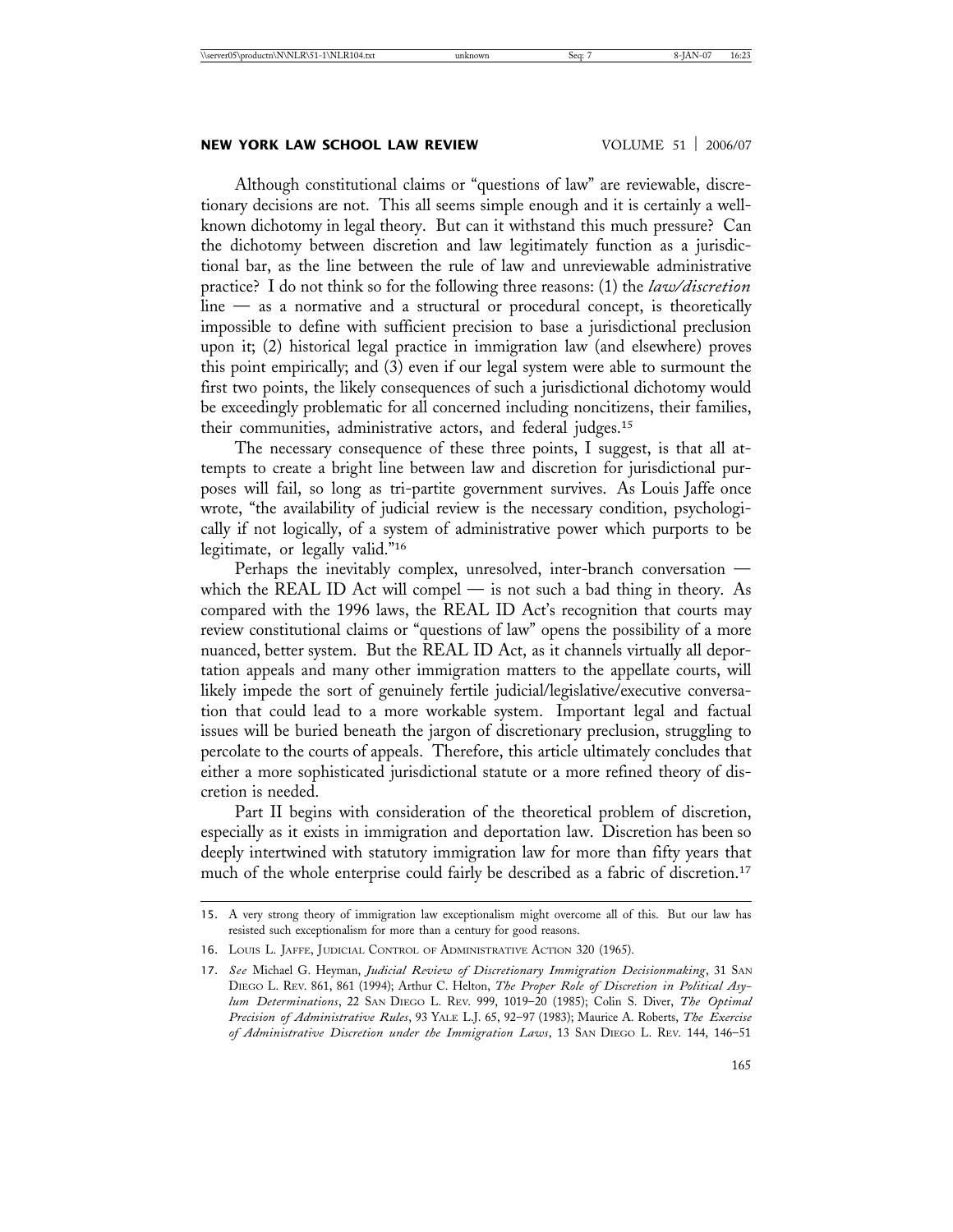# **NEW YORK LAW SCHOOL LAW REVIEW VOLUME 51 | 2006/07**

Although constitutional claims or "questions of law" are reviewable, discretionary decisions are not. This all seems simple enough and it is certainly a wellknown dichotomy in legal theory. But can it withstand this much pressure? Can the dichotomy between discretion and law legitimately function as a jurisdictional bar, as the line between the rule of law and unreviewable administrative practice? I do not think so for the following three reasons: (1) the *law/discretion* line — as a normative and a structural or procedural concept, is theoretically impossible to define with sufficient precision to base a jurisdictional preclusion upon it; (2) historical legal practice in immigration law (and elsewhere) proves this point empirically; and (3) even if our legal system were able to surmount the first two points, the likely consequences of such a jurisdictional dichotomy would be exceedingly problematic for all concerned including noncitizens, their families, their communities, administrative actors, and federal judges.15

The necessary consequence of these three points, I suggest, is that all attempts to create a bright line between law and discretion for jurisdictional purposes will fail, so long as tri-partite government survives. As Louis Jaffe once wrote, "the availability of judicial review is the necessary condition, psychologically if not logically, of a system of administrative power which purports to be legitimate, or legally valid."16

Perhaps the inevitably complex, unresolved, inter-branch conversation which the REAL ID Act will compel — is not such a bad thing in theory. As compared with the 1996 laws, the REAL ID Act's recognition that courts may review constitutional claims or "questions of law" opens the possibility of a more nuanced, better system. But the REAL ID Act, as it channels virtually all deportation appeals and many other immigration matters to the appellate courts, will likely impede the sort of genuinely fertile judicial/legislative/executive conversation that could lead to a more workable system. Important legal and factual issues will be buried beneath the jargon of discretionary preclusion, struggling to percolate to the courts of appeals. Therefore, this article ultimately concludes that either a more sophisticated jurisdictional statute or a more refined theory of discretion is needed.

Part II begins with consideration of the theoretical problem of discretion, especially as it exists in immigration and deportation law. Discretion has been so deeply intertwined with statutory immigration law for more than fifty years that much of the whole enterprise could fairly be described as a fabric of discretion.17

<sup>15.</sup> A very strong theory of immigration law exceptionalism might overcome all of this. But our law has resisted such exceptionalism for more than a century for good reasons.

<sup>16.</sup> LOUIS L. JAFFE, JUDICIAL CONTROL OF ADMINISTRATIVE ACTION 320 (1965).

<sup>17.</sup> *See* Michael G. Heyman, *Judicial Review of Discretionary Immigration Decisionmaking*, 31 SAN DIEGO L. REV. 861, 861 (1994); Arthur C. Helton, *The Proper Role of Discretion in Political Asylum Determinations*, 22 SAN DIEGO L. REV. 999, 1019–20 (1985); Colin S. Diver, *The Optimal Precision of Administrative Rules*, 93 YALE L.J. 65, 92–97 (1983); Maurice A. Roberts, *The Exercise of Administrative Discretion under the Immigration Laws*, 13 SAN DIEGO L. REV. 144, 146–51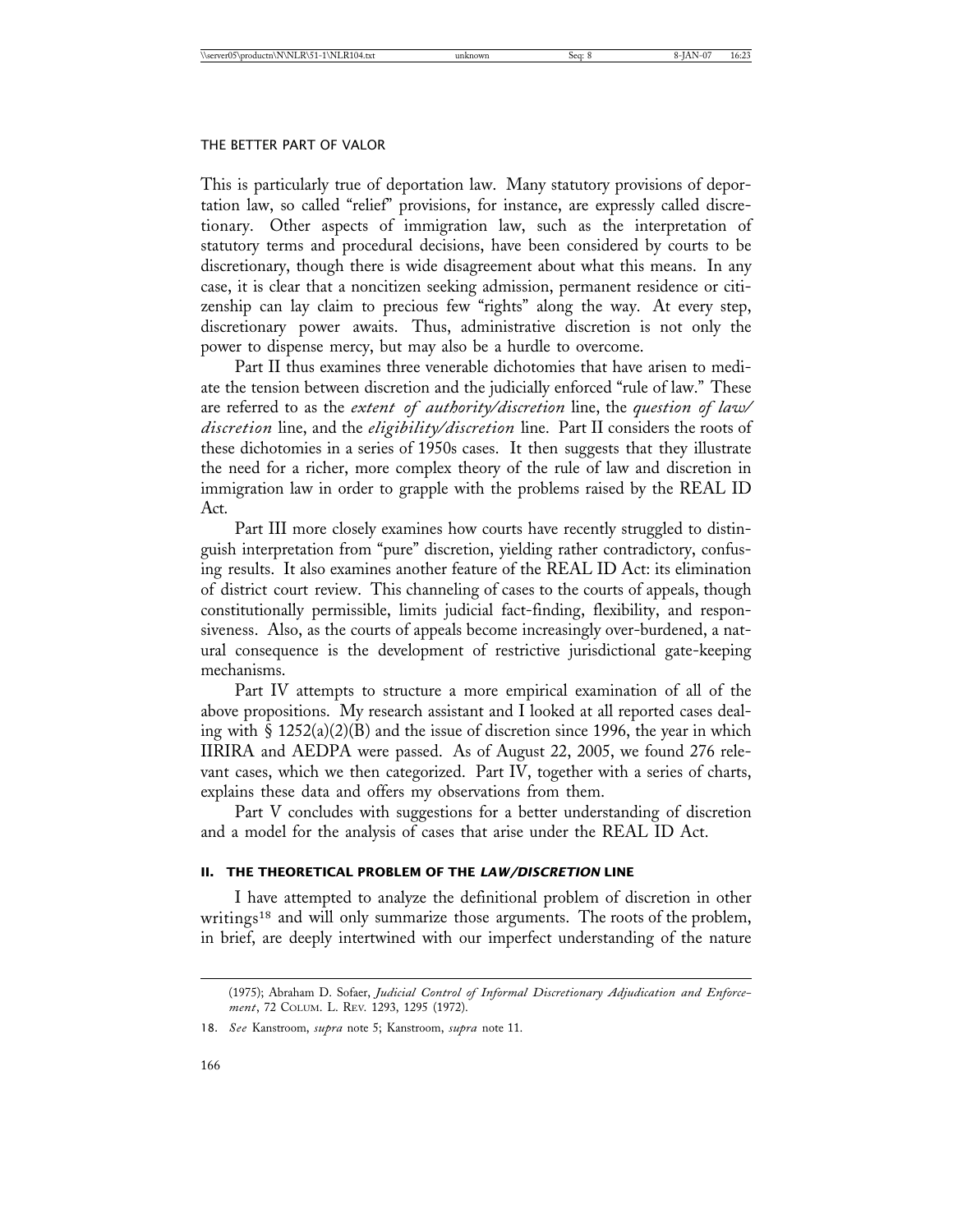This is particularly true of deportation law. Many statutory provisions of deportation law, so called "relief" provisions, for instance, are expressly called discretionary. Other aspects of immigration law, such as the interpretation of statutory terms and procedural decisions, have been considered by courts to be discretionary, though there is wide disagreement about what this means. In any case, it is clear that a noncitizen seeking admission, permanent residence or citizenship can lay claim to precious few "rights" along the way. At every step, discretionary power awaits. Thus, administrative discretion is not only the power to dispense mercy, but may also be a hurdle to overcome.

Part II thus examines three venerable dichotomies that have arisen to mediate the tension between discretion and the judicially enforced "rule of law." These are referred to as the *extent of authority/discretion* line, the *question of law/ discretion* line, and the *eligibility/discretion* line. Part II considers the roots of these dichotomies in a series of 1950s cases. It then suggests that they illustrate the need for a richer, more complex theory of the rule of law and discretion in immigration law in order to grapple with the problems raised by the REAL ID Act.

Part III more closely examines how courts have recently struggled to distinguish interpretation from "pure" discretion, yielding rather contradictory, confusing results. It also examines another feature of the REAL ID Act: its elimination of district court review. This channeling of cases to the courts of appeals, though constitutionally permissible, limits judicial fact-finding, flexibility, and responsiveness. Also, as the courts of appeals become increasingly over-burdened, a natural consequence is the development of restrictive jurisdictional gate-keeping mechanisms.

Part IV attempts to structure a more empirical examination of all of the above propositions. My research assistant and I looked at all reported cases dealing with  $\hat{S}$  1252(a)(2)(B) and the issue of discretion since 1996, the year in which IIRIRA and AEDPA were passed. As of August 22, 2005, we found 276 relevant cases, which we then categorized. Part IV, together with a series of charts, explains these data and offers my observations from them.

Part V concludes with suggestions for a better understanding of discretion and a model for the analysis of cases that arise under the REAL ID Act.

# **II. THE THEORETICAL PROBLEM OF THE** *LAW/DISCRETION* **LINE**

I have attempted to analyze the definitional problem of discretion in other writings<sup>18</sup> and will only summarize those arguments. The roots of the problem, in brief, are deeply intertwined with our imperfect understanding of the nature

<sup>(1975);</sup> Abraham D. Sofaer, *Judicial Control of Informal Discretionary Adjudication and Enforcement*, 72 COLUM. L. REV. 1293, 1295 (1972).

<sup>18.</sup> *See* Kanstroom, *supra* note 5; Kanstroom, *supra* note 11.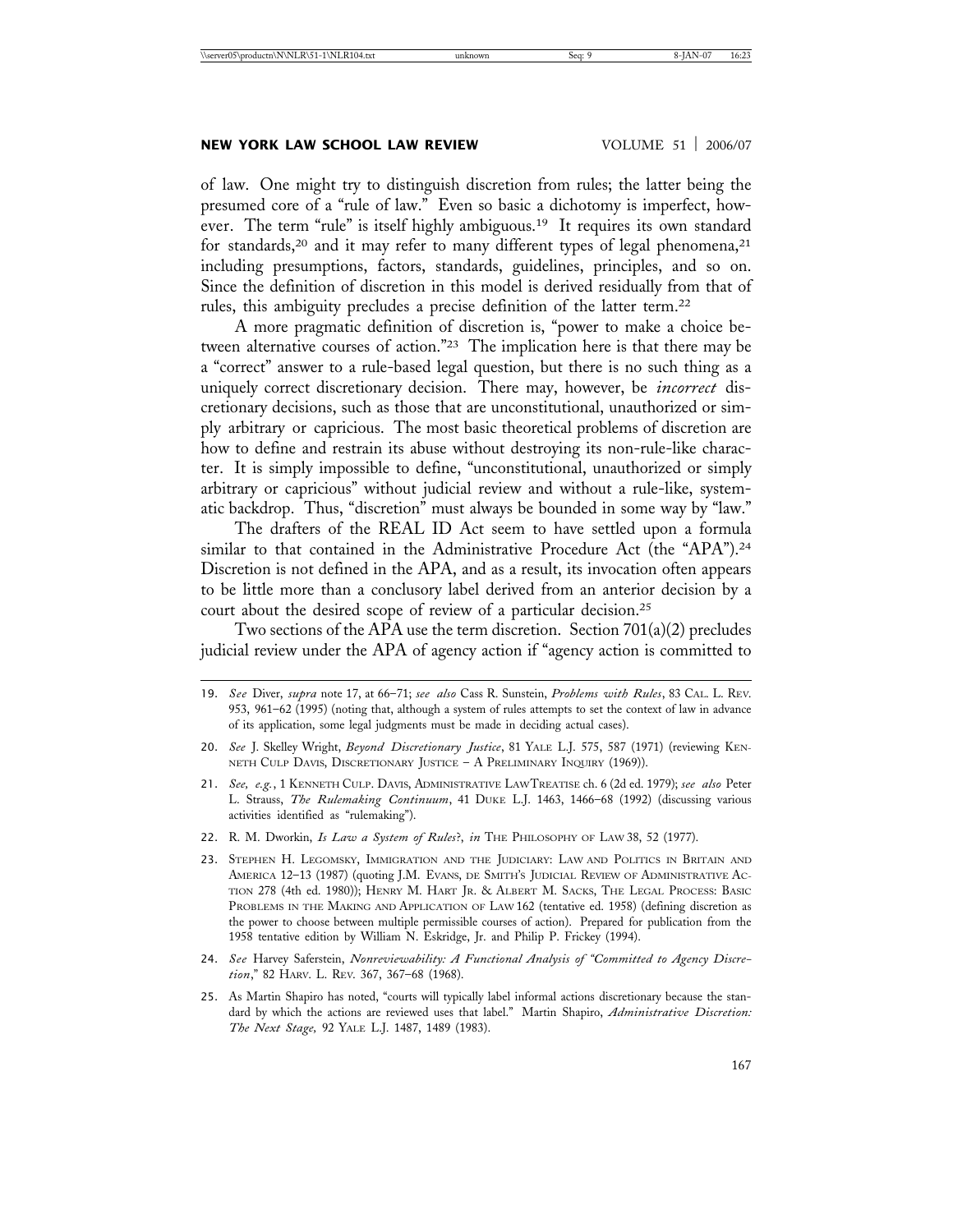# **NEW YORK LAW SCHOOL LAW REVIEW WOLUME 51 | 2006/07**

of law. One might try to distinguish discretion from rules; the latter being the presumed core of a "rule of law." Even so basic a dichotomy is imperfect, however. The term "rule" is itself highly ambiguous.<sup>19</sup> It requires its own standard for standards,<sup>20</sup> and it may refer to many different types of legal phenomena,<sup>21</sup> including presumptions, factors, standards, guidelines, principles, and so on. Since the definition of discretion in this model is derived residually from that of rules, this ambiguity precludes a precise definition of the latter term.22

A more pragmatic definition of discretion is, "power to make a choice between alternative courses of action."23 The implication here is that there may be a "correct" answer to a rule-based legal question, but there is no such thing as a uniquely correct discretionary decision. There may, however, be *incorrect* discretionary decisions, such as those that are unconstitutional, unauthorized or simply arbitrary or capricious. The most basic theoretical problems of discretion are how to define and restrain its abuse without destroying its non-rule-like character. It is simply impossible to define, "unconstitutional, unauthorized or simply arbitrary or capricious" without judicial review and without a rule-like, systematic backdrop. Thus, "discretion" must always be bounded in some way by "law."

The drafters of the REAL ID Act seem to have settled upon a formula similar to that contained in the Administrative Procedure Act (the "APA").<sup>24</sup> Discretion is not defined in the APA, and as a result, its invocation often appears to be little more than a conclusory label derived from an anterior decision by a court about the desired scope of review of a particular decision.25

Two sections of the APA use the term discretion. Section 701(a)(2) precludes judicial review under the APA of agency action if "agency action is committed to

- 21. *See, e.g.*, 1 KENNETH CULP. DAVIS, ADMINISTRATIVE LAW TREATISE ch. 6 (2d ed. 1979); *see also* Peter L. Strauss, *The Rulemaking Continuum*, 41 DUKE L.J. 1463, 1466–68 (1992) (discussing various activities identified as "rulemaking").
- 22. R. M. Dworkin, *Is Law a System of Rules*?, *in* THE PHILOSOPHY OF LAW 38, 52 (1977).
- 23. STEPHEN H. LEGOMSKY, IMMIGRATION AND THE JUDICIARY: LAW AND POLITICS IN BRITAIN AND AMERICA 12–13 (1987) (quoting J.M. EVANS, DE SMITH'S JUDICIAL REVIEW OF ADMINISTRATIVE AC-TION 278 (4th ed. 1980)); HENRY M. HART JR. & ALBERT M. SACKS, THE LEGAL PROCESS: BASIC PROBLEMS IN THE MAKING AND APPLICATION OF LAW 162 (tentative ed. 1958) (defining discretion as the power to choose between multiple permissible courses of action). Prepared for publication from the 1958 tentative edition by William N. Eskridge, Jr. and Philip P. Frickey (1994).
- 24. *See* Harvey Saferstein, *Nonreviewability: A Functional Analysis of "Committed to Agency Discretion*," 82 HARV. L. REV. 367, 367–68 (1968).
- 25. As Martin Shapiro has noted, "courts will typically label informal actions discretionary because the standard by which the actions are reviewed uses that label." Martin Shapiro, *Administrative Discretion: The Next Stage,* 92 YALE L.J. 1487, 1489 (1983).

<sup>19.</sup> *See* Diver, *supra* note 17, at 66–71; *see also* Cass R. Sunstein, *Problems with Rules*, 83 CAL. L. REV. 953, 961–62 (1995) (noting that, although a system of rules attempts to set the context of law in advance of its application, some legal judgments must be made in deciding actual cases).

<sup>20.</sup> *See* J. Skelley Wright, *Beyond Discretionary Justice*, 81 YALE L.J. 575, 587 (1971) (reviewing KEN-NETH CULP DAVIS, DISCRETIONARY JUSTICE - A PRELIMINARY INQUIRY (1969)).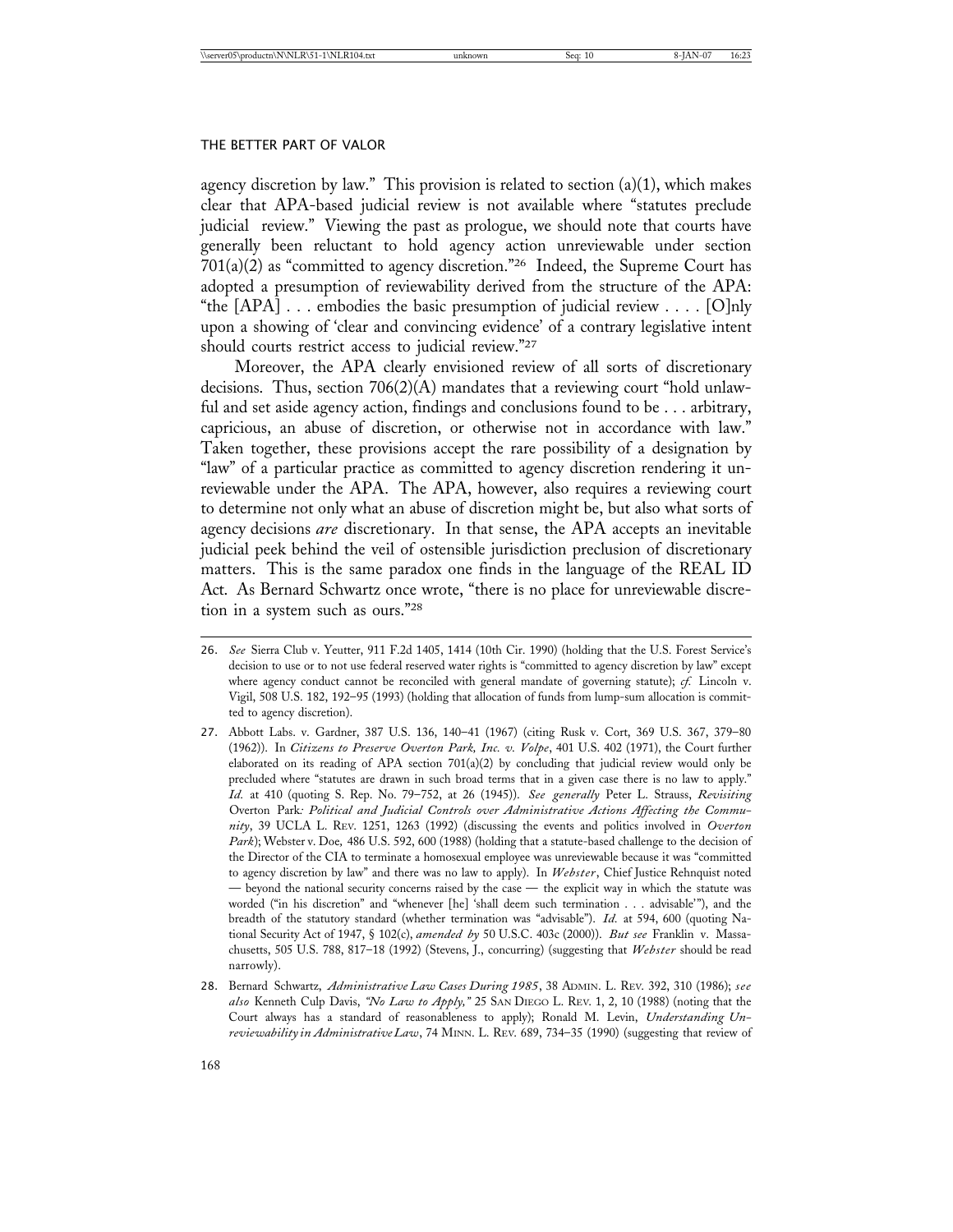agency discretion by law." This provision is related to section  $(a)(1)$ , which makes clear that APA-based judicial review is not available where "statutes preclude judicial review." Viewing the past as prologue, we should note that courts have generally been reluctant to hold agency action unreviewable under section 701(a)(2) as "committed to agency discretion."26 Indeed, the Supreme Court has adopted a presumption of reviewability derived from the structure of the APA: "the  $[APA]$ ... embodies the basic presumption of judicial review ... .  $[O]$ nly upon a showing of 'clear and convincing evidence' of a contrary legislative intent should courts restrict access to judicial review."27

Moreover, the APA clearly envisioned review of all sorts of discretionary decisions. Thus, section 706(2)(A) mandates that a reviewing court "hold unlawful and set aside agency action, findings and conclusions found to be . . . arbitrary, capricious, an abuse of discretion, or otherwise not in accordance with law." Taken together, these provisions accept the rare possibility of a designation by "law" of a particular practice as committed to agency discretion rendering it unreviewable under the APA. The APA, however, also requires a reviewing court to determine not only what an abuse of discretion might be, but also what sorts of agency decisions *are* discretionary. In that sense, the APA accepts an inevitable judicial peek behind the veil of ostensible jurisdiction preclusion of discretionary matters. This is the same paradox one finds in the language of the REAL ID Act. As Bernard Schwartz once wrote, "there is no place for unreviewable discretion in a system such as ours."28

<sup>26.</sup> *See* Sierra Club v. Yeutter, 911 F.2d 1405, 1414 (10th Cir. 1990) (holding that the U.S. Forest Service's decision to use or to not use federal reserved water rights is "committed to agency discretion by law" except where agency conduct cannot be reconciled with general mandate of governing statute); *cf.* Lincoln v. Vigil, 508 U.S. 182, 192–95 (1993) (holding that allocation of funds from lump-sum allocation is committed to agency discretion).

<sup>27.</sup> Abbott Labs. v. Gardner, 387 U.S. 136, 140–41 (1967) (citing Rusk v. Cort, 369 U.S. 367, 379–80 (1962)). In *Citizens to Preserve Overton Park, Inc. v. Volpe*, 401 U.S. 402 (1971), the Court further elaborated on its reading of APA section  $701(a)(2)$  by concluding that judicial review would only be precluded where "statutes are drawn in such broad terms that in a given case there is no law to apply." *Id.* at 410 (quoting S. Rep. No. 79–752, at 26 (1945)). *See generally* Peter L. Strauss, *Revisiting* Overton Park*: Political and Judicial Controls over Administrative Actions Affecting the Community*, 39 UCLA L. REV. 1251, 1263 (1992) (discussing the events and politics involved in *Overton Park*); Webster v. Doe*,* 486 U.S. 592, 600 (1988) (holding that a statute-based challenge to the decision of the Director of the CIA to terminate a homosexual employee was unreviewable because it was "committed to agency discretion by law" and there was no law to apply). In *Webster*, Chief Justice Rehnquist noted — beyond the national security concerns raised by the case — the explicit way in which the statute was worded ("in his discretion" and "whenever [he] 'shall deem such termination . . . advisable'"), and the breadth of the statutory standard (whether termination was "advisable"). *Id.* at 594, 600 (quoting National Security Act of 1947, § 102(c), *amended by* 50 U.S.C. 403c (2000)). *But see* Franklin v. Massachusetts, 505 U.S. 788, 817–18 (1992) (Stevens, J., concurring) (suggesting that *Webster* should be read narrowly).

<sup>28.</sup> Bernard Schwartz, *Administrative Law Cases During 1985*, 38 ADMIN. L. REV. 392, 310 (1986); *see also* Kenneth Culp Davis, *"No Law to Apply,"* 25 SAN DIEGO L. REV. 1, 2, 10 (1988) (noting that the Court always has a standard of reasonableness to apply); Ronald M. Levin, *Understanding Unreviewability in Administrative Law*, 74 MINN. L. REV. 689, 734–35 (1990) (suggesting that review of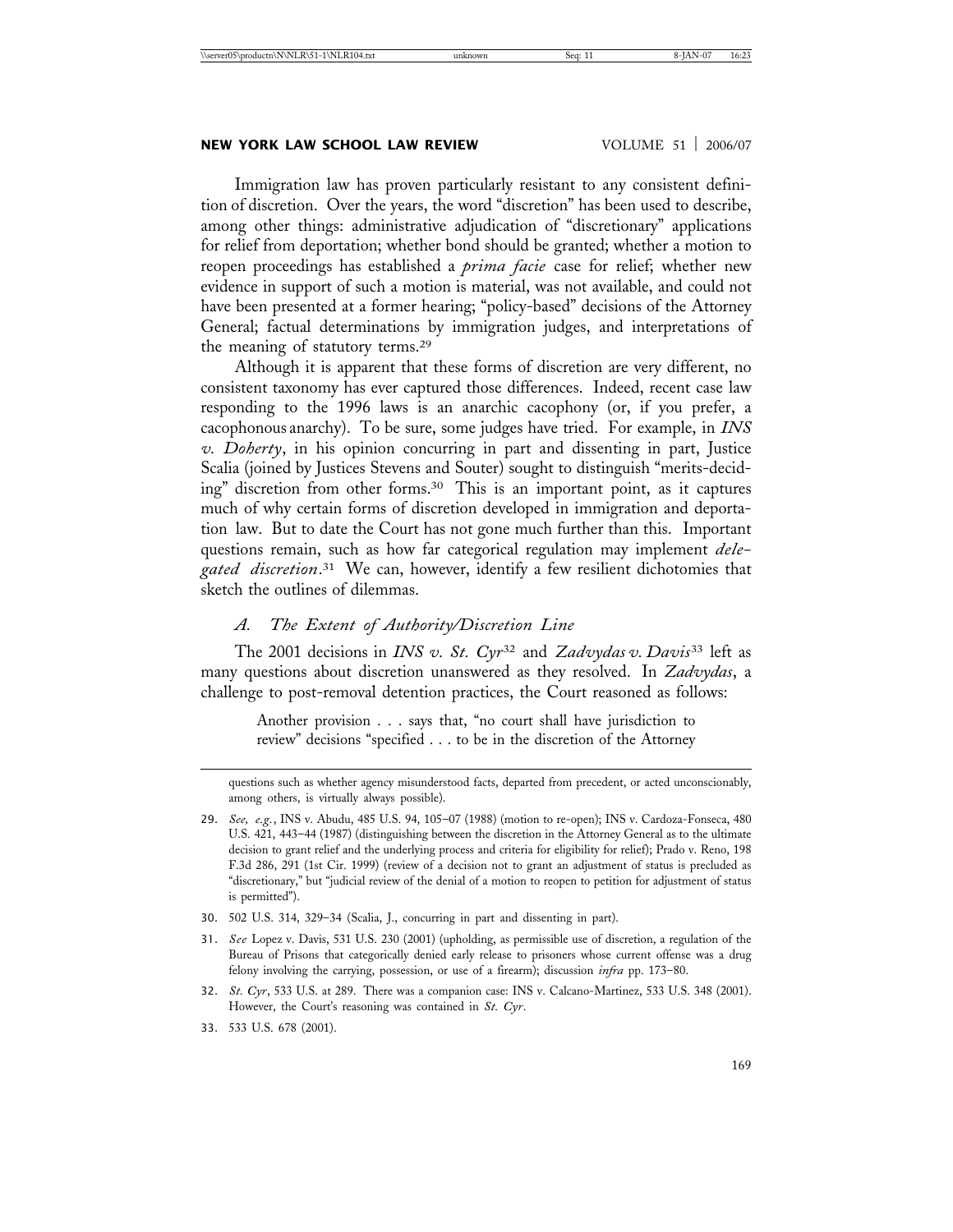# **NEW YORK LAW SCHOOL LAW REVIEW VOLUME 51 | 2006/07**

Immigration law has proven particularly resistant to any consistent definition of discretion. Over the years, the word "discretion" has been used to describe, among other things: administrative adjudication of "discretionary" applications for relief from deportation; whether bond should be granted; whether a motion to reopen proceedings has established a *prima facie* case for relief; whether new evidence in support of such a motion is material, was not available, and could not have been presented at a former hearing; "policy-based" decisions of the Attorney General; factual determinations by immigration judges, and interpretations of the meaning of statutory terms.29

Although it is apparent that these forms of discretion are very different, no consistent taxonomy has ever captured those differences. Indeed, recent case law responding to the 1996 laws is an anarchic cacophony (or, if you prefer, a cacophonous anarchy). To be sure, some judges have tried. For example, in *INS v. Doherty*, in his opinion concurring in part and dissenting in part, Justice Scalia (joined by Justices Stevens and Souter) sought to distinguish "merits-deciding" discretion from other forms.30 This is an important point, as it captures much of why certain forms of discretion developed in immigration and deportation law. But to date the Court has not gone much further than this. Important questions remain, such as how far categorical regulation may implement *delegated discretion*. 31 We can, however, identify a few resilient dichotomies that sketch the outlines of dilemmas.

# *A. The Extent of Authority/Discretion Line*

The 2001 decisions in *INS v. St. Cyr*<sup>32</sup> and *Zadvydas v. Davis*33 left as many questions about discretion unanswered as they resolved. In *Zadvydas*, a challenge to post-removal detention practices, the Court reasoned as follows:

Another provision . . . says that, "no court shall have jurisdiction to review" decisions "specified . . . to be in the discretion of the Attorney

30. 502 U.S. 314, 329–34 (Scalia, J., concurring in part and dissenting in part).

- 32. *St. Cyr*, 533 U.S. at 289. There was a companion case: INS v. Calcano-Martinez, 533 U.S. 348 (2001). However, the Court's reasoning was contained in *St. Cyr*.
- 33. 533 U.S. 678 (2001).

questions such as whether agency misunderstood facts, departed from precedent, or acted unconscionably, among others, is virtually always possible).

<sup>29.</sup> *See, e.g.*, INS v. Abudu, 485 U.S. 94, 105–07 (1988) (motion to re-open); INS v. Cardoza-Fonseca, 480 U.S. 421, 443–44 (1987) (distinguishing between the discretion in the Attorney General as to the ultimate decision to grant relief and the underlying process and criteria for eligibility for relief); Prado v. Reno, 198 F.3d 286, 291 (1st Cir. 1999) (review of a decision not to grant an adjustment of status is precluded as "discretionary," but "judicial review of the denial of a motion to reopen to petition for adjustment of status is permitted").

<sup>31.</sup> *See* Lopez v. Davis, 531 U.S. 230 (2001) (upholding, as permissible use of discretion, a regulation of the Bureau of Prisons that categorically denied early release to prisoners whose current offense was a drug felony involving the carrying, possession, or use of a firearm); discussion *infra* pp. 173–80.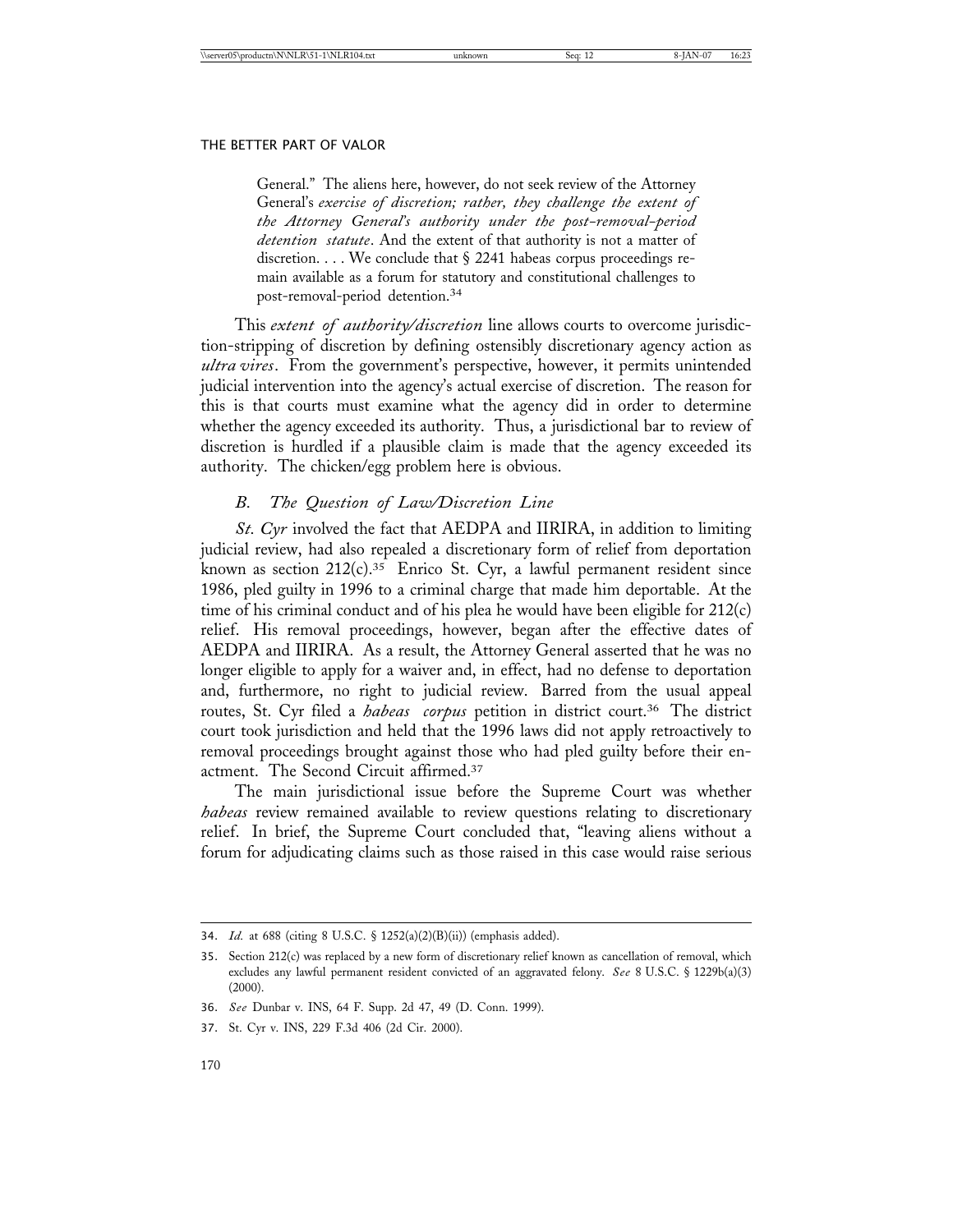General." The aliens here, however, do not seek review of the Attorney General's *exercise of discretion; rather, they challenge the extent of the Attorney General's authority under the post-removal-period detention statute*. And the extent of that authority is not a matter of discretion. . . . We conclude that § 2241 habeas corpus proceedings remain available as a forum for statutory and constitutional challenges to post-removal-period detention.<sup>34</sup>

This *extent of authority/discretion* line allows courts to overcome jurisdiction-stripping of discretion by defining ostensibly discretionary agency action as *ultra vires*. From the government's perspective, however, it permits unintended judicial intervention into the agency's actual exercise of discretion. The reason for this is that courts must examine what the agency did in order to determine whether the agency exceeded its authority. Thus, a jurisdictional bar to review of discretion is hurdled if a plausible claim is made that the agency exceeded its authority. The chicken/egg problem here is obvious.

# *B. The Question of Law/Discretion Line*

*St. Cyr* involved the fact that AEDPA and IIRIRA, in addition to limiting judicial review, had also repealed a discretionary form of relief from deportation known as section 212(c).35 Enrico St. Cyr, a lawful permanent resident since 1986, pled guilty in 1996 to a criminal charge that made him deportable. At the time of his criminal conduct and of his plea he would have been eligible for 212(c) relief. His removal proceedings, however, began after the effective dates of AEDPA and IIRIRA. As a result, the Attorney General asserted that he was no longer eligible to apply for a waiver and, in effect, had no defense to deportation and, furthermore, no right to judicial review. Barred from the usual appeal routes, St. Cyr filed a *habeas corpus* petition in district court.36 The district court took jurisdiction and held that the 1996 laws did not apply retroactively to removal proceedings brought against those who had pled guilty before their enactment. The Second Circuit affirmed.37

The main jurisdictional issue before the Supreme Court was whether *habeas* review remained available to review questions relating to discretionary relief. In brief, the Supreme Court concluded that, "leaving aliens without a forum for adjudicating claims such as those raised in this case would raise serious

<sup>34.</sup> *Id.* at 688 (citing 8 U.S.C. § 1252(a)(2)(B)(ii)) (emphasis added).

<sup>35.</sup> Section 212(c) was replaced by a new form of discretionary relief known as cancellation of removal, which excludes any lawful permanent resident convicted of an aggravated felony. *See* 8 U.S.C. § 1229b(a)(3) (2000).

<sup>36.</sup> *See* Dunbar v. INS, 64 F. Supp. 2d 47, 49 (D. Conn. 1999).

<sup>37.</sup> St. Cyr v. INS, 229 F.3d 406 (2d Cir. 2000).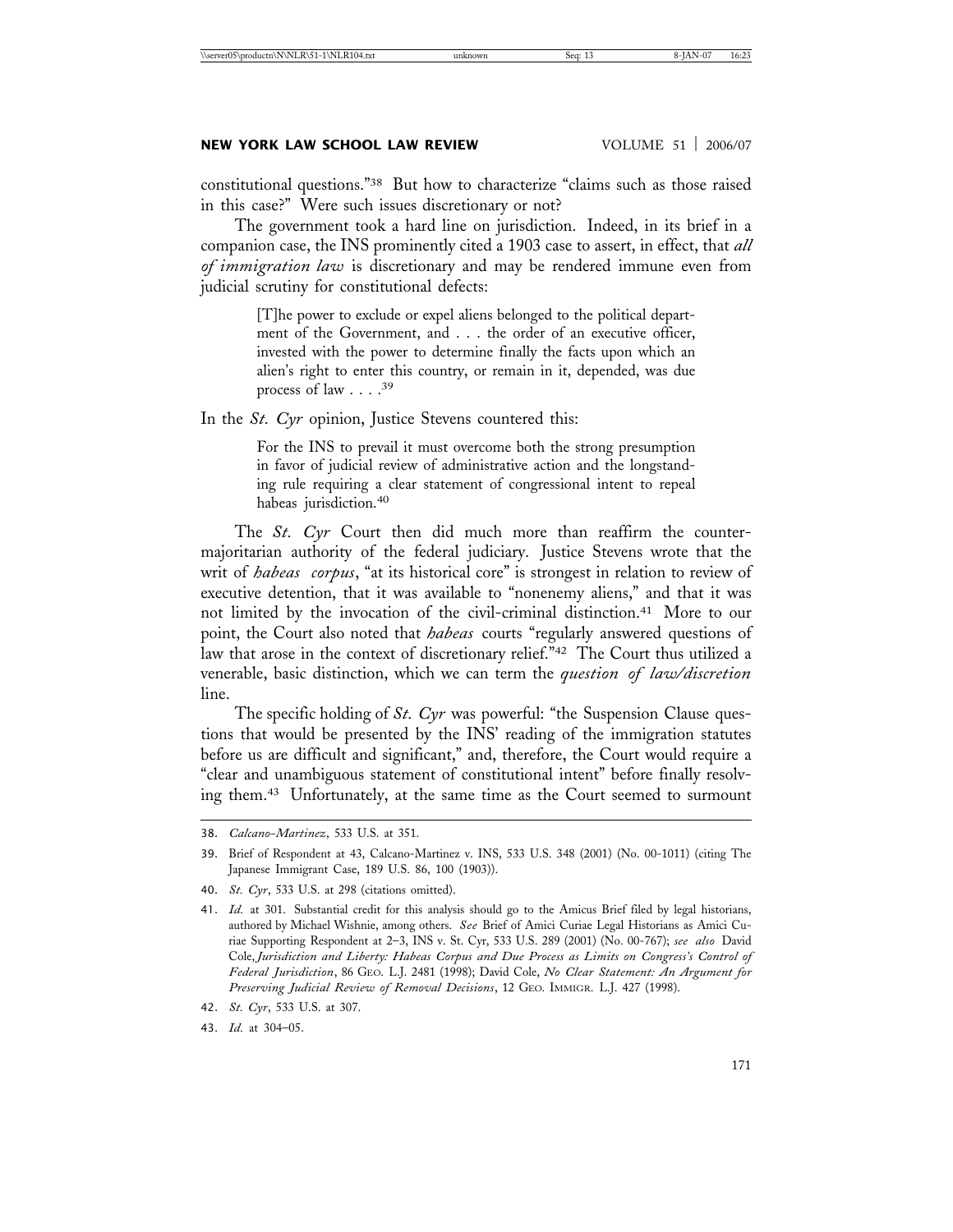constitutional questions."38 But how to characterize "claims such as those raised in this case?" Were such issues discretionary or not?

The government took a hard line on jurisdiction. Indeed, in its brief in a companion case, the INS prominently cited a 1903 case to assert, in effect, that *all of immigration law* is discretionary and may be rendered immune even from judicial scrutiny for constitutional defects:

> [T]he power to exclude or expel aliens belonged to the political department of the Government, and . . . the order of an executive officer, invested with the power to determine finally the facts upon which an alien's right to enter this country, or remain in it, depended, was due process of law  $\ldots$ .<sup>39</sup>

In the *St. Cyr* opinion, Justice Stevens countered this:

For the INS to prevail it must overcome both the strong presumption in favor of judicial review of administrative action and the longstanding rule requiring a clear statement of congressional intent to repeal habeas jurisdiction.<sup>40</sup>

The *St. Cyr* Court then did much more than reaffirm the countermajoritarian authority of the federal judiciary. Justice Stevens wrote that the writ of *habeas corpus*, "at its historical core" is strongest in relation to review of executive detention, that it was available to "nonenemy aliens," and that it was not limited by the invocation of the civil-criminal distinction.41 More to our point, the Court also noted that *habeas* courts "regularly answered questions of law that arose in the context of discretionary relief."42 The Court thus utilized a venerable, basic distinction, which we can term the *question of law/discretion* line.

The specific holding of *St. Cyr* was powerful: "the Suspension Clause questions that would be presented by the INS' reading of the immigration statutes before us are difficult and significant," and, therefore, the Court would require a "clear and unambiguous statement of constitutional intent" before finally resolving them.43 Unfortunately, at the same time as the Court seemed to surmount

<sup>38.</sup> *Calcano-Martinez*, 533 U.S. at 351.

<sup>39.</sup> Brief of Respondent at 43, Calcano-Martinez v. INS, 533 U.S. 348 (2001) (No. 00-1011) (citing The Japanese Immigrant Case, 189 U.S. 86, 100 (1903)).

<sup>40.</sup> *St. Cyr*, 533 U.S. at 298 (citations omitted).

<sup>41.</sup> *Id.* at 301. Substantial credit for this analysis should go to the Amicus Brief filed by legal historians, authored by Michael Wishnie, among others. *See* Brief of Amici Curiae Legal Historians as Amici Curiae Supporting Respondent at 2–3, INS v. St. Cyr, 533 U.S. 289 (2001) (No. 00-767); *see also* David Cole, *Jurisdiction and Liberty: Habeas Corpus and Due Process as Limits on Congress's Control of Federal Jurisdiction*, 86 GEO. L.J. 2481 (1998); David Cole, *No Clear Statement: An Argument for Preserving Judicial Review of Removal Decisions*, 12 GEO. IMMIGR. L.J. 427 (1998).

<sup>42.</sup> *St. Cyr*, 533 U.S. at 307.

<sup>43.</sup> *Id.* at 304–05.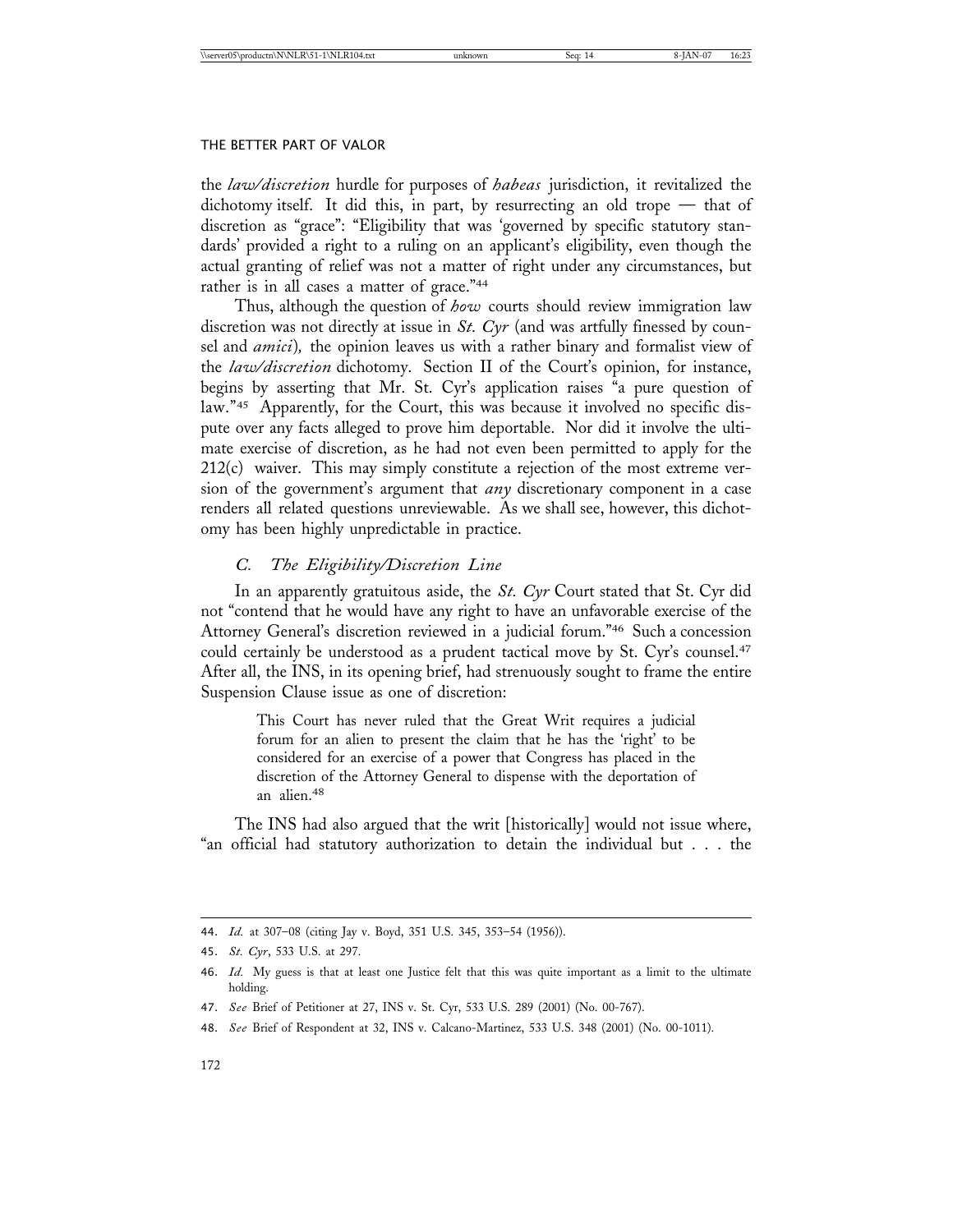the *law/discretion* hurdle for purposes of *habeas* jurisdiction, it revitalized the dichotomy itself. It did this, in part, by resurrecting an old trope — that of discretion as "grace": "Eligibility that was 'governed by specific statutory standards' provided a right to a ruling on an applicant's eligibility, even though the actual granting of relief was not a matter of right under any circumstances, but rather is in all cases a matter of grace."<sup>44</sup>

Thus, although the question of *how* courts should review immigration law discretion was not directly at issue in *St. Cyr* (and was artfully finessed by counsel and *amici*)*,* the opinion leaves us with a rather binary and formalist view of the *law/discretion* dichotomy. Section II of the Court's opinion, for instance, begins by asserting that Mr. St. Cyr's application raises "a pure question of law."<sup>45</sup> Apparently, for the Court, this was because it involved no specific dispute over any facts alleged to prove him deportable. Nor did it involve the ultimate exercise of discretion, as he had not even been permitted to apply for the 212(c) waiver. This may simply constitute a rejection of the most extreme version of the government's argument that *any* discretionary component in a case renders all related questions unreviewable. As we shall see, however, this dichotomy has been highly unpredictable in practice.

# *C. The Eligibility/Discretion Line*

In an apparently gratuitous aside, the *St. Cyr* Court stated that St. Cyr did not "contend that he would have any right to have an unfavorable exercise of the Attorney General's discretion reviewed in a judicial forum."46 Such a concession could certainly be understood as a prudent tactical move by St. Cyr's counsel.<sup>47</sup> After all, the INS, in its opening brief, had strenuously sought to frame the entire Suspension Clause issue as one of discretion:

> This Court has never ruled that the Great Writ requires a judicial forum for an alien to present the claim that he has the 'right' to be considered for an exercise of a power that Congress has placed in the discretion of the Attorney General to dispense with the deportation of an alien.<sup>48</sup>

The INS had also argued that the writ [historically] would not issue where, "an official had statutory authorization to detain the individual but . . . the

<sup>44.</sup> *Id.* at 307–08 (citing Jay v. Boyd, 351 U.S. 345, 353–54 (1956)).

<sup>45.</sup> *St. Cyr*, 533 U.S. at 297.

<sup>46.</sup> *Id.* My guess is that at least one Justice felt that this was quite important as a limit to the ultimate holding.

<sup>47.</sup> *See* Brief of Petitioner at 27, INS v. St. Cyr, 533 U.S. 289 (2001) (No. 00-767).

<sup>48.</sup> *See* Brief of Respondent at 32, INS v. Calcano-Martinez, 533 U.S. 348 (2001) (No. 00-1011).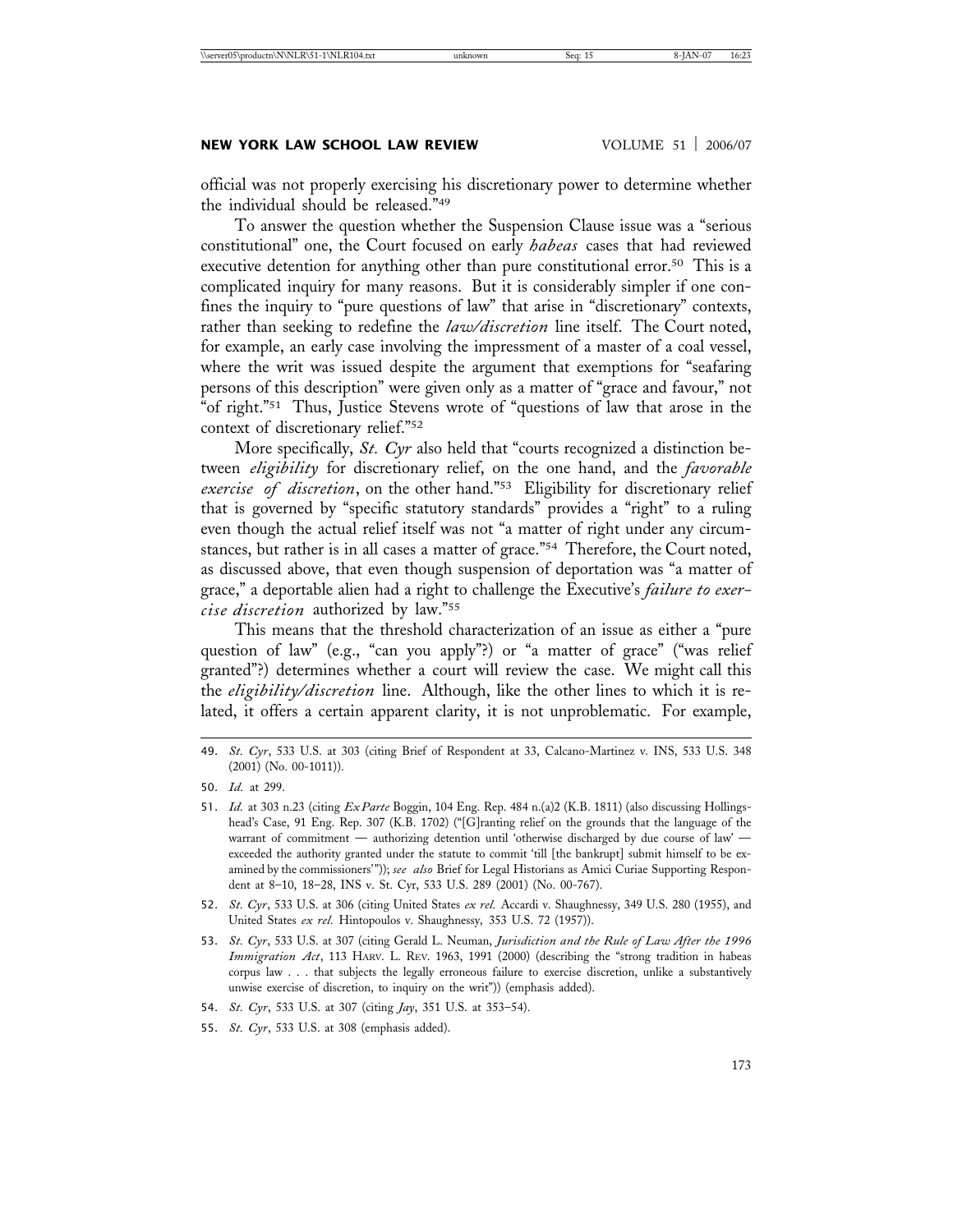# **NEW YORK LAW SCHOOL LAW REVIEW WOLUME 51 | 2006/07**

official was not properly exercising his discretionary power to determine whether the individual should be released."49

To answer the question whether the Suspension Clause issue was a "serious constitutional" one, the Court focused on early *habeas* cases that had reviewed executive detention for anything other than pure constitutional error.<sup>50</sup> This is a complicated inquiry for many reasons. But it is considerably simpler if one confines the inquiry to "pure questions of law" that arise in "discretionary" contexts, rather than seeking to redefine the *law/discretion* line itself. The Court noted, for example, an early case involving the impressment of a master of a coal vessel, where the writ was issued despite the argument that exemptions for "seafaring persons of this description" were given only as a matter of "grace and favour," not "of right."51 Thus, Justice Stevens wrote of "questions of law that arose in the context of discretionary relief."52

More specifically, *St. Cyr* also held that "courts recognized a distinction between *eligibility* for discretionary relief, on the one hand, and the *favorable exercise of discretion*, on the other hand."53 Eligibility for discretionary relief that is governed by "specific statutory standards" provides a "right" to a ruling even though the actual relief itself was not "a matter of right under any circumstances, but rather is in all cases a matter of grace."54 Therefore, the Court noted, as discussed above, that even though suspension of deportation was "a matter of grace," a deportable alien had a right to challenge the Executive's *failure to exercise discretion* authorized by law."55

This means that the threshold characterization of an issue as either a "pure question of law" (e.g., "can you apply"?) or "a matter of grace" ("was relief granted"?) determines whether a court will review the case. We might call this the *eligibility/discretion* line. Although, like the other lines to which it is related, it offers a certain apparent clarity, it is not unproblematic. For example,

<sup>49.</sup> *St. Cyr*, 533 U.S. at 303 (citing Brief of Respondent at 33, Calcano-Martinez v. INS, 533 U.S. 348 (2001) (No. 00-1011)).

<sup>50.</sup> *Id.* at 299.

<sup>51.</sup> *Id.* at 303 n.23 (citing *Ex Parte* Boggin, 104 Eng. Rep. 484 n.(a)2 (K.B. 1811) (also discussing Hollingshead's Case, 91 Eng. Rep. 307 (K.B. 1702) ("[G]ranting relief on the grounds that the language of the warrant of commitment — authorizing detention until 'otherwise discharged by due course of law' exceeded the authority granted under the statute to commit 'till [the bankrupt] submit himself to be examined by the commissioners'")); *see also* Brief for Legal Historians as Amici Curiae Supporting Respondent at 8–10, 18–28, INS v. St. Cyr, 533 U.S. 289 (2001) (No. 00-767).

<sup>52.</sup> *St. Cyr*, 533 U.S. at 306 (citing United States *ex rel.* Accardi v. Shaughnessy, 349 U.S. 280 (1955), and United States *ex rel.* Hintopoulos v. Shaughnessy*,* 353 U.S. 72 (1957)).

<sup>53.</sup> *St. Cyr*, 533 U.S. at 307 (citing Gerald L. Neuman, *Jurisdiction and the Rule of Law After the 1996 Immigration Act*, 113 HARV. L. REV. 1963, 1991 (2000) (describing the "strong tradition in habeas corpus law . . . that subjects the legally erroneous failure to exercise discretion, unlike a substantively unwise exercise of discretion, to inquiry on the writ")) (emphasis added).

<sup>54.</sup> *St. Cyr*, 533 U.S. at 307 (citing *Jay*, 351 U.S. at 353–54).

<sup>55.</sup> *St. Cyr*, 533 U.S. at 308 (emphasis added).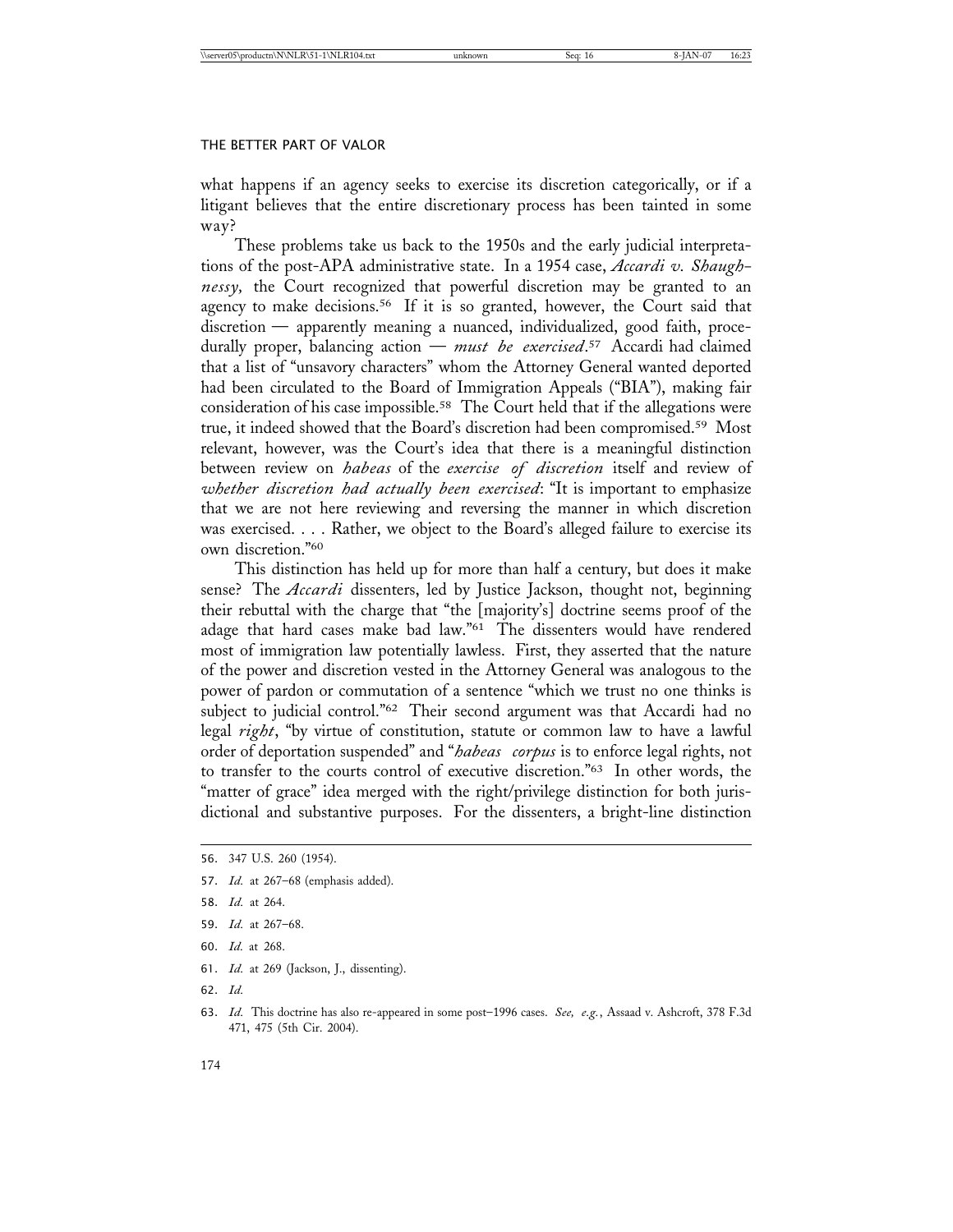what happens if an agency seeks to exercise its discretion categorically, or if a litigant believes that the entire discretionary process has been tainted in some way?

These problems take us back to the 1950s and the early judicial interpretations of the post-APA administrative state. In a 1954 case, *Accardi v. Shaughnessy,* the Court recognized that powerful discretion may be granted to an agency to make decisions.<sup>56</sup> If it is so granted, however, the Court said that discretion — apparently meaning a nuanced, individualized, good faith, procedurally proper, balancing action — *must be exercised*. 57 Accardi had claimed that a list of "unsavory characters" whom the Attorney General wanted deported had been circulated to the Board of Immigration Appeals ("BIA"), making fair consideration of his case impossible.58 The Court held that if the allegations were true, it indeed showed that the Board's discretion had been compromised.59 Most relevant, however, was the Court's idea that there is a meaningful distinction between review on *habeas* of the *exercise of discretion* itself and review of *whether discretion had actually been exercised*: "It is important to emphasize that we are not here reviewing and reversing the manner in which discretion was exercised. . . . Rather, we object to the Board's alleged failure to exercise its own discretion."60

This distinction has held up for more than half a century, but does it make sense? The *Accardi* dissenters, led by Justice Jackson, thought not, beginning their rebuttal with the charge that "the [majority's] doctrine seems proof of the adage that hard cases make bad law."61 The dissenters would have rendered most of immigration law potentially lawless. First, they asserted that the nature of the power and discretion vested in the Attorney General was analogous to the power of pardon or commutation of a sentence "which we trust no one thinks is subject to judicial control."<sup>62</sup> Their second argument was that Accardi had no legal *right*, "by virtue of constitution, statute or common law to have a lawful order of deportation suspended" and "*habeas corpus* is to enforce legal rights, not to transfer to the courts control of executive discretion."63 In other words, the "matter of grace" idea merged with the right/privilege distinction for both jurisdictional and substantive purposes. For the dissenters, a bright-line distinction

- 59. *Id.* at 267–68.
- 60. *Id.* at 268.
- 61. *Id.* at 269 (Jackson, J., dissenting).
- 62. *Id.*

<sup>56.</sup> 347 U.S. 260 (1954).

<sup>57.</sup> *Id.* at 267–68 (emphasis added).

<sup>58.</sup> *Id.* at 264.

<sup>63.</sup> *Id.* This doctrine has also re-appeared in some post–1996 cases. *See, e.g.*, Assaad v. Ashcroft, 378 F.3d 471, 475 (5th Cir. 2004).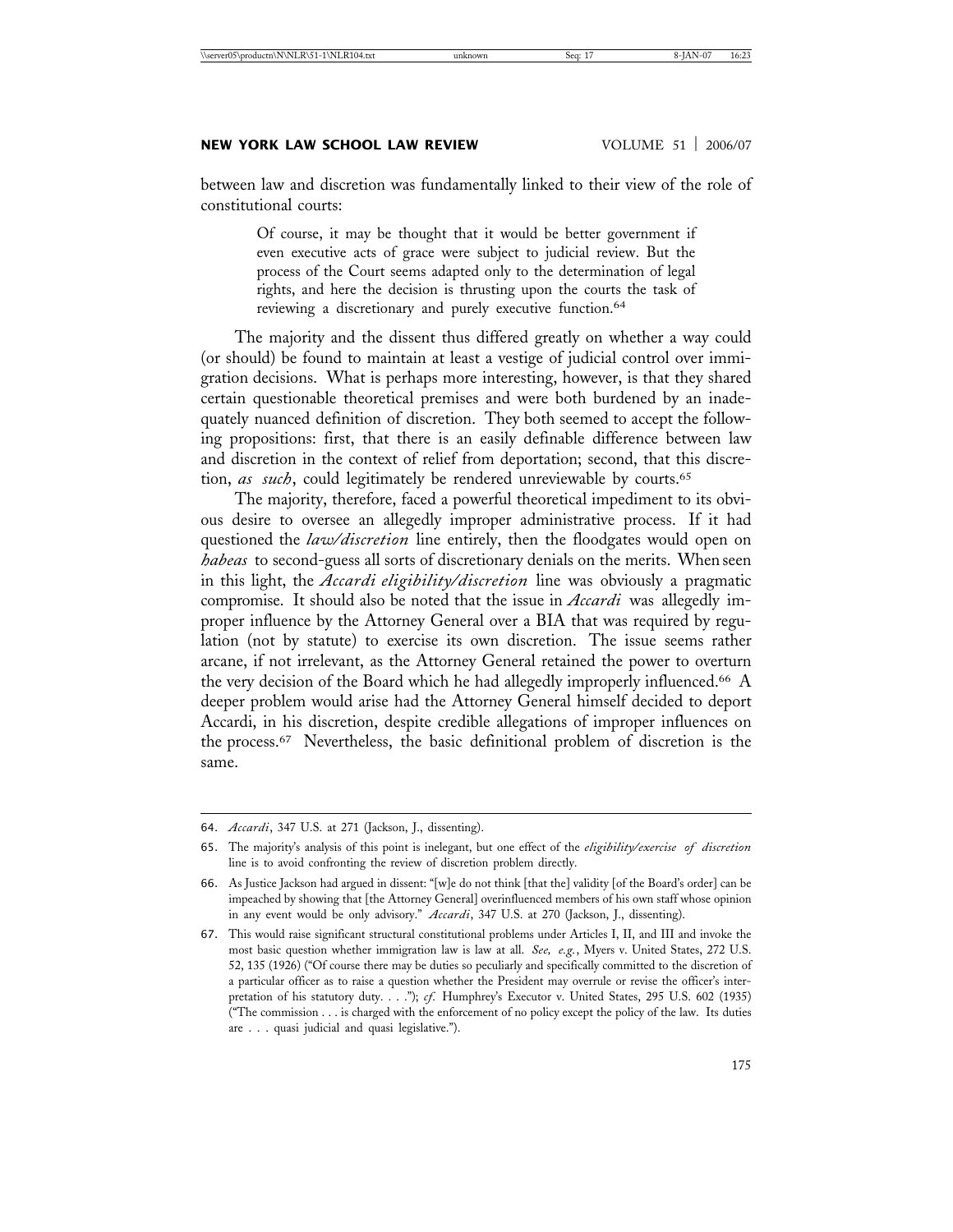between law and discretion was fundamentally linked to their view of the role of constitutional courts:

> Of course, it may be thought that it would be better government if even executive acts of grace were subject to judicial review. But the process of the Court seems adapted only to the determination of legal rights, and here the decision is thrusting upon the courts the task of reviewing a discretionary and purely executive function.<sup>64</sup>

The majority and the dissent thus differed greatly on whether a way could (or should) be found to maintain at least a vestige of judicial control over immigration decisions. What is perhaps more interesting, however, is that they shared certain questionable theoretical premises and were both burdened by an inadequately nuanced definition of discretion. They both seemed to accept the following propositions: first, that there is an easily definable difference between law and discretion in the context of relief from deportation; second, that this discretion, as such, could legitimately be rendered unreviewable by courts.<sup>65</sup>

The majority, therefore, faced a powerful theoretical impediment to its obvious desire to oversee an allegedly improper administrative process. If it had questioned the *law/discretion* line entirely, then the floodgates would open on *habeas* to second-guess all sorts of discretionary denials on the merits. When seen in this light, the *Accardi eligibility/discretion* line was obviously a pragmatic compromise. It should also be noted that the issue in *Accardi* was allegedly improper influence by the Attorney General over a BIA that was required by regulation (not by statute) to exercise its own discretion. The issue seems rather arcane, if not irrelevant, as the Attorney General retained the power to overturn the very decision of the Board which he had allegedly improperly influenced.<sup>66</sup> A deeper problem would arise had the Attorney General himself decided to deport Accardi, in his discretion, despite credible allegations of improper influences on the process.67 Nevertheless, the basic definitional problem of discretion is the same.

<sup>64.</sup> *Accardi*, 347 U.S. at 271 (Jackson, J., dissenting).

<sup>65.</sup> The majority's analysis of this point is inelegant, but one effect of the *eligibility/exercise of discretion* line is to avoid confronting the review of discretion problem directly.

<sup>66.</sup> As Justice Jackson had argued in dissent: "[w]e do not think [that the] validity [of the Board's order] can be impeached by showing that [the Attorney General] overinfluenced members of his own staff whose opinion in any event would be only advisory." *Accardi*, 347 U.S. at 270 (Jackson, J., dissenting).

<sup>67.</sup> This would raise significant structural constitutional problems under Articles I, II, and III and invoke the most basic question whether immigration law is law at all. *See, e.g.*, Myers v. United States, 272 U.S. 52, 135 (1926) ("Of course there may be duties so peculiarly and specifically committed to the discretion of a particular officer as to raise a question whether the President may overrule or revise the officer's interpretation of his statutory duty. . . ."); *cf.* Humphrey's Executor v. United States, 295 U.S. 602 (1935) ("The commission . . . is charged with the enforcement of no policy except the policy of the law. Its duties are . . . quasi judicial and quasi legislative.").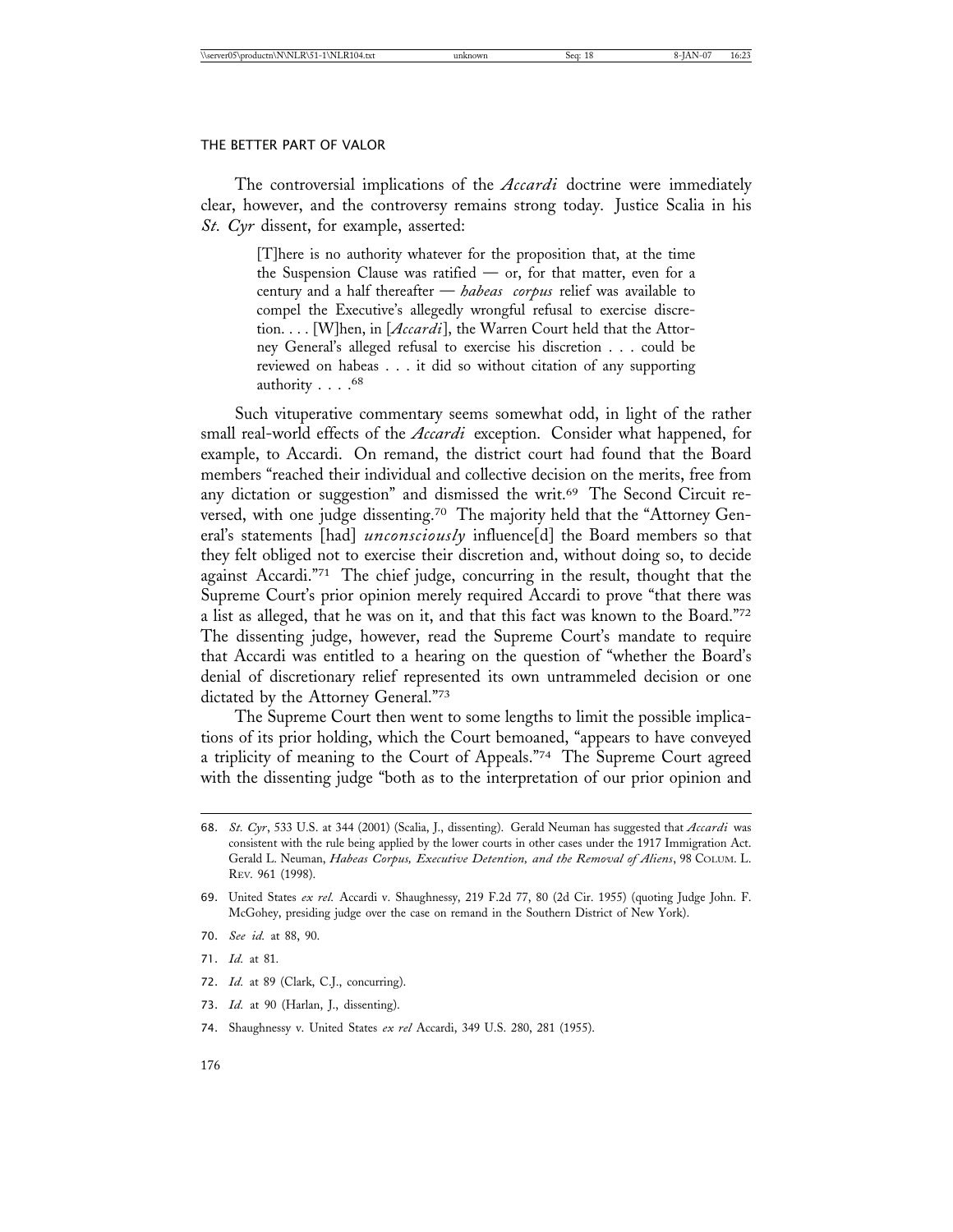The controversial implications of the *Accardi* doctrine were immediately clear, however, and the controversy remains strong today. Justice Scalia in his *St. Cyr* dissent, for example, asserted:

> [T]here is no authority whatever for the proposition that, at the time the Suspension Clause was ratified  $-$  or, for that matter, even for a century and a half thereafter — *habeas corpus* relief was available to compel the Executive's allegedly wrongful refusal to exercise discretion. . . . [W]hen, in [*Accardi*], the Warren Court held that the Attorney General's alleged refusal to exercise his discretion . . . could be reviewed on habeas . . . it did so without citation of any supporting authority . . . . 68

Such vituperative commentary seems somewhat odd, in light of the rather small real-world effects of the *Accardi* exception. Consider what happened, for example, to Accardi. On remand, the district court had found that the Board members "reached their individual and collective decision on the merits, free from any dictation or suggestion" and dismissed the writ.<sup>69</sup> The Second Circuit reversed, with one judge dissenting.<sup>70</sup> The majority held that the "Attorney General's statements [had] *unconsciously* influence[d] the Board members so that they felt obliged not to exercise their discretion and, without doing so, to decide against Accardi."71 The chief judge, concurring in the result, thought that the Supreme Court's prior opinion merely required Accardi to prove "that there was a list as alleged, that he was on it, and that this fact was known to the Board."72 The dissenting judge, however, read the Supreme Court's mandate to require that Accardi was entitled to a hearing on the question of "whether the Board's denial of discretionary relief represented its own untrammeled decision or one dictated by the Attorney General."73

The Supreme Court then went to some lengths to limit the possible implications of its prior holding, which the Court bemoaned, "appears to have conveyed a triplicity of meaning to the Court of Appeals."74 The Supreme Court agreed with the dissenting judge "both as to the interpretation of our prior opinion and

- 70. *See id.* at 88, 90.
- 71. *Id.* at 81.
- 72. *Id.* at 89 (Clark, C.J., concurring).
- 73. *Id.* at 90 (Harlan, J., dissenting).
- 74. Shaughnessy v. United States *ex rel* Accardi, 349 U.S. 280, 281 (1955).

<sup>68.</sup> *St. Cyr*, 533 U.S. at 344 (2001) (Scalia, J., dissenting). Gerald Neuman has suggested that *Accardi* was consistent with the rule being applied by the lower courts in other cases under the 1917 Immigration Act. Gerald L. Neuman, *Habeas Corpus, Executive Detention, and the Removal of Aliens*, 98 COLUM. L. REV. 961 (1998).

<sup>69.</sup> United States *ex rel.* Accardi v. Shaughnessy, 219 F.2d 77, 80 (2d Cir. 1955) (quoting Judge John. F. McGohey, presiding judge over the case on remand in the Southern District of New York).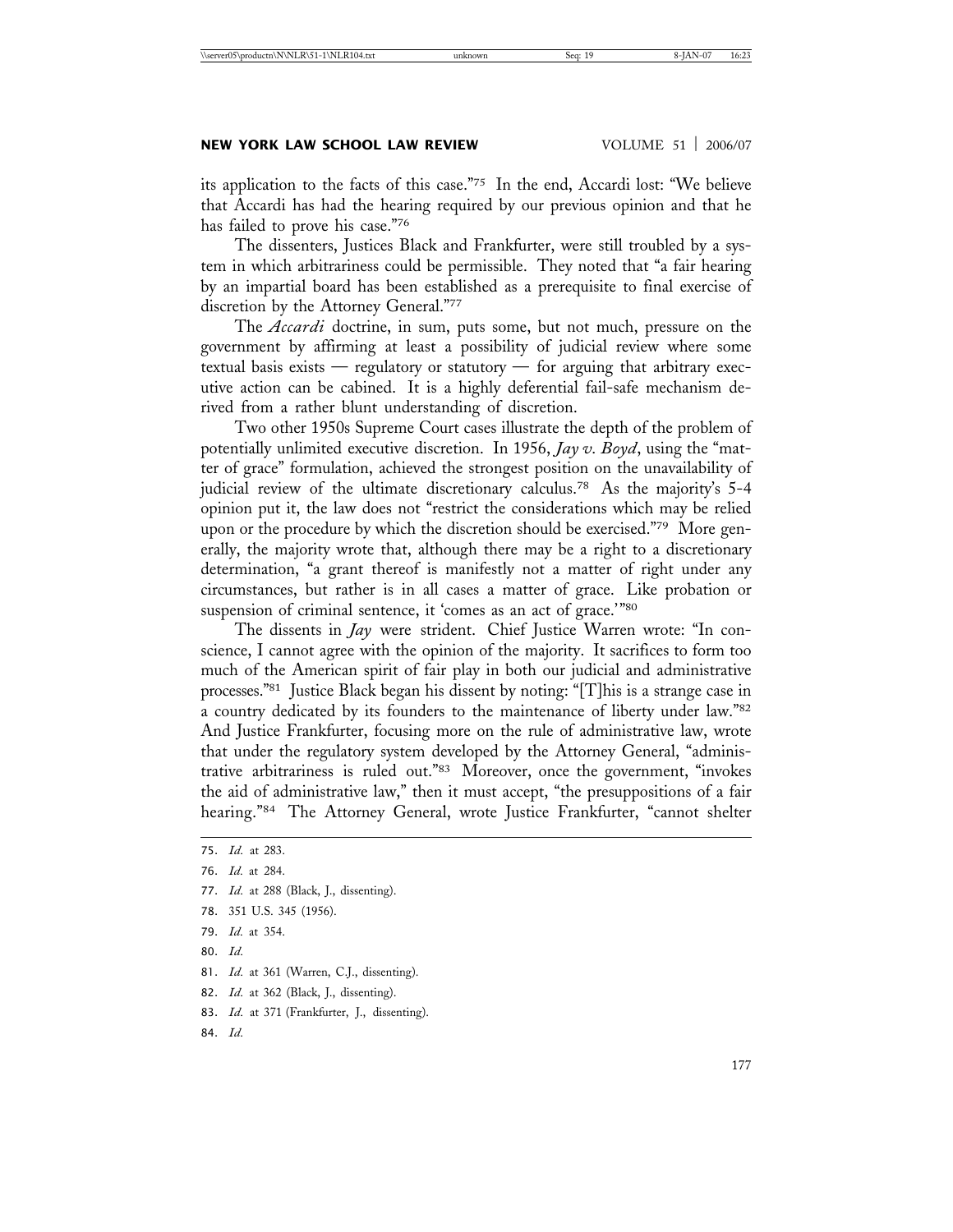its application to the facts of this case."75 In the end, Accardi lost: "We believe that Accardi has had the hearing required by our previous opinion and that he has failed to prove his case."76

The dissenters, Justices Black and Frankfurter, were still troubled by a system in which arbitrariness could be permissible. They noted that "a fair hearing by an impartial board has been established as a prerequisite to final exercise of discretion by the Attorney General."77

The *Accardi* doctrine, in sum, puts some, but not much, pressure on the government by affirming at least a possibility of judicial review where some textual basis exists — regulatory or statutory — for arguing that arbitrary executive action can be cabined. It is a highly deferential fail-safe mechanism derived from a rather blunt understanding of discretion.

Two other 1950s Supreme Court cases illustrate the depth of the problem of potentially unlimited executive discretion. In 1956, *Jay v. Boyd*, using the "matter of grace" formulation, achieved the strongest position on the unavailability of judicial review of the ultimate discretionary calculus.78 As the majority's 5-4 opinion put it, the law does not "restrict the considerations which may be relied upon or the procedure by which the discretion should be exercised."79 More generally, the majority wrote that, although there may be a right to a discretionary determination, "a grant thereof is manifestly not a matter of right under any circumstances, but rather is in all cases a matter of grace. Like probation or suspension of criminal sentence, it 'comes as an act of grace.'"80

The dissents in *Jay* were strident. Chief Justice Warren wrote: "In conscience, I cannot agree with the opinion of the majority. It sacrifices to form too much of the American spirit of fair play in both our judicial and administrative processes."81 Justice Black began his dissent by noting: "[T]his is a strange case in a country dedicated by its founders to the maintenance of liberty under law."82 And Justice Frankfurter, focusing more on the rule of administrative law, wrote that under the regulatory system developed by the Attorney General, "administrative arbitrariness is ruled out."83 Moreover, once the government, "invokes the aid of administrative law," then it must accept, "the presuppositions of a fair hearing."84 The Attorney General, wrote Justice Frankfurter, "cannot shelter

- 77. *Id.* at 288 (Black, J., dissenting).
- 78. 351 U.S. 345 (1956).
- 79. *Id.* at 354.
- 80. *Id.*
- 81. *Id.* at 361 (Warren, C.J., dissenting).
- 82. *Id.* at 362 (Black, J., dissenting).
- 83. *Id.* at 371 (Frankfurter, J., dissenting).
- 84. *Id.*

<sup>75.</sup> *Id.* at 283.

<sup>76.</sup> *Id.* at 284.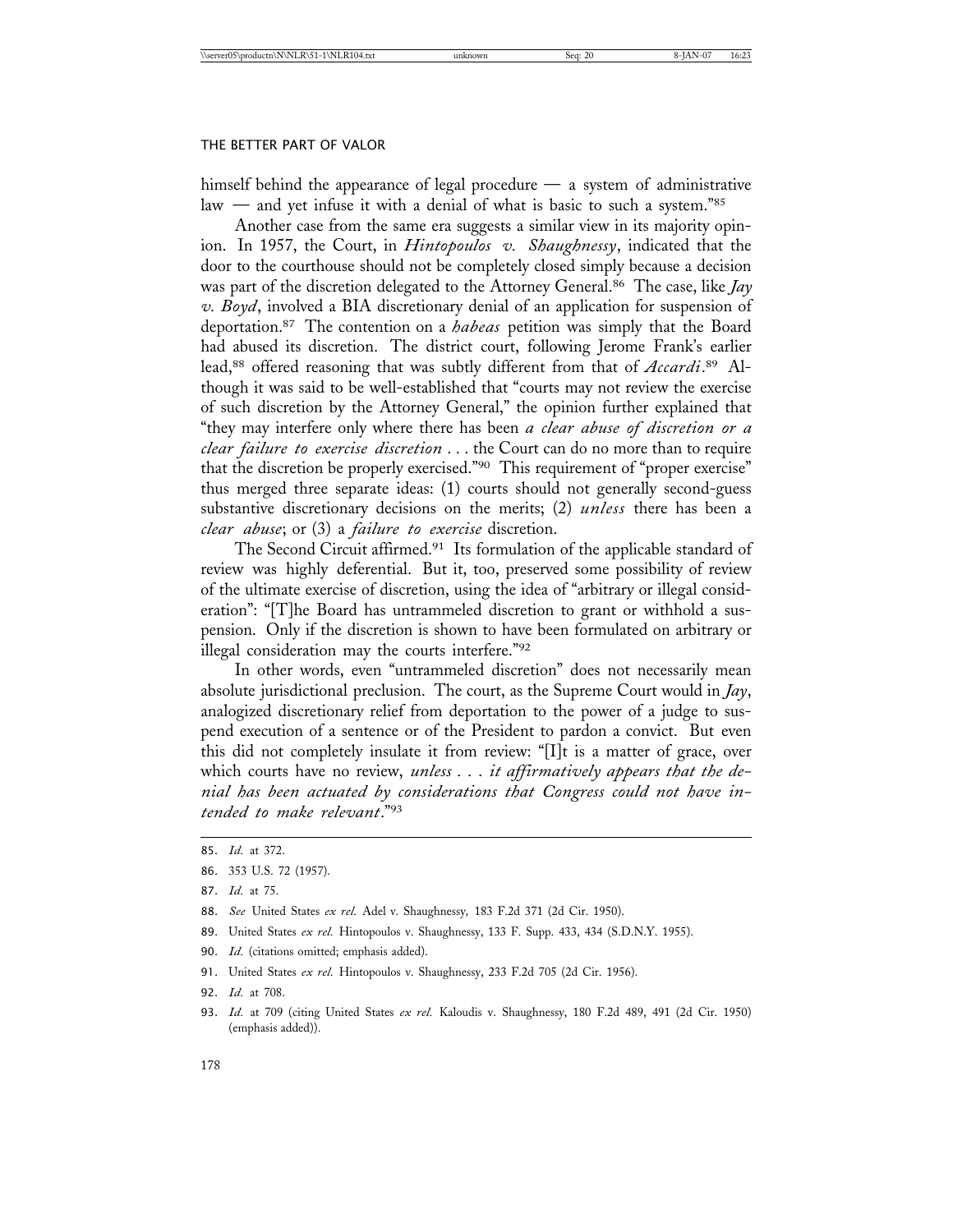himself behind the appearance of legal procedure — a system of administrative law — and yet infuse it with a denial of what is basic to such a system."85

Another case from the same era suggests a similar view in its majority opinion. In 1957, the Court, in *Hintopoulos v. Shaughnessy*, indicated that the door to the courthouse should not be completely closed simply because a decision was part of the discretion delegated to the Attorney General.86 The case, like *Jay v. Boyd*, involved a BIA discretionary denial of an application for suspension of deportation.87 The contention on a *habeas* petition was simply that the Board had abused its discretion. The district court, following Jerome Frank's earlier lead,88 offered reasoning that was subtly different from that of *Accardi*. 89 Although it was said to be well-established that "courts may not review the exercise of such discretion by the Attorney General," the opinion further explained that "they may interfere only where there has been *a clear abuse of discretion or a clear failure to exercise discretion* . . . the Court can do no more than to require that the discretion be properly exercised."90 This requirement of "proper exercise" thus merged three separate ideas: (1) courts should not generally second-guess substantive discretionary decisions on the merits; (2) *unless* there has been a *clear abuse*; or (3) a *failure to exercise* discretion.

The Second Circuit affirmed.91 Its formulation of the applicable standard of review was highly deferential. But it, too, preserved some possibility of review of the ultimate exercise of discretion, using the idea of "arbitrary or illegal consideration": "[T]he Board has untrammeled discretion to grant or withhold a suspension. Only if the discretion is shown to have been formulated on arbitrary or illegal consideration may the courts interfere."92

In other words, even "untrammeled discretion" does not necessarily mean absolute jurisdictional preclusion. The court, as the Supreme Court would in *Jay*, analogized discretionary relief from deportation to the power of a judge to suspend execution of a sentence or of the President to pardon a convict. But even this did not completely insulate it from review: "[I]t is a matter of grace, over which courts have no review, *unless . . . it affirmatively appears that the denial has been actuated by considerations that Congress could not have intended to make relevant*."93

- 89. United States *ex rel.* Hintopoulos v. Shaughnessy, 133 F. Supp. 433, 434 (S.D.N.Y. 1955).
- 90. *Id.* (citations omitted; emphasis added).
- 91. United States *ex rel.* Hintopoulos v. Shaughnessy, 233 F.2d 705 (2d Cir. 1956).
- 92. *Id.* at 708.
- 93. *Id.* at 709 (citing United States *ex rel.* Kaloudis v. Shaughnessy, 180 F.2d 489, 491 (2d Cir. 1950) (emphasis added)).

<sup>85.</sup> *Id.* at 372.

<sup>86.</sup> 353 U.S. 72 (1957).

<sup>87.</sup> *Id.* at 75.

<sup>88.</sup> *See* United States *ex rel.* Adel v. Shaughnessy*,* 183 F.2d 371 (2d Cir. 1950).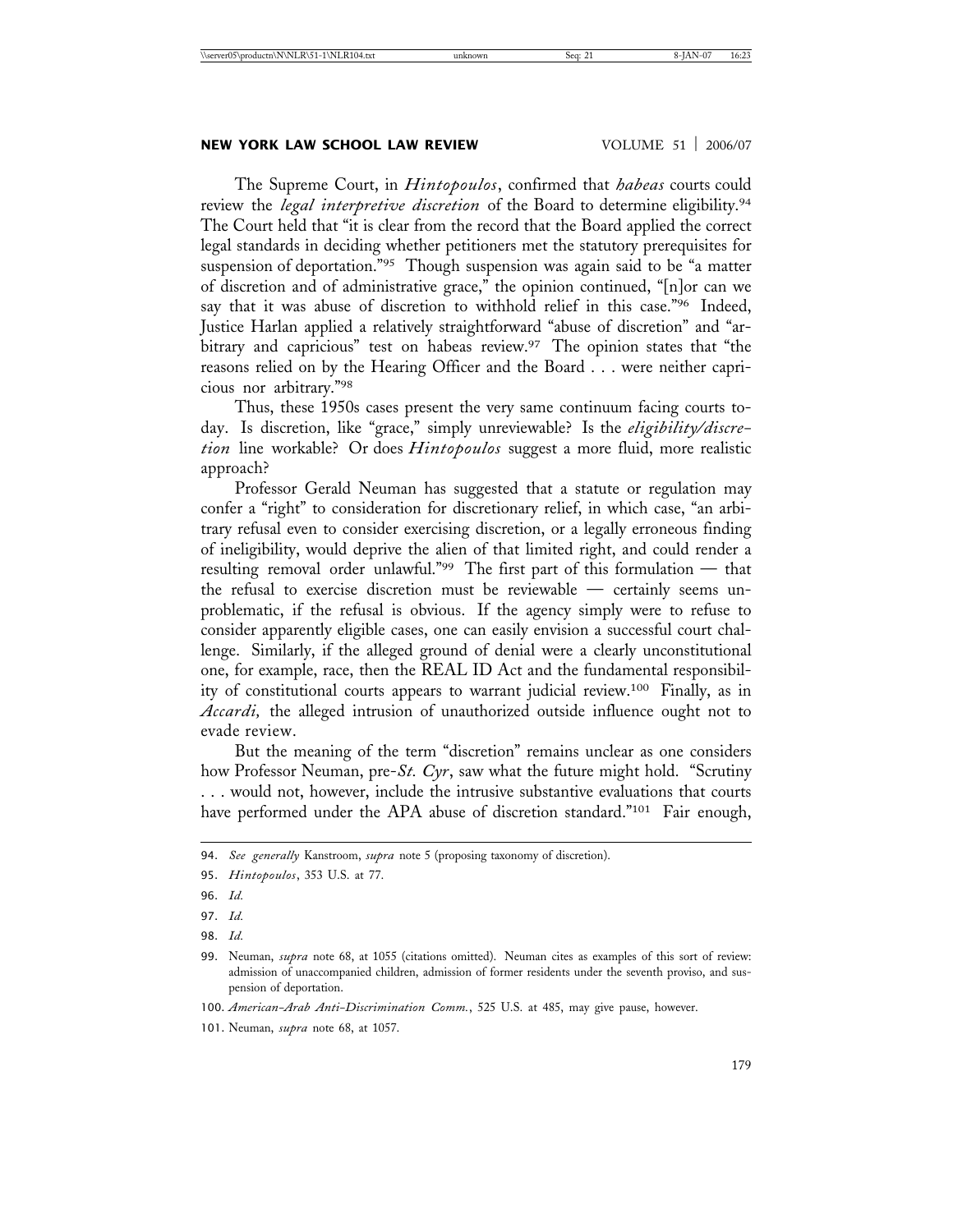# **NEW YORK LAW SCHOOL LAW REVIEW WOLUME 51 | 2006/07**

The Supreme Court, in *Hintopoulos*, confirmed that *habeas* courts could review the *legal interpretive discretion* of the Board to determine eligibility.94 The Court held that "it is clear from the record that the Board applied the correct legal standards in deciding whether petitioners met the statutory prerequisites for suspension of deportation."<sup>95</sup> Though suspension was again said to be "a matter of discretion and of administrative grace," the opinion continued, "[n]or can we say that it was abuse of discretion to withhold relief in this case."<sup>96</sup> Indeed, Justice Harlan applied a relatively straightforward "abuse of discretion" and "arbitrary and capricious" test on habeas review.<sup>97</sup> The opinion states that "the reasons relied on by the Hearing Officer and the Board . . . were neither capricious nor arbitrary."98

Thus, these 1950s cases present the very same continuum facing courts today. Is discretion, like "grace," simply unreviewable? Is the *eligibility/discretion* line workable? Or does *Hintopoulos* suggest a more fluid, more realistic approach?

Professor Gerald Neuman has suggested that a statute or regulation may confer a "right" to consideration for discretionary relief, in which case, "an arbitrary refusal even to consider exercising discretion, or a legally erroneous finding of ineligibility, would deprive the alien of that limited right, and could render a resulting removal order unlawful."99 The first part of this formulation — that the refusal to exercise discretion must be reviewable — certainly seems unproblematic, if the refusal is obvious. If the agency simply were to refuse to consider apparently eligible cases, one can easily envision a successful court challenge. Similarly, if the alleged ground of denial were a clearly unconstitutional one, for example, race, then the REAL ID Act and the fundamental responsibility of constitutional courts appears to warrant judicial review.100 Finally, as in *Accardi,* the alleged intrusion of unauthorized outside influence ought not to evade review.

But the meaning of the term "discretion" remains unclear as one considers how Professor Neuman, pre-*St. Cyr*, saw what the future might hold. "Scrutiny . . . would not, however, include the intrusive substantive evaluations that courts have performed under the APA abuse of discretion standard."<sup>101</sup> Fair enough,

<sup>94.</sup> *See generally* Kanstroom, *supra* note 5 (proposing taxonomy of discretion).

<sup>95.</sup> *Hintopoulos*, 353 U.S. at 77.

<sup>96.</sup> *Id.*

<sup>97.</sup> *Id.*

<sup>98.</sup> *Id.*

<sup>99.</sup> Neuman, *supra* note 68, at 1055 (citations omitted). Neuman cites as examples of this sort of review: admission of unaccompanied children, admission of former residents under the seventh proviso, and suspension of deportation.

<sup>100.</sup> *American-Arab Anti-Discrimination Comm.*, 525 U.S. at 485, may give pause, however.

<sup>101.</sup> Neuman, *supra* note 68, at 1057.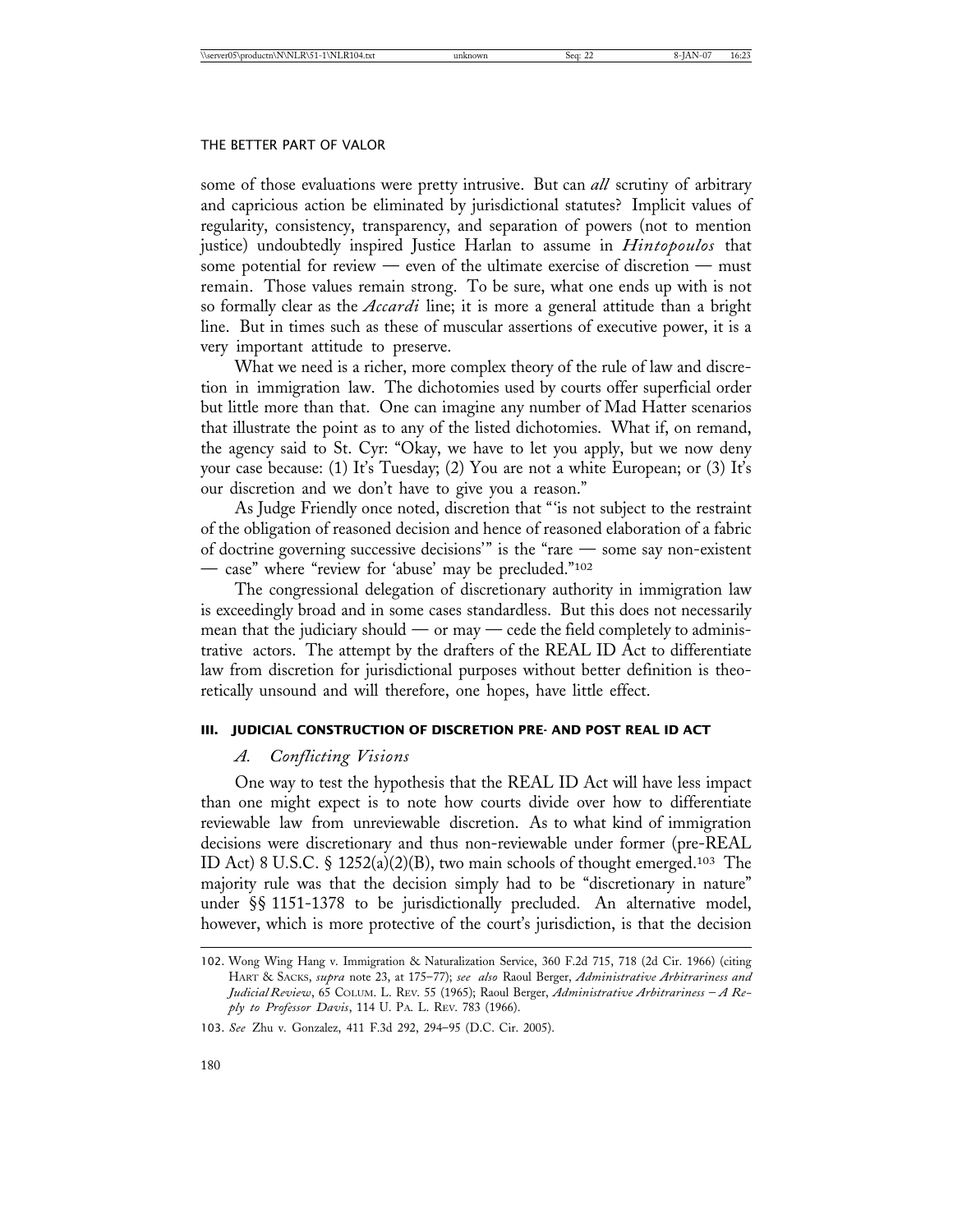some of those evaluations were pretty intrusive. But can *all* scrutiny of arbitrary and capricious action be eliminated by jurisdictional statutes? Implicit values of regularity, consistency, transparency, and separation of powers (not to mention justice) undoubtedly inspired Justice Harlan to assume in *Hintopoulos* that some potential for review — even of the ultimate exercise of discretion — must remain. Those values remain strong. To be sure, what one ends up with is not so formally clear as the *Accardi* line; it is more a general attitude than a bright line. But in times such as these of muscular assertions of executive power, it is a very important attitude to preserve.

What we need is a richer, more complex theory of the rule of law and discretion in immigration law. The dichotomies used by courts offer superficial order but little more than that. One can imagine any number of Mad Hatter scenarios that illustrate the point as to any of the listed dichotomies. What if, on remand, the agency said to St. Cyr: "Okay, we have to let you apply, but we now deny your case because: (1) It's Tuesday; (2) You are not a white European; or (3) It's our discretion and we don't have to give you a reason."

As Judge Friendly once noted, discretion that "'is not subject to the restraint of the obligation of reasoned decision and hence of reasoned elaboration of a fabric of doctrine governing successive decisions'" is the "rare — some say non-existent — case" where "review for 'abuse' may be precluded."102

The congressional delegation of discretionary authority in immigration law is exceedingly broad and in some cases standardless. But this does not necessarily mean that the judiciary should — or may — cede the field completely to administrative actors. The attempt by the drafters of the REAL ID Act to differentiate law from discretion for jurisdictional purposes without better definition is theoretically unsound and will therefore, one hopes, have little effect.

#### **III. JUDICIAL CONSTRUCTION OF DISCRETION PRE- AND POST REAL ID ACT**

# *A. Conflicting Visions*

One way to test the hypothesis that the REAL ID Act will have less impact than one might expect is to note how courts divide over how to differentiate reviewable law from unreviewable discretion. As to what kind of immigration decisions were discretionary and thus non-reviewable under former (pre-REAL ID Act) 8 U.S.C. § 1252(a)(2)(B), two main schools of thought emerged.103 The majority rule was that the decision simply had to be "discretionary in nature" under §§ 1151-1378 to be jurisdictionally precluded. An alternative model, however, which is more protective of the court's jurisdiction, is that the decision

<sup>102.</sup> Wong Wing Hang v. Immigration & Naturalization Service, 360 F.2d 715, 718 (2d Cir. 1966) (citing HART & SACKS, *supra* note 23, at 175–77); *see also* Raoul Berger, *Administrative Arbitrariness and Judicial Review*, 65 COLUM. L. REV. 55 (1965); Raoul Berger, *Administrative Arbitrariness – A Reply to Professor Davis*, 114 U. PA. L. REV. 783 (1966).

<sup>103.</sup> *See* Zhu v. Gonzalez, 411 F.3d 292, 294–95 (D.C. Cir. 2005).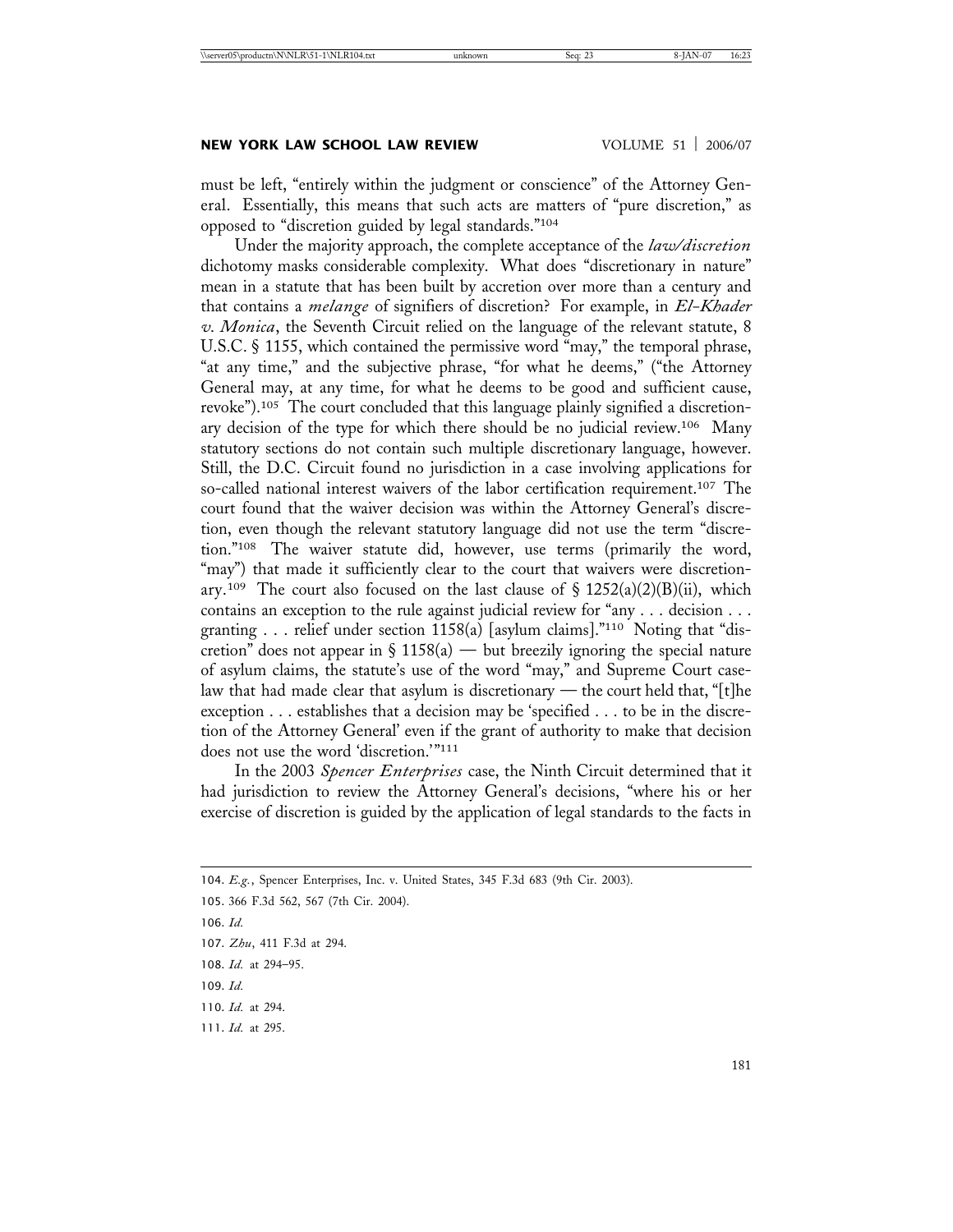must be left, "entirely within the judgment or conscience" of the Attorney General. Essentially, this means that such acts are matters of "pure discretion," as opposed to "discretion guided by legal standards."104

Under the majority approach, the complete acceptance of the *law/discretion* dichotomy masks considerable complexity. What does "discretionary in nature" mean in a statute that has been built by accretion over more than a century and that contains a *melange* of signifiers of discretion? For example, in *El-Khader v. Monica*, the Seventh Circuit relied on the language of the relevant statute, 8 U.S.C. § 1155, which contained the permissive word "may," the temporal phrase, "at any time," and the subjective phrase, "for what he deems," ("the Attorney General may, at any time, for what he deems to be good and sufficient cause, revoke").105 The court concluded that this language plainly signified a discretionary decision of the type for which there should be no judicial review.106 Many statutory sections do not contain such multiple discretionary language, however. Still, the D.C. Circuit found no jurisdiction in a case involving applications for so-called national interest waivers of the labor certification requirement.<sup>107</sup> The court found that the waiver decision was within the Attorney General's discretion, even though the relevant statutory language did not use the term "discretion."108 The waiver statute did, however, use terms (primarily the word, "may") that made it sufficiently clear to the court that waivers were discretionary.<sup>109</sup> The court also focused on the last clause of  $\S$  1252(a)(2)(B)(ii), which contains an exception to the rule against judicial review for "any . . . decision . . . granting . . . relief under section 1158(a) [asylum claims]."110 Noting that "discretion" does not appear in  $\S 1158(a)$  — but breezily ignoring the special nature of asylum claims, the statute's use of the word "may," and Supreme Court caselaw that had made clear that asylum is discretionary — the court held that, " $[t]$ he exception . . . establishes that a decision may be 'specified . . . to be in the discretion of the Attorney General' even if the grant of authority to make that decision does not use the word 'discretion.'"111

In the 2003 *Spencer Enterprises* case, the Ninth Circuit determined that it had jurisdiction to review the Attorney General's decisions, "where his or her exercise of discretion is guided by the application of legal standards to the facts in

104. *E.g.*, Spencer Enterprises, Inc. v. United States, 345 F.3d 683 (9th Cir. 2003).

106. *Id.*

<sup>105.</sup> 366 F.3d 562, 567 (7th Cir. 2004).

<sup>107.</sup> *Zhu*, 411 F.3d at 294.

<sup>108.</sup> *Id.* at 294–95.

<sup>109.</sup> *Id.*

<sup>110.</sup> *Id.* at 294.

<sup>111.</sup> *Id.* at 295.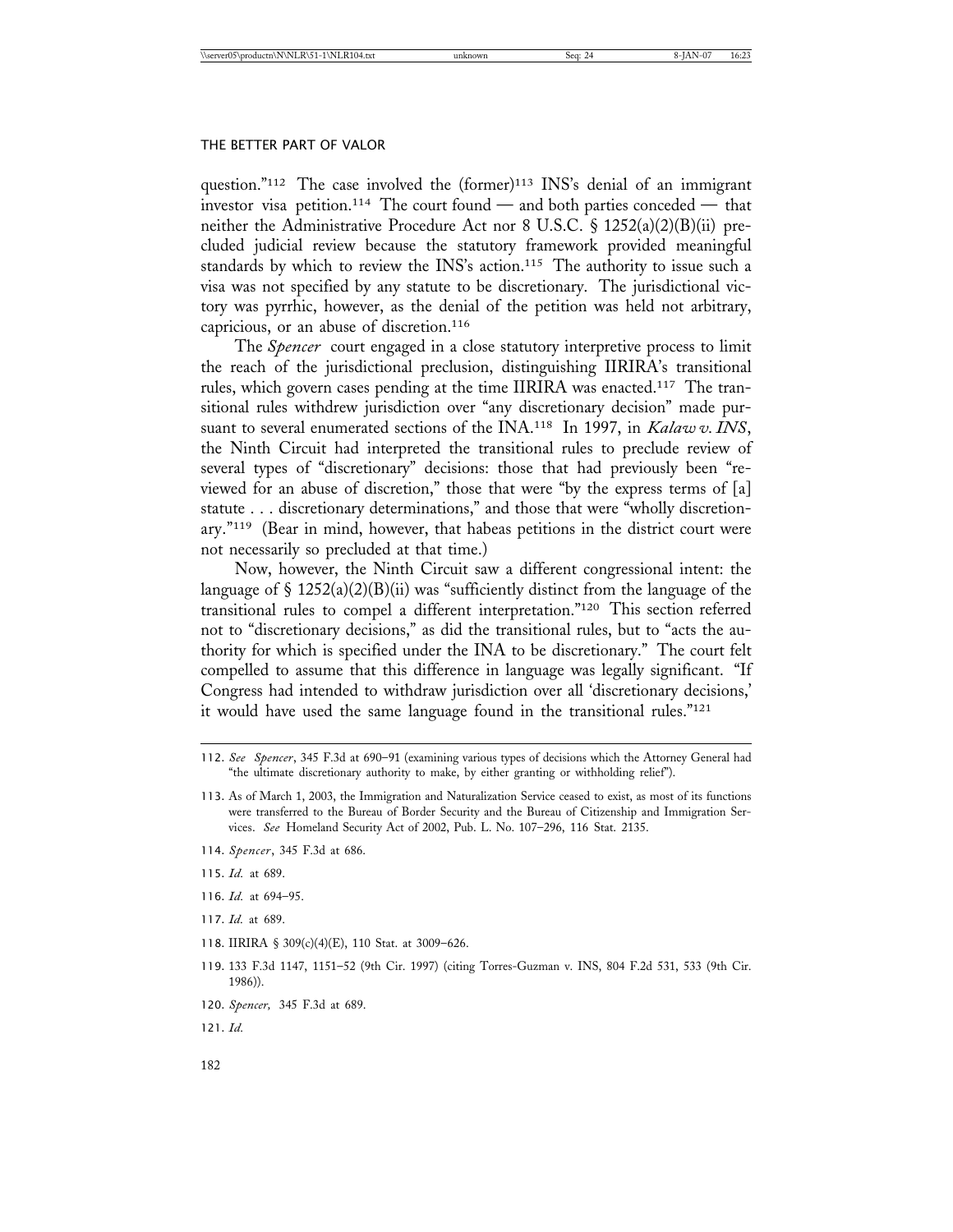question."<sup>112</sup> The case involved the (former)<sup>113</sup> INS's denial of an immigrant investor visa petition.114 The court found — and both parties conceded — that neither the Administrative Procedure Act nor 8 U.S.C. § 1252(a)(2)(B)(ii) precluded judicial review because the statutory framework provided meaningful standards by which to review the INS's action.<sup>115</sup> The authority to issue such a visa was not specified by any statute to be discretionary. The jurisdictional victory was pyrrhic, however, as the denial of the petition was held not arbitrary, capricious, or an abuse of discretion.116

The *Spencer* court engaged in a close statutory interpretive process to limit the reach of the jurisdictional preclusion, distinguishing IIRIRA's transitional rules, which govern cases pending at the time IIRIRA was enacted.117 The transitional rules withdrew jurisdiction over "any discretionary decision" made pursuant to several enumerated sections of the INA.118 In 1997, in *Kalaw v. INS*, the Ninth Circuit had interpreted the transitional rules to preclude review of several types of "discretionary" decisions: those that had previously been "reviewed for an abuse of discretion," those that were "by the express terms of [a] statute . . . discretionary determinations," and those that were "wholly discretionary."119 (Bear in mind, however, that habeas petitions in the district court were not necessarily so precluded at that time.)

Now, however, the Ninth Circuit saw a different congressional intent: the language of  $\S 1252(a)(2)(B)(ii)$  was "sufficiently distinct from the language of the transitional rules to compel a different interpretation."120 This section referred not to "discretionary decisions," as did the transitional rules, but to "acts the authority for which is specified under the INA to be discretionary." The court felt compelled to assume that this difference in language was legally significant. "If Congress had intended to withdraw jurisdiction over all 'discretionary decisions,' it would have used the same language found in the transitional rules."121

- 114. *Spencer*, 345 F.3d at 686.
- 115. *Id.* at 689.
- 116. *Id.* at 694–95.
- 117. *Id.* at 689.
- 118. IIRIRA § 309(c)(4)(E), 110 Stat. at 3009–626.
- 119. 133 F.3d 1147, 1151–52 (9th Cir. 1997) (citing Torres-Guzman v. INS, 804 F.2d 531, 533 (9th Cir. 1986)).
- 120. *Spencer,* 345 F.3d at 689.
- 121. *Id.*

<sup>112.</sup> *See Spencer*, 345 F.3d at 690–91 (examining various types of decisions which the Attorney General had "the ultimate discretionary authority to make, by either granting or withholding relief").

<sup>113.</sup> As of March 1, 2003, the Immigration and Naturalization Service ceased to exist, as most of its functions were transferred to the Bureau of Border Security and the Bureau of Citizenship and Immigration Services. *See* Homeland Security Act of 2002, Pub. L. No. 107–296, 116 Stat. 2135.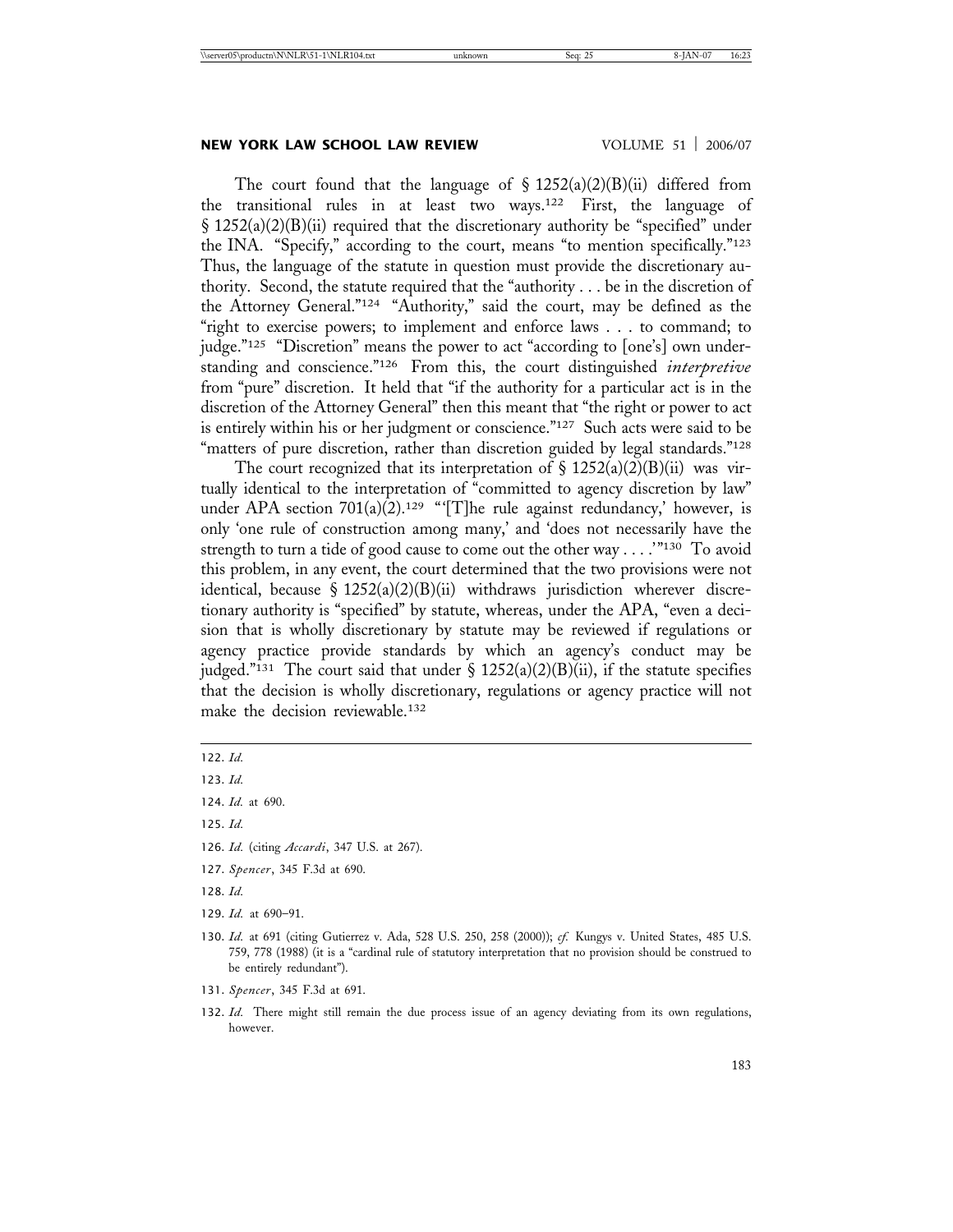The court found that the language of  $\S 1252(a)(2)(B)(ii)$  differed from the transitional rules in at least two ways.122 First, the language of § 1252(a)(2)(B)(ii) required that the discretionary authority be "specified" under the INA. "Specify," according to the court, means "to mention specifically."123 Thus, the language of the statute in question must provide the discretionary authority. Second, the statute required that the "authority . . . be in the discretion of the Attorney General."124 "Authority," said the court, may be defined as the "right to exercise powers; to implement and enforce laws . . . to command; to judge."125 "Discretion" means the power to act "according to [one's] own understanding and conscience."126 From this, the court distinguished *interpretive* from "pure" discretion. It held that "if the authority for a particular act is in the discretion of the Attorney General" then this meant that "the right or power to act is entirely within his or her judgment or conscience."127 Such acts were said to be "matters of pure discretion, rather than discretion guided by legal standards."<sup>128</sup>

The court recognized that its interpretation of  $\S$  1252(a)(2)(B)(ii) was virtually identical to the interpretation of "committed to agency discretion by law" under APA section 701(a)(2).<sup>129</sup> "'[T]he rule against redundancy,' however, is only 'one rule of construction among many,' and 'does not necessarily have the strength to turn a tide of good cause to come out the other way . . . .'"130 To avoid this problem, in any event, the court determined that the two provisions were not identical, because §  $1252(a)(2)(B)(ii)$  withdraws jurisdiction wherever discretionary authority is "specified" by statute, whereas, under the APA, "even a decision that is wholly discretionary by statute may be reviewed if regulations or agency practice provide standards by which an agency's conduct may be judged."<sup>131</sup> The court said that under  $\S 1252(a)(2)(B)(ii)$ , if the statute specifies that the decision is wholly discretionary, regulations or agency practice will not make the decision reviewable.132

125. *Id.*

127. *Spencer*, 345 F.3d at 690.

129. *Id.* at 690–91.

<sup>122.</sup> *Id.*

<sup>123.</sup> *Id.*

<sup>124.</sup> *Id.* at 690.

<sup>126.</sup> *Id.* (citing *Accardi*, 347 U.S. at 267).

<sup>128.</sup> *Id.*

<sup>130.</sup> *Id.* at 691 (citing Gutierrez v. Ada, 528 U.S. 250, 258 (2000)); *cf.* Kungys v. United States, 485 U.S. 759, 778 (1988) (it is a "cardinal rule of statutory interpretation that no provision should be construed to be entirely redundant").

<sup>131.</sup> *Spencer*, 345 F.3d at 691.

<sup>132.</sup> *Id.* There might still remain the due process issue of an agency deviating from its own regulations, however.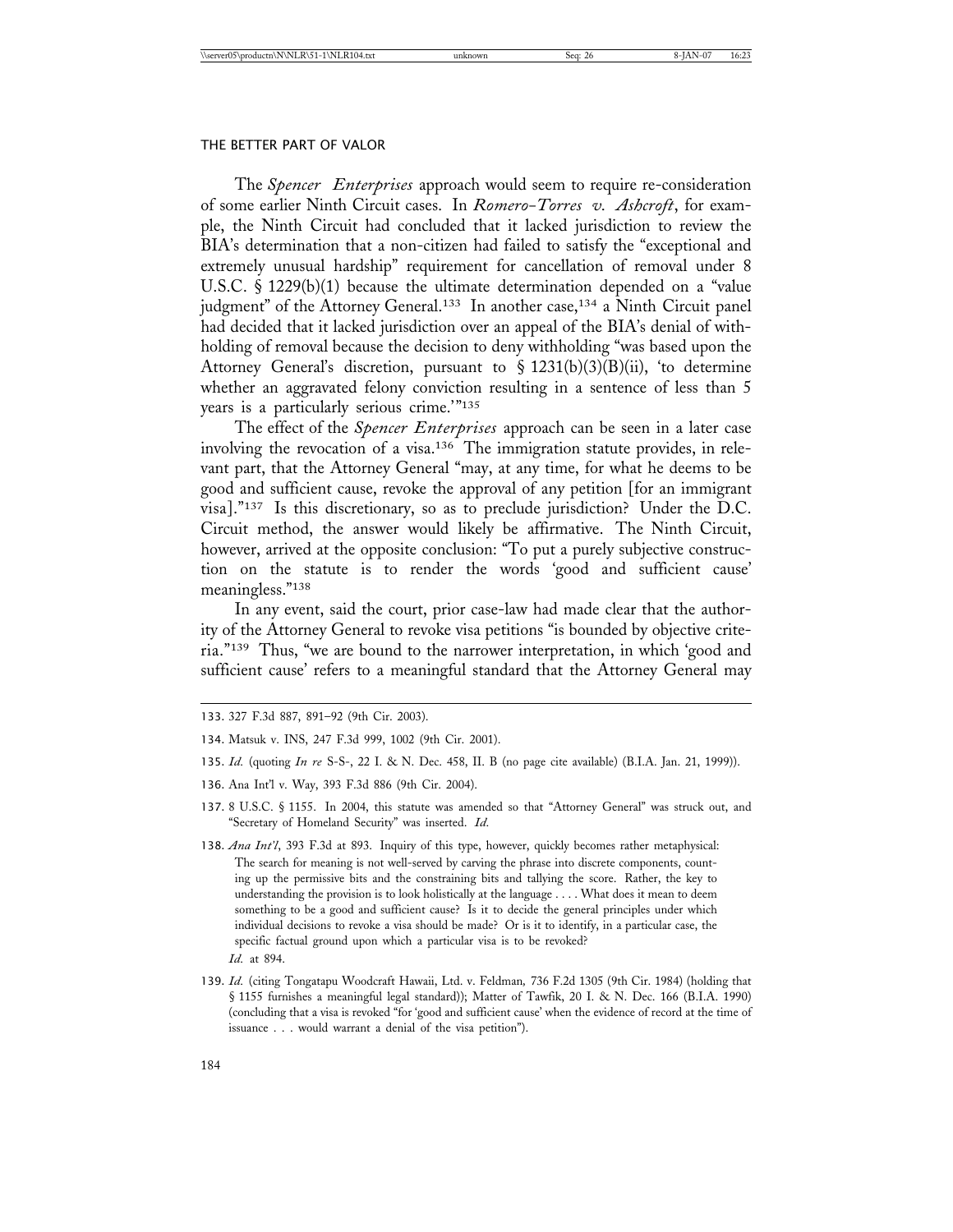The *Spencer Enterprises* approach would seem to require re-consideration of some earlier Ninth Circuit cases. In *Romero-Torres v. Ashcroft*, for example, the Ninth Circuit had concluded that it lacked jurisdiction to review the BIA's determination that a non-citizen had failed to satisfy the "exceptional and extremely unusual hardship" requirement for cancellation of removal under 8 U.S.C. § 1229(b)(1) because the ultimate determination depended on a "value judgment" of the Attorney General.<sup>133</sup> In another case,<sup>134</sup> a Ninth Circuit panel had decided that it lacked jurisdiction over an appeal of the BIA's denial of withholding of removal because the decision to deny withholding "was based upon the Attorney General's discretion, pursuant to § 1231(b)(3)(B)(ii), 'to determine whether an aggravated felony conviction resulting in a sentence of less than 5 years is a particularly serious crime.'"135

The effect of the *Spencer Enterprises* approach can be seen in a later case involving the revocation of a visa.136 The immigration statute provides, in relevant part, that the Attorney General "may, at any time, for what he deems to be good and sufficient cause, revoke the approval of any petition [for an immigrant visa]."137 Is this discretionary, so as to preclude jurisdiction? Under the D.C. Circuit method, the answer would likely be affirmative. The Ninth Circuit, however, arrived at the opposite conclusion: "To put a purely subjective construction on the statute is to render the words 'good and sufficient cause' meaningless."138

In any event, said the court, prior case-law had made clear that the authority of the Attorney General to revoke visa petitions "is bounded by objective criteria."139 Thus, "we are bound to the narrower interpretation, in which 'good and sufficient cause' refers to a meaningful standard that the Attorney General may

- 135. *Id.* (quoting *In re* S-S-, 22 I. & N. Dec. 458, II. B (no page cite available) (B.I.A. Jan. 21, 1999)).
- 136. Ana Int'l v. Way, 393 F.3d 886 (9th Cir. 2004).
- 137. 8 U.S.C. § 1155. In 2004, this statute was amended so that "Attorney General" was struck out, and "Secretary of Homeland Security" was inserted. *Id.*
- 138. *Ana Int'l*, 393 F.3d at 893. Inquiry of this type, however, quickly becomes rather metaphysical: The search for meaning is not well-served by carving the phrase into discrete components, counting up the permissive bits and the constraining bits and tallying the score. Rather, the key to understanding the provision is to look holistically at the language . . . . What does it mean to deem something to be a good and sufficient cause? Is it to decide the general principles under which individual decisions to revoke a visa should be made? Or is it to identify, in a particular case, the specific factual ground upon which a particular visa is to be revoked? *Id.* at 894.
- 139. *Id.* (citing Tongatapu Woodcraft Hawaii, Ltd. v. Feldman*,* 736 F.2d 1305 (9th Cir. 1984) (holding that § 1155 furnishes a meaningful legal standard)); Matter of Tawfik, 20 I. & N. Dec. 166 (B.I.A. 1990) (concluding that a visa is revoked "for 'good and sufficient cause' when the evidence of record at the time of issuance . . . would warrant a denial of the visa petition").

<sup>133.</sup> 327 F.3d 887, 891–92 (9th Cir. 2003).

<sup>134.</sup> Matsuk v. INS, 247 F.3d 999, 1002 (9th Cir. 2001).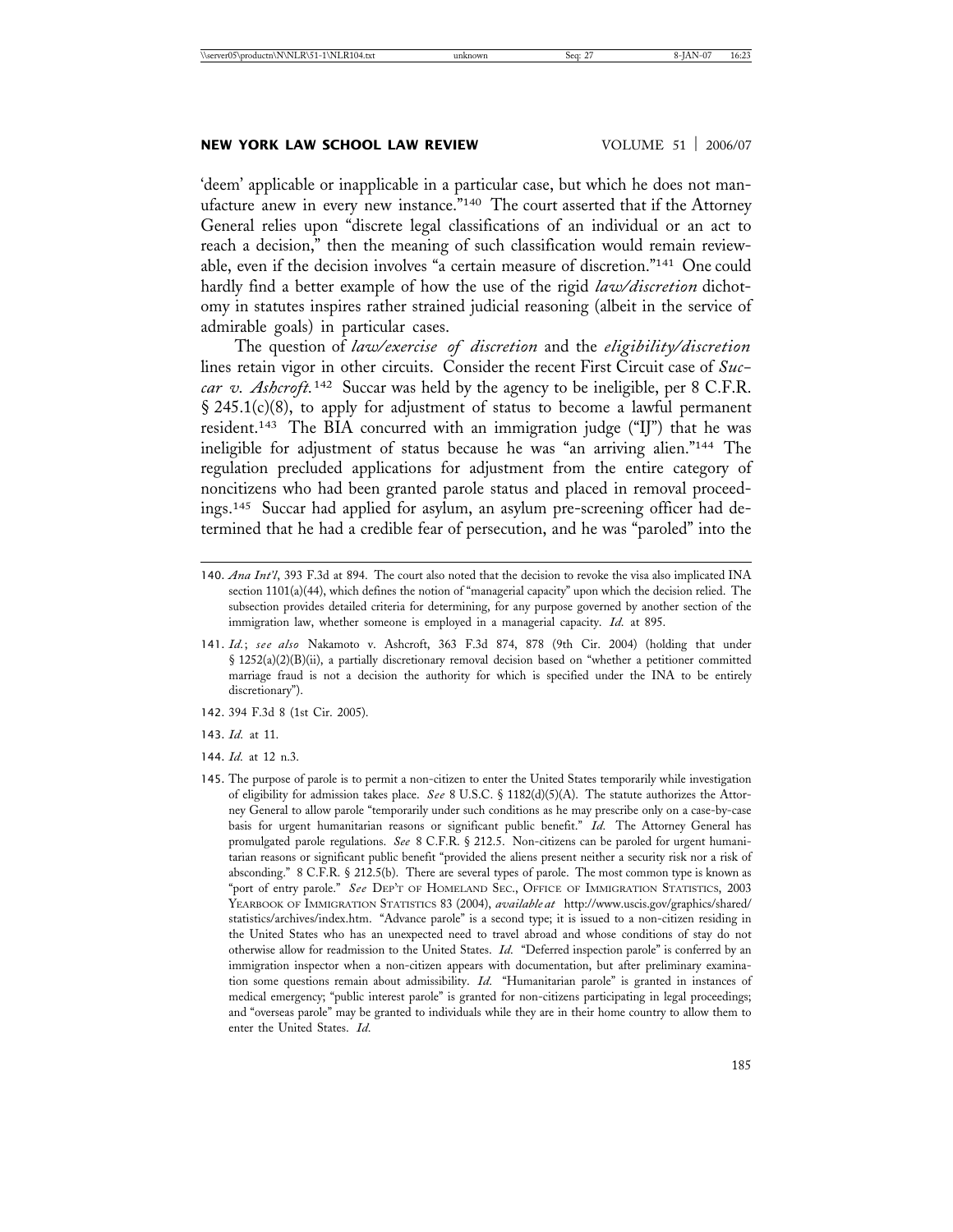# **NEW YORK LAW SCHOOL LAW REVIEW VOLUME 51 | 2006/07**

'deem' applicable or inapplicable in a particular case, but which he does not manufacture anew in every new instance."140 The court asserted that if the Attorney General relies upon "discrete legal classifications of an individual or an act to reach a decision," then the meaning of such classification would remain reviewable, even if the decision involves "a certain measure of discretion."141 One could hardly find a better example of how the use of the rigid *law/discretion* dichotomy in statutes inspires rather strained judicial reasoning (albeit in the service of admirable goals) in particular cases.

The question of *law/exercise of discretion* and the *eligibility/discretion* lines retain vigor in other circuits. Consider the recent First Circuit case of *Succar v. Ashcroft.*142 Succar was held by the agency to be ineligible, per 8 C.F.R. § 245.1(c)(8), to apply for adjustment of status to become a lawful permanent resident.143 The BIA concurred with an immigration judge ("IJ") that he was ineligible for adjustment of status because he was "an arriving alien."144 The regulation precluded applications for adjustment from the entire category of noncitizens who had been granted parole status and placed in removal proceedings.145 Succar had applied for asylum, an asylum pre-screening officer had determined that he had a credible fear of persecution, and he was "paroled" into the

- 142. 394 F.3d 8 (1st Cir. 2005).
- 143. *Id.* at 11.
- 144. *Id.* at 12 n.3.
- 145. The purpose of parole is to permit a non-citizen to enter the United States temporarily while investigation of eligibility for admission takes place. *See* 8 U.S.C. § 1182(d)(5)(A). The statute authorizes the Attorney General to allow parole "temporarily under such conditions as he may prescribe only on a case-by-case basis for urgent humanitarian reasons or significant public benefit." *Id.* The Attorney General has promulgated parole regulations. *See* 8 C.F.R. § 212.5. Non-citizens can be paroled for urgent humanitarian reasons or significant public benefit "provided the aliens present neither a security risk nor a risk of absconding." 8 C.F.R. § 212.5(b). There are several types of parole. The most common type is known as "port of entry parole." *See* DEP'T OF HOMELAND SEC., OFFICE OF IMMIGRATION STATISTICS, 2003 YEARBOOK OF IMMIGRATION STATISTICS 83 (2004), *available at* http://www.uscis.gov/graphics/shared/ statistics/archives/index.htm. "Advance parole" is a second type; it is issued to a non-citizen residing in the United States who has an unexpected need to travel abroad and whose conditions of stay do not otherwise allow for readmission to the United States. *Id.* "Deferred inspection parole" is conferred by an immigration inspector when a non-citizen appears with documentation, but after preliminary examination some questions remain about admissibility. *Id.* "Humanitarian parole" is granted in instances of medical emergency; "public interest parole" is granted for non-citizens participating in legal proceedings; and "overseas parole" may be granted to individuals while they are in their home country to allow them to enter the United States. *Id.*

<sup>140.</sup> *Ana Int'l*, 393 F.3d at 894. The court also noted that the decision to revoke the visa also implicated INA section 1101(a)(44), which defines the notion of "managerial capacity" upon which the decision relied. The subsection provides detailed criteria for determining, for any purpose governed by another section of the immigration law, whether someone is employed in a managerial capacity. *Id.* at 895.

<sup>141.</sup> *Id.*; *see also* Nakamoto v. Ashcroft, 363 F.3d 874, 878 (9th Cir. 2004) (holding that under § 1252(a)(2)(B)(ii), a partially discretionary removal decision based on "whether a petitioner committed marriage fraud is not a decision the authority for which is specified under the INA to be entirely discretionary").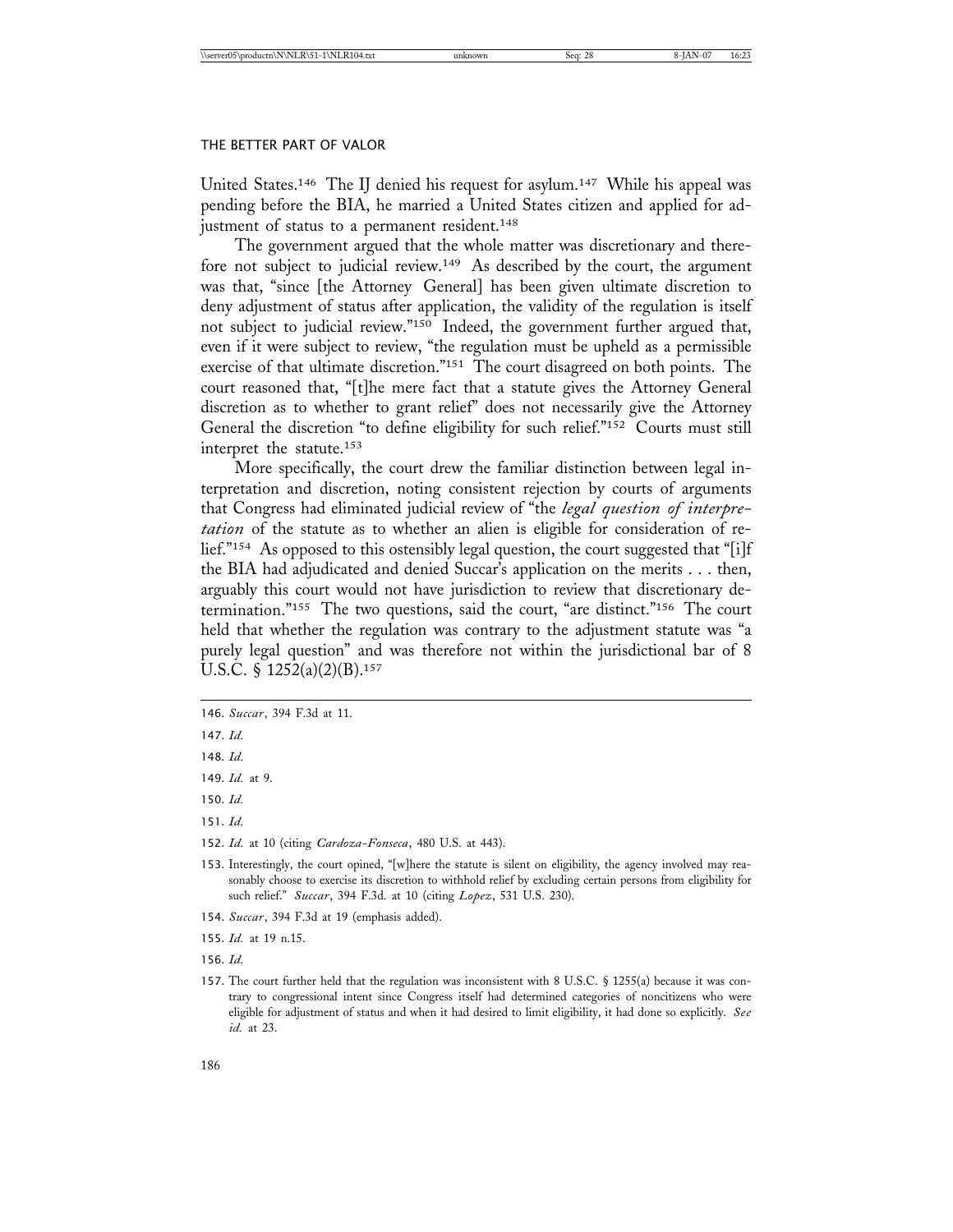United States.146 The IJ denied his request for asylum.147 While his appeal was pending before the BIA, he married a United States citizen and applied for adjustment of status to a permanent resident.<sup>148</sup>

The government argued that the whole matter was discretionary and therefore not subject to judicial review.<sup>149</sup> As described by the court, the argument was that, "since [the Attorney General] has been given ultimate discretion to deny adjustment of status after application, the validity of the regulation is itself not subject to judicial review."150 Indeed, the government further argued that, even if it were subject to review, "the regulation must be upheld as a permissible exercise of that ultimate discretion."151 The court disagreed on both points. The court reasoned that, "[t]he mere fact that a statute gives the Attorney General discretion as to whether to grant relief" does not necessarily give the Attorney General the discretion "to define eligibility for such relief."152 Courts must still interpret the statute.153

More specifically, the court drew the familiar distinction between legal interpretation and discretion, noting consistent rejection by courts of arguments that Congress had eliminated judicial review of "the *legal question of interpretation* of the statute as to whether an alien is eligible for consideration of relief."154 As opposed to this ostensibly legal question, the court suggested that "[i]f the BIA had adjudicated and denied Succar's application on the merits . . . then, arguably this court would not have jurisdiction to review that discretionary determination."155 The two questions, said the court, "are distinct."156 The court held that whether the regulation was contrary to the adjustment statute was "a purely legal question" and was therefore not within the jurisdictional bar of 8 U.S.C. § 1252(a)(2)(B).<sup>157</sup>

151. *Id.*

- 154. *Succar*, 394 F.3d at 19 (emphasis added).
- 155. *Id.* at 19 n.15.

156. *Id.*

<sup>146.</sup> *Succar*, 394 F.3d at 11.

<sup>147.</sup> *Id.*

<sup>148.</sup> *Id.*

<sup>149.</sup> *Id.* at 9.

<sup>150.</sup> *Id.*

<sup>152.</sup> *Id.* at 10 (citing *Cardoza-Fonseca*, 480 U.S. at 443).

<sup>153.</sup> Interestingly, the court opined, "[w]here the statute is silent on eligibility, the agency involved may reasonably choose to exercise its discretion to withhold relief by excluding certain persons from eligibility for such relief." *Succar*, 394 F.3d. at 10 (citing *Lopez*, 531 U.S. 230).

<sup>157.</sup> The court further held that the regulation was inconsistent with 8 U.S.C. § 1255(a) because it was contrary to congressional intent since Congress itself had determined categories of noncitizens who were eligible for adjustment of status and when it had desired to limit eligibility, it had done so explicitly. *See id.* at 23.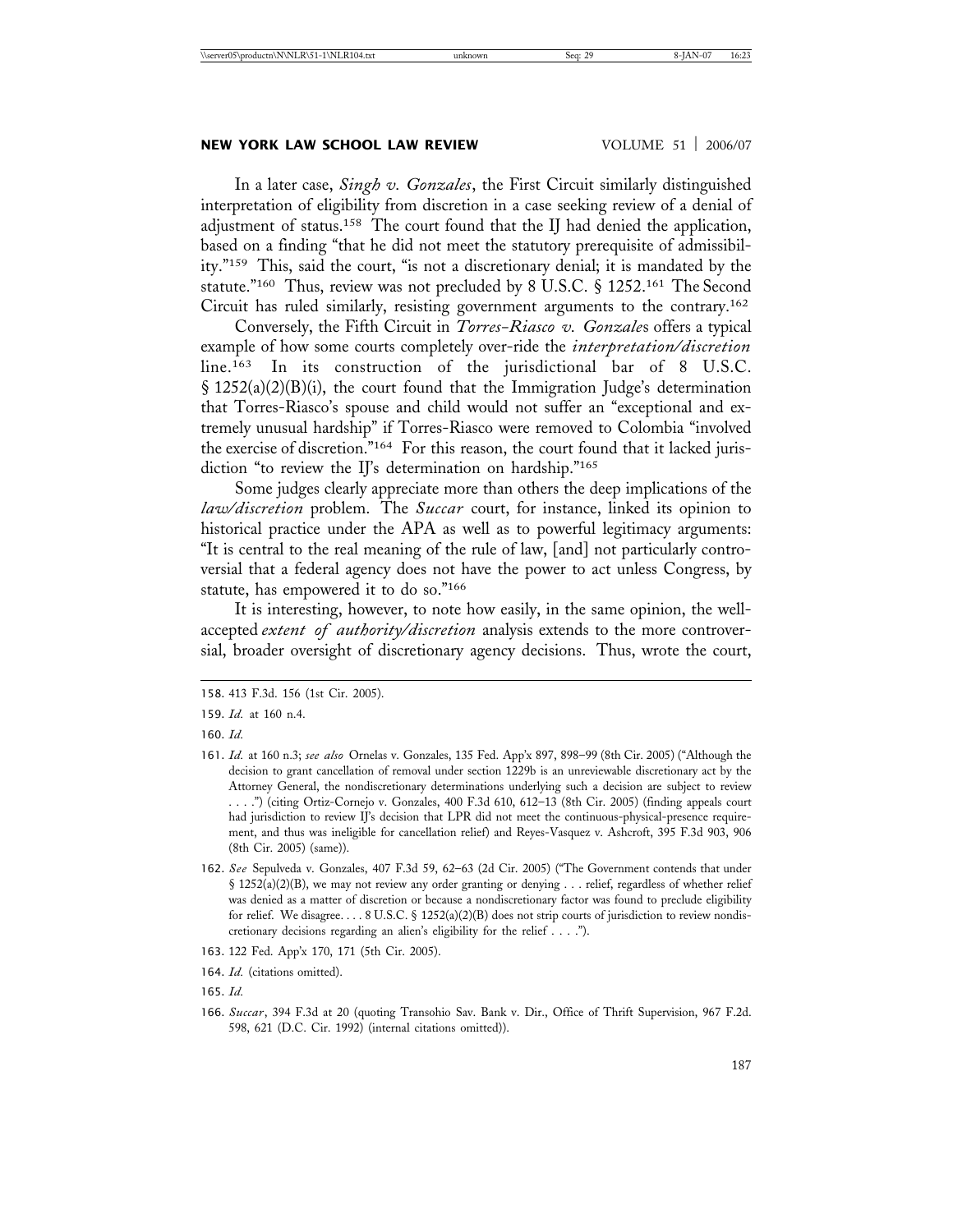# **NEW YORK LAW SCHOOL LAW REVIEW WOLUME 51 | 2006/07**

In a later case, *Singh v. Gonzales*, the First Circuit similarly distinguished interpretation of eligibility from discretion in a case seeking review of a denial of adjustment of status.158 The court found that the IJ had denied the application, based on a finding "that he did not meet the statutory prerequisite of admissibility."159 This, said the court, "is not a discretionary denial; it is mandated by the statute."160 Thus, review was not precluded by 8 U.S.C. § 1252.161 The Second Circuit has ruled similarly, resisting government arguments to the contrary.162

Conversely, the Fifth Circuit in *Torres-Riasco v. Gonzale*s offers a typical example of how some courts completely over-ride the *interpretation/discretion* line.163 In its construction of the jurisdictional bar of 8 U.S.C. § 1252(a)(2)(B)(i), the court found that the Immigration Judge's determination that Torres-Riasco's spouse and child would not suffer an "exceptional and extremely unusual hardship" if Torres-Riasco were removed to Colombia "involved the exercise of discretion."164 For this reason, the court found that it lacked jurisdiction "to review the IJ's determination on hardship."165

Some judges clearly appreciate more than others the deep implications of the *law/discretion* problem. The *Succar* court, for instance, linked its opinion to historical practice under the APA as well as to powerful legitimacy arguments: "It is central to the real meaning of the rule of law, [and] not particularly controversial that a federal agency does not have the power to act unless Congress, by statute, has empowered it to do so."166

It is interesting, however, to note how easily, in the same opinion, the wellaccepted *extent of authority/discretion* analysis extends to the more controversial, broader oversight of discretionary agency decisions. Thus, wrote the court,

<sup>158.</sup> 413 F.3d. 156 (1st Cir. 2005).

<sup>159.</sup> *Id.* at 160 n.4.

<sup>160.</sup> *Id.*

<sup>161.</sup> *Id.* at 160 n.3; *see also* Ornelas v. Gonzales, 135 Fed. App'x 897, 898–99 (8th Cir. 2005) ("Although the decision to grant cancellation of removal under section 1229b is an unreviewable discretionary act by the Attorney General, the nondiscretionary determinations underlying such a decision are subject to review . . . .") (citing Ortiz-Cornejo v. Gonzales, 400 F.3d 610, 612–13 (8th Cir. 2005) (finding appeals court had jurisdiction to review II's decision that LPR did not meet the continuous-physical-presence requirement, and thus was ineligible for cancellation relief) and Reyes-Vasquez v. Ashcroft, 395 F.3d 903, 906 (8th Cir. 2005) (same)).

<sup>162.</sup> *See* Sepulveda v. Gonzales, 407 F.3d 59, 62–63 (2d Cir. 2005) ("The Government contends that under § 1252(a)(2)(B), we may not review any order granting or denying . . . relief, regardless of whether relief was denied as a matter of discretion or because a nondiscretionary factor was found to preclude eligibility for relief. We disagree. . . . 8 U.S.C. § 1252(a)(2)(B) does not strip courts of jurisdiction to review nondiscretionary decisions regarding an alien's eligibility for the relief . . . .").

<sup>163.</sup> 122 Fed. App'x 170, 171 (5th Cir. 2005).

<sup>164.</sup> *Id.* (citations omitted).

<sup>165.</sup> *Id.*

<sup>166.</sup> *Succar*, 394 F.3d at 20 (quoting Transohio Sav. Bank v. Dir., Office of Thrift Supervision, 967 F.2d. 598, 621 (D.C. Cir. 1992) (internal citations omitted)).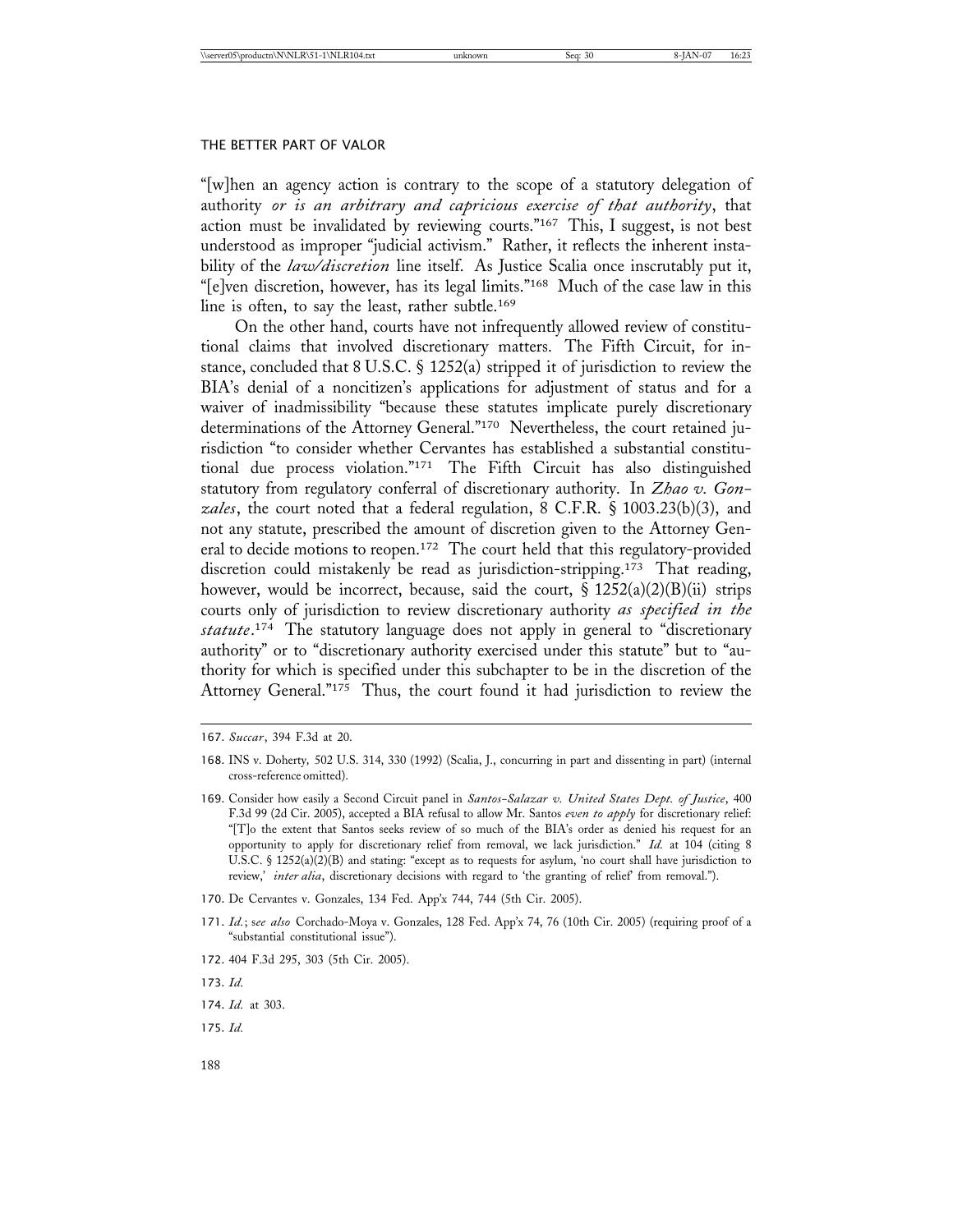"[w]hen an agency action is contrary to the scope of a statutory delegation of authority *or is an arbitrary and capricious exercise of that authority*, that action must be invalidated by reviewing courts."<sup>167</sup> This, I suggest, is not best understood as improper "judicial activism." Rather, it reflects the inherent instability of the *law/discretion* line itself. As Justice Scalia once inscrutably put it, "[e]ven discretion, however, has its legal limits."168 Much of the case law in this line is often, to say the least, rather subtle.169

On the other hand, courts have not infrequently allowed review of constitutional claims that involved discretionary matters. The Fifth Circuit, for instance, concluded that 8 U.S.C. § 1252(a) stripped it of jurisdiction to review the BIA's denial of a noncitizen's applications for adjustment of status and for a waiver of inadmissibility "because these statutes implicate purely discretionary determinations of the Attorney General."170 Nevertheless, the court retained jurisdiction "to consider whether Cervantes has established a substantial constitutional due process violation."171 The Fifth Circuit has also distinguished statutory from regulatory conferral of discretionary authority. In *Zhao v. Gonzales*, the court noted that a federal regulation, 8 C.F.R. § 1003.23(b)(3), and not any statute, prescribed the amount of discretion given to the Attorney General to decide motions to reopen.172 The court held that this regulatory-provided discretion could mistakenly be read as jurisdiction-stripping.173 That reading, however, would be incorrect, because, said the court,  $\S 1252(a)(2)(B)(ii)$  strips courts only of jurisdiction to review discretionary authority *as specified in the statute*. 174 The statutory language does not apply in general to "discretionary authority" or to "discretionary authority exercised under this statute" but to "authority for which is specified under this subchapter to be in the discretion of the Attorney General."175 Thus, the court found it had jurisdiction to review the

- 170. De Cervantes v. Gonzales, 134 Fed. App'x 744, 744 (5th Cir. 2005).
- 171. *Id.*; s*ee also* Corchado-Moya v. Gonzales, 128 Fed. App'x 74, 76 (10th Cir. 2005) (requiring proof of a "substantial constitutional issue").
- 172. 404 F.3d 295, 303 (5th Cir. 2005).
- 173. *Id.*

175. *Id.*

<sup>167.</sup> *Succar*, 394 F.3d at 20.

<sup>168.</sup> INS v. Doherty*,* 502 U.S. 314, 330 (1992) (Scalia, J., concurring in part and dissenting in part) (internal cross-reference omitted).

<sup>169.</sup> Consider how easily a Second Circuit panel in *Santos-Salazar v. United States Dept. of Justice*, 400 F.3d 99 (2d Cir. 2005), accepted a BIA refusal to allow Mr. Santos *even to apply* for discretionary relief: "[T]o the extent that Santos seeks review of so much of the BIA's order as denied his request for an opportunity to apply for discretionary relief from removal, we lack jurisdiction." *Id.* at 104 (citing 8 U.S.C. § 1252(a)(2)(B) and stating: "except as to requests for asylum, 'no court shall have jurisdiction to review,' *inter alia*, discretionary decisions with regard to 'the granting of relief' from removal.").

<sup>174.</sup> *Id.* at 303.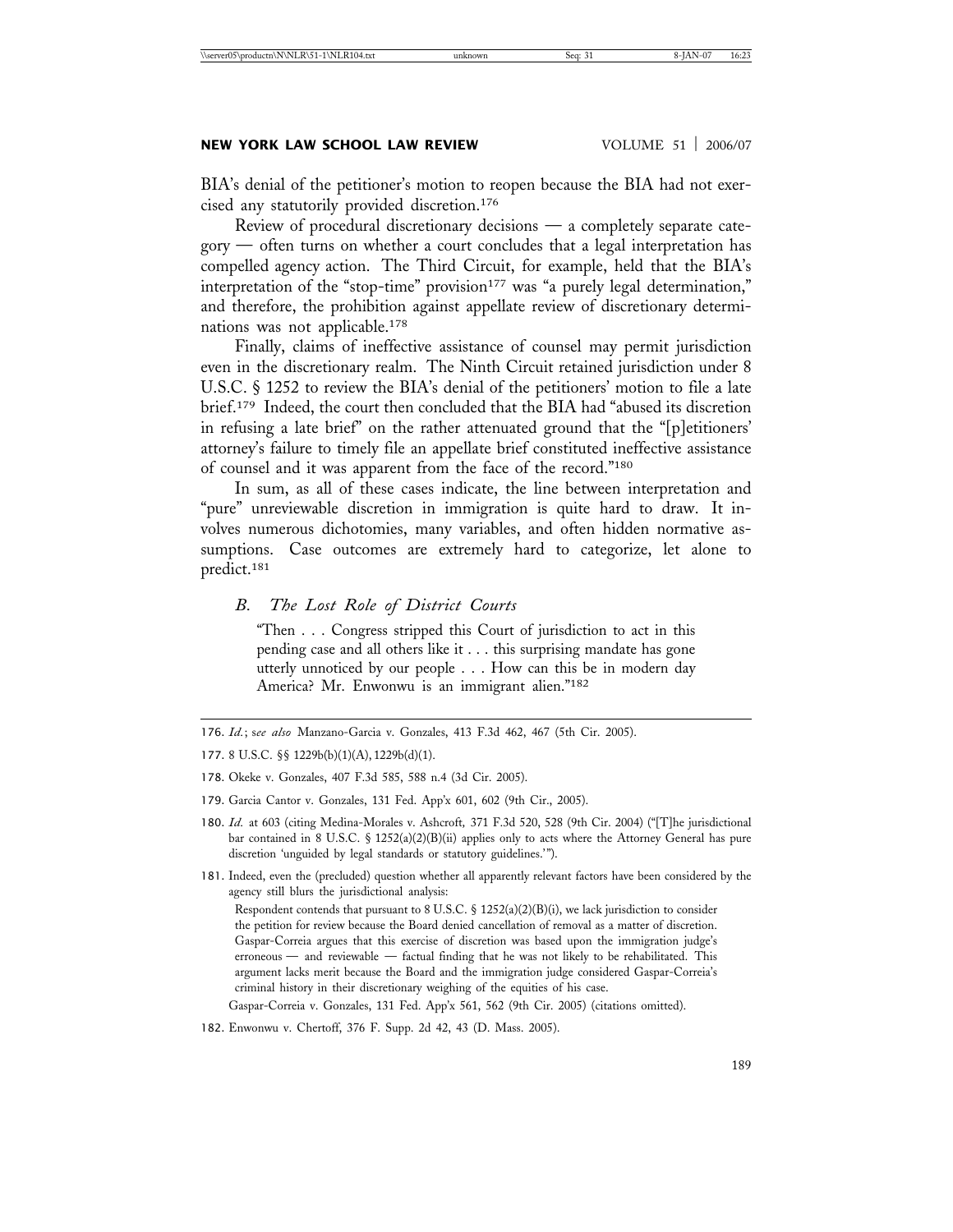BIA's denial of the petitioner's motion to reopen because the BIA had not exercised any statutorily provided discretion.176

Review of procedural discretionary decisions — a completely separate category — often turns on whether a court concludes that a legal interpretation has compelled agency action. The Third Circuit, for example, held that the BIA's interpretation of the "stop-time" provision<sup>177</sup> was "a purely legal determination," and therefore, the prohibition against appellate review of discretionary determinations was not applicable.178

Finally, claims of ineffective assistance of counsel may permit jurisdiction even in the discretionary realm. The Ninth Circuit retained jurisdiction under 8 U.S.C. § 1252 to review the BIA's denial of the petitioners' motion to file a late brief.179 Indeed, the court then concluded that the BIA had "abused its discretion in refusing a late brief" on the rather attenuated ground that the "[p]etitioners' attorney's failure to timely file an appellate brief constituted ineffective assistance of counsel and it was apparent from the face of the record."180

In sum, as all of these cases indicate, the line between interpretation and "pure" unreviewable discretion in immigration is quite hard to draw. It involves numerous dichotomies, many variables, and often hidden normative assumptions. Case outcomes are extremely hard to categorize, let alone to predict.181

*B. The Lost Role of District Courts*

"Then . . . Congress stripped this Court of jurisdiction to act in this pending case and all others like it . . . this surprising mandate has gone utterly unnoticed by our people . . . How can this be in modern day America? Mr. Enwonwu is an immigrant alien."<sup>182</sup>

- 178. Okeke v. Gonzales, 407 F.3d 585, 588 n.4 (3d Cir. 2005).
- 179. Garcia Cantor v. Gonzales, 131 Fed. App'x 601, 602 (9th Cir., 2005).
- 180. *Id.* at 603 (citing Medina-Morales v. Ashcroft*,* 371 F.3d 520, 528 (9th Cir. 2004) ("[T]he jurisdictional bar contained in 8 U.S.C. § 1252(a)(2)(B)(ii) applies only to acts where the Attorney General has pure discretion 'unguided by legal standards or statutory guidelines.'").
- 181. Indeed, even the (precluded) question whether all apparently relevant factors have been considered by the agency still blurs the jurisdictional analysis: Respondent contends that pursuant to 8 U.S.C. §  $1252(a)(2)(B)(i)$ , we lack jurisdiction to consider the petition for review because the Board denied cancellation of removal as a matter of discretion. Gaspar-Correia argues that this exercise of discretion was based upon the immigration judge's erroneous — and reviewable — factual finding that he was not likely to be rehabilitated. This argument lacks merit because the Board and the immigration judge considered Gaspar-Correia's criminal history in their discretionary weighing of the equities of his case.

Gaspar-Correia v. Gonzales, 131 Fed. App'x 561, 562 (9th Cir. 2005) (citations omitted).

182. Enwonwu v. Chertoff, 376 F. Supp. 2d 42, 43 (D. Mass. 2005).

<sup>176.</sup> *Id.*; s*ee also* Manzano-Garcia v. Gonzales, 413 F.3d 462, 467 (5th Cir. 2005).

<sup>177.</sup> 8 U.S.C. §§ 1229b(b)(1)(A), 1229b(d)(1).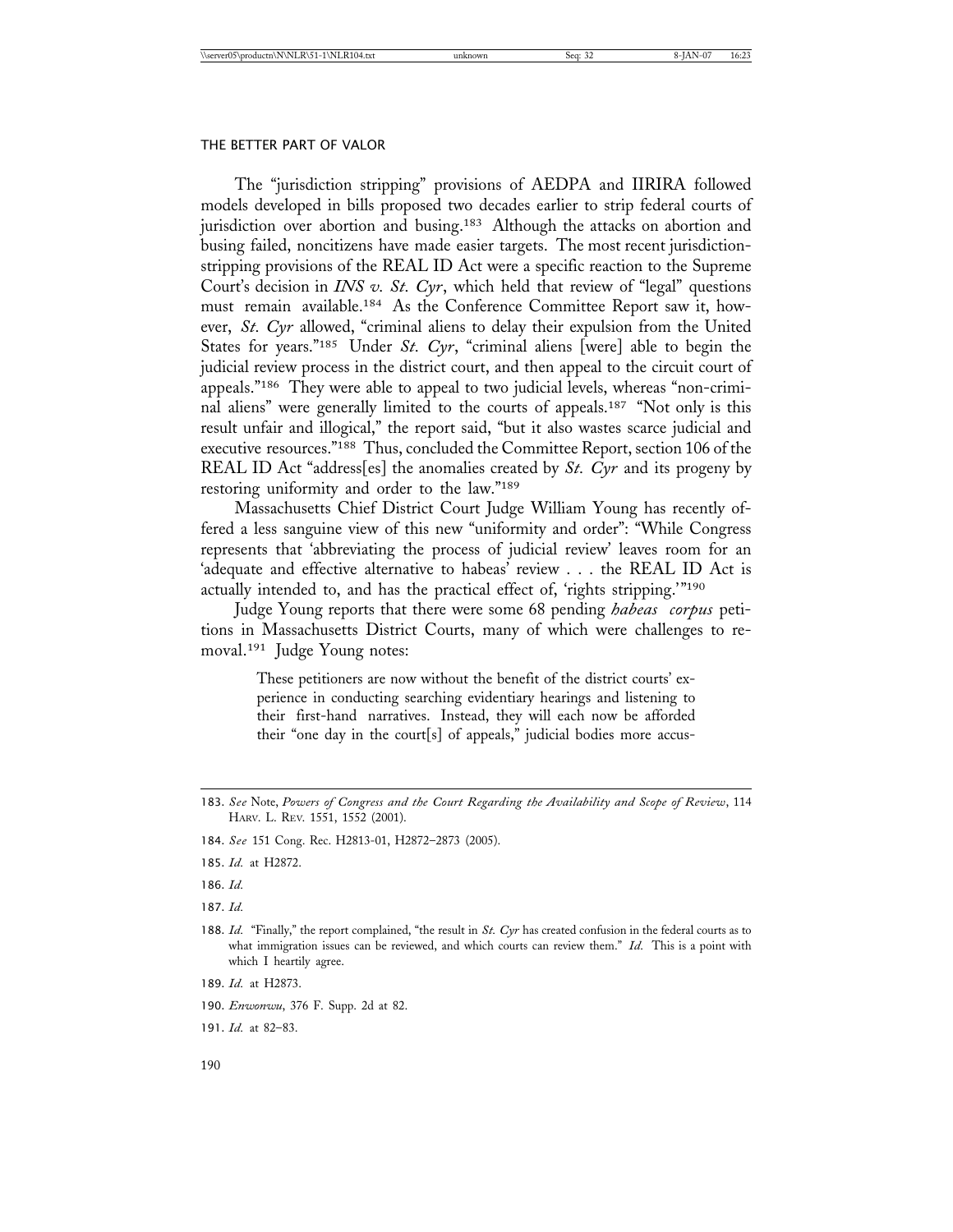The "jurisdiction stripping" provisions of AEDPA and IIRIRA followed models developed in bills proposed two decades earlier to strip federal courts of jurisdiction over abortion and busing.<sup>183</sup> Although the attacks on abortion and busing failed, noncitizens have made easier targets. The most recent jurisdictionstripping provisions of the REAL ID Act were a specific reaction to the Supreme Court's decision in *INS v. St. Cyr*, which held that review of "legal" questions must remain available.184 As the Conference Committee Report saw it, however, *St. Cyr* allowed, "criminal aliens to delay their expulsion from the United States for years."185 Under *St. Cyr*, "criminal aliens [were] able to begin the judicial review process in the district court, and then appeal to the circuit court of appeals."186 They were able to appeal to two judicial levels, whereas "non-criminal aliens" were generally limited to the courts of appeals.187 "Not only is this result unfair and illogical," the report said, "but it also wastes scarce judicial and executive resources."188 Thus, concluded the Committee Report, section 106 of the REAL ID Act "address[es] the anomalies created by *St. Cyr* and its progeny by restoring uniformity and order to the law."189

Massachusetts Chief District Court Judge William Young has recently offered a less sanguine view of this new "uniformity and order": "While Congress represents that 'abbreviating the process of judicial review' leaves room for an 'adequate and effective alternative to habeas' review . . . the REAL ID Act is actually intended to, and has the practical effect of, 'rights stripping.'"<sup>190</sup>

Judge Young reports that there were some 68 pending *habeas corpus* petitions in Massachusetts District Courts, many of which were challenges to removal.191 Judge Young notes:

> These petitioners are now without the benefit of the district courts' experience in conducting searching evidentiary hearings and listening to their first-hand narratives. Instead, they will each now be afforded their "one day in the court[s] of appeals," judicial bodies more accus-

187. *Id.*

- 189. *Id.* at H2873.
- 190. *Enwonwu*, 376 F. Supp. 2d at 82.
- 191. *Id.* at 82–83.

<sup>183.</sup> *See* Note, *Powers of Congress and the Court Regarding the Availability and Scope of Review*, 114 HARV. L. REV. 1551, 1552 (2001).

<sup>184.</sup> *See* 151 Cong. Rec. H2813-01, H2872–2873 (2005).

<sup>185.</sup> *Id.* at H2872.

<sup>186.</sup> *Id.*

<sup>188.</sup> *Id.* "Finally," the report complained, "the result in *St. Cyr* has created confusion in the federal courts as to what immigration issues can be reviewed, and which courts can review them." *Id.* This is a point with which I heartily agree.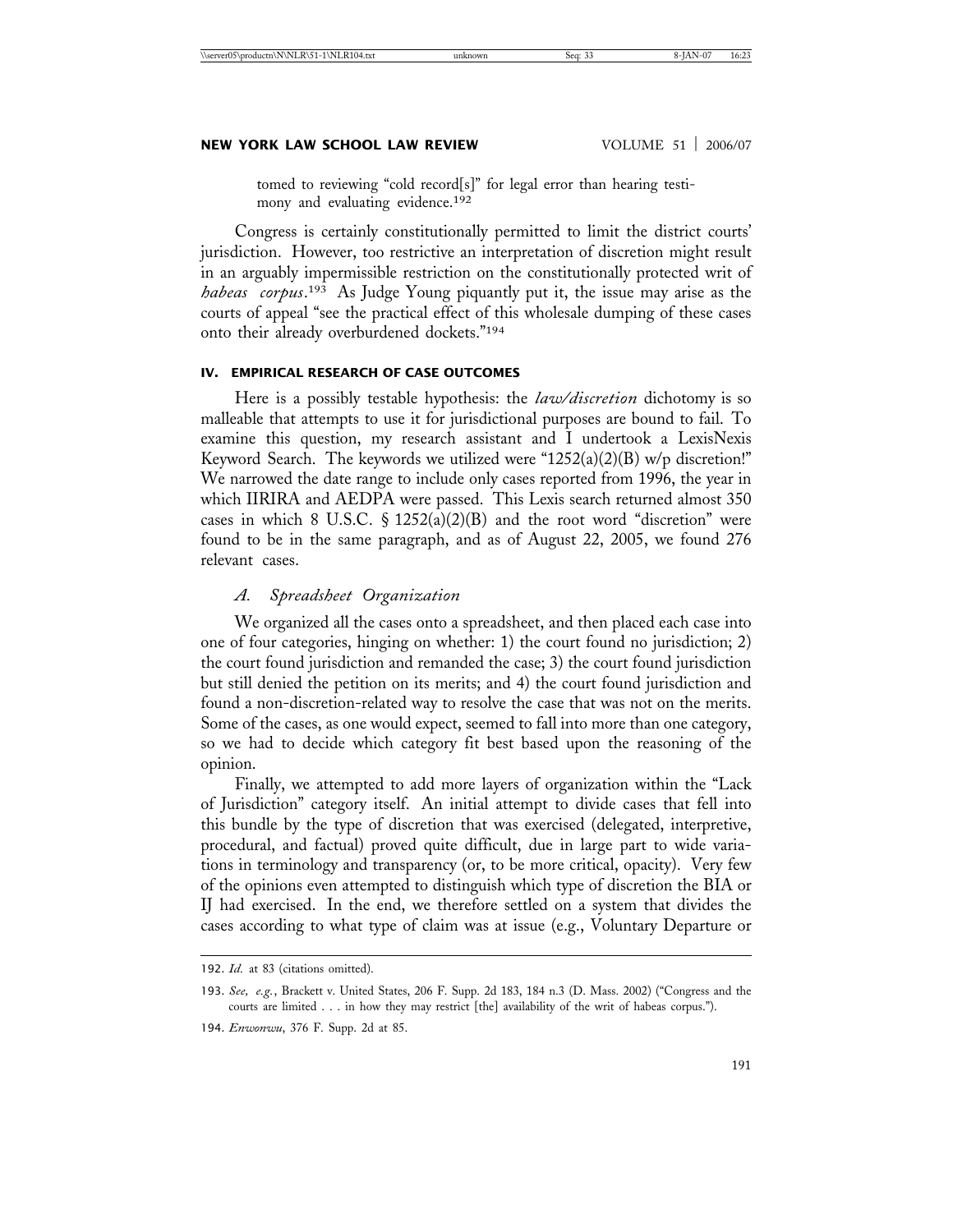tomed to reviewing "cold record[s]" for legal error than hearing testimony and evaluating evidence.<sup>192</sup>

Congress is certainly constitutionally permitted to limit the district courts' jurisdiction. However, too restrictive an interpretation of discretion might result in an arguably impermissible restriction on the constitutionally protected writ of *habeas corpus*. 193 As Judge Young piquantly put it, the issue may arise as the courts of appeal "see the practical effect of this wholesale dumping of these cases onto their already overburdened dockets."194

### **IV. EMPIRICAL RESEARCH OF CASE OUTCOMES**

Here is a possibly testable hypothesis: the *law/discretion* dichotomy is so malleable that attempts to use it for jurisdictional purposes are bound to fail. To examine this question, my research assistant and I undertook a LexisNexis Keyword Search. The keywords we utilized were "1252(a)(2)(B) w/p discretion!" We narrowed the date range to include only cases reported from 1996, the year in which IIRIRA and AEDPA were passed. This Lexis search returned almost 350 cases in which 8 U.S.C.  $\S$  1252(a)(2)(B) and the root word "discretion" were found to be in the same paragraph, and as of August 22, 2005, we found 276 relevant cases.

# *A. Spreadsheet Organization*

We organized all the cases onto a spreadsheet, and then placed each case into one of four categories, hinging on whether: 1) the court found no jurisdiction; 2) the court found jurisdiction and remanded the case; 3) the court found jurisdiction but still denied the petition on its merits; and 4) the court found jurisdiction and found a non-discretion-related way to resolve the case that was not on the merits. Some of the cases, as one would expect, seemed to fall into more than one category, so we had to decide which category fit best based upon the reasoning of the opinion.

Finally, we attempted to add more layers of organization within the "Lack of Jurisdiction" category itself. An initial attempt to divide cases that fell into this bundle by the type of discretion that was exercised (delegated, interpretive, procedural, and factual) proved quite difficult, due in large part to wide variations in terminology and transparency (or, to be more critical, opacity). Very few of the opinions even attempted to distinguish which type of discretion the BIA or IJ had exercised. In the end, we therefore settled on a system that divides the cases according to what type of claim was at issue (e.g., Voluntary Departure or

194. *Enwonwu*, 376 F. Supp. 2d at 85.

<sup>192.</sup> *Id.* at 83 (citations omitted).

<sup>193.</sup> *See, e.g.*, Brackett v. United States, 206 F. Supp. 2d 183, 184 n.3 (D. Mass. 2002) ("Congress and the courts are limited . . . in how they may restrict [the] availability of the writ of habeas corpus.").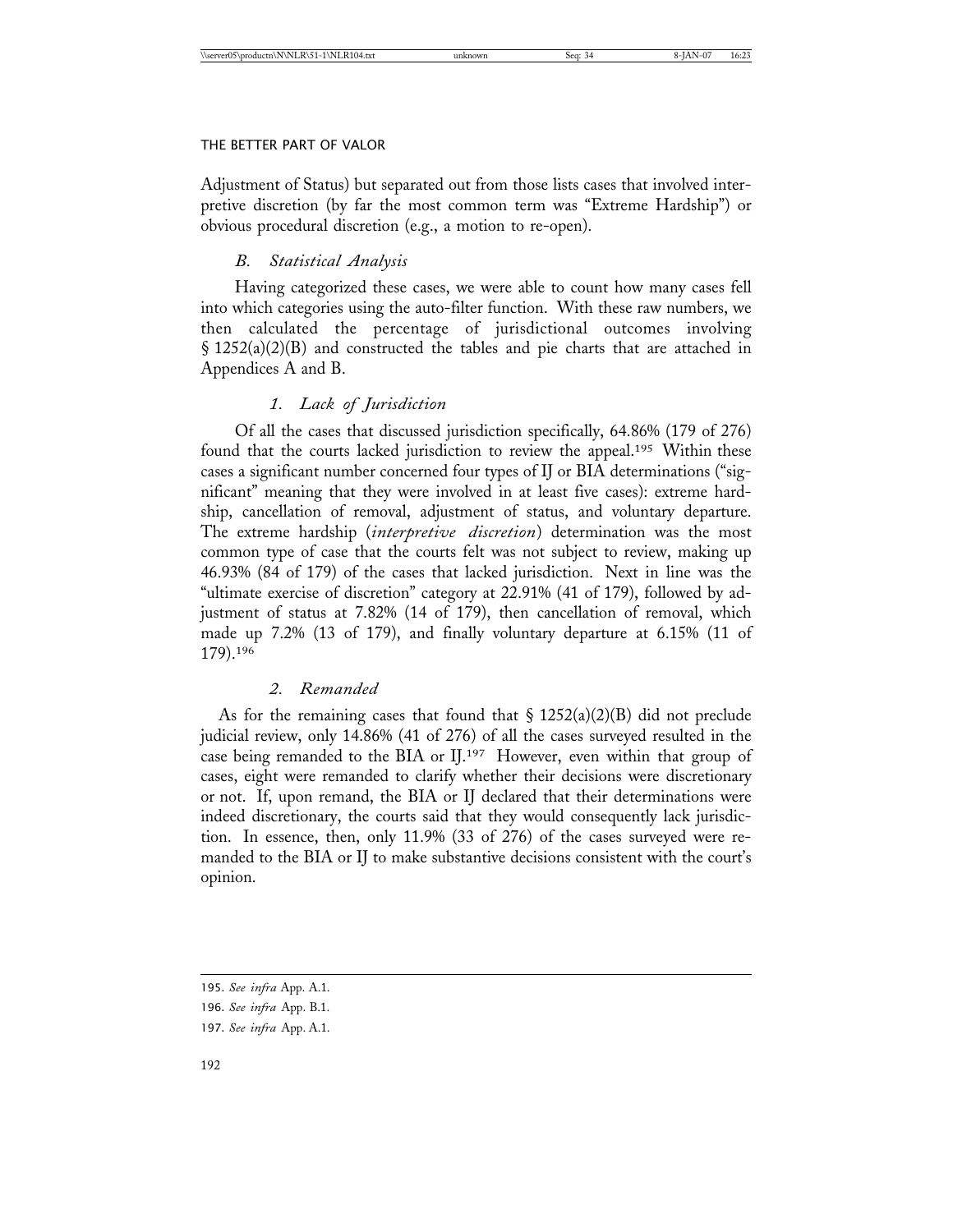Adjustment of Status) but separated out from those lists cases that involved interpretive discretion (by far the most common term was "Extreme Hardship") or obvious procedural discretion (e.g., a motion to re-open).

# *B. Statistical Analysis*

Having categorized these cases, we were able to count how many cases fell into which categories using the auto-filter function. With these raw numbers, we then calculated the percentage of jurisdictional outcomes involving § 1252(a)(2)(B) and constructed the tables and pie charts that are attached in Appendices A and B.

# *1. Lack of Jurisdiction*

Of all the cases that discussed jurisdiction specifically, 64.86% (179 of 276) found that the courts lacked jurisdiction to review the appeal.<sup>195</sup> Within these cases a significant number concerned four types of IJ or BIA determinations ("significant" meaning that they were involved in at least five cases): extreme hardship, cancellation of removal, adjustment of status, and voluntary departure. The extreme hardship (*interpretive discretion*) determination was the most common type of case that the courts felt was not subject to review, making up 46.93% (84 of 179) of the cases that lacked jurisdiction. Next in line was the "ultimate exercise of discretion" category at 22.91% (41 of 179), followed by adjustment of status at 7.82% (14 of 179), then cancellation of removal, which made up 7.2% (13 of 179), and finally voluntary departure at 6.15% (11 of 179).196

# *2. Remanded*

As for the remaining cases that found that  $\S 1252(a)(2)(B)$  did not preclude judicial review, only 14.86% (41 of 276) of all the cases surveyed resulted in the case being remanded to the BIA or IJ.197 However, even within that group of cases, eight were remanded to clarify whether their decisions were discretionary or not. If, upon remand, the BIA or IJ declared that their determinations were indeed discretionary, the courts said that they would consequently lack jurisdiction. In essence, then, only 11.9% (33 of 276) of the cases surveyed were remanded to the BIA or IJ to make substantive decisions consistent with the court's opinion.

<sup>195.</sup> *See infra* App. A.1.

<sup>196.</sup> *See infra* App. B.1.

<sup>197.</sup> *See infra* App. A.1.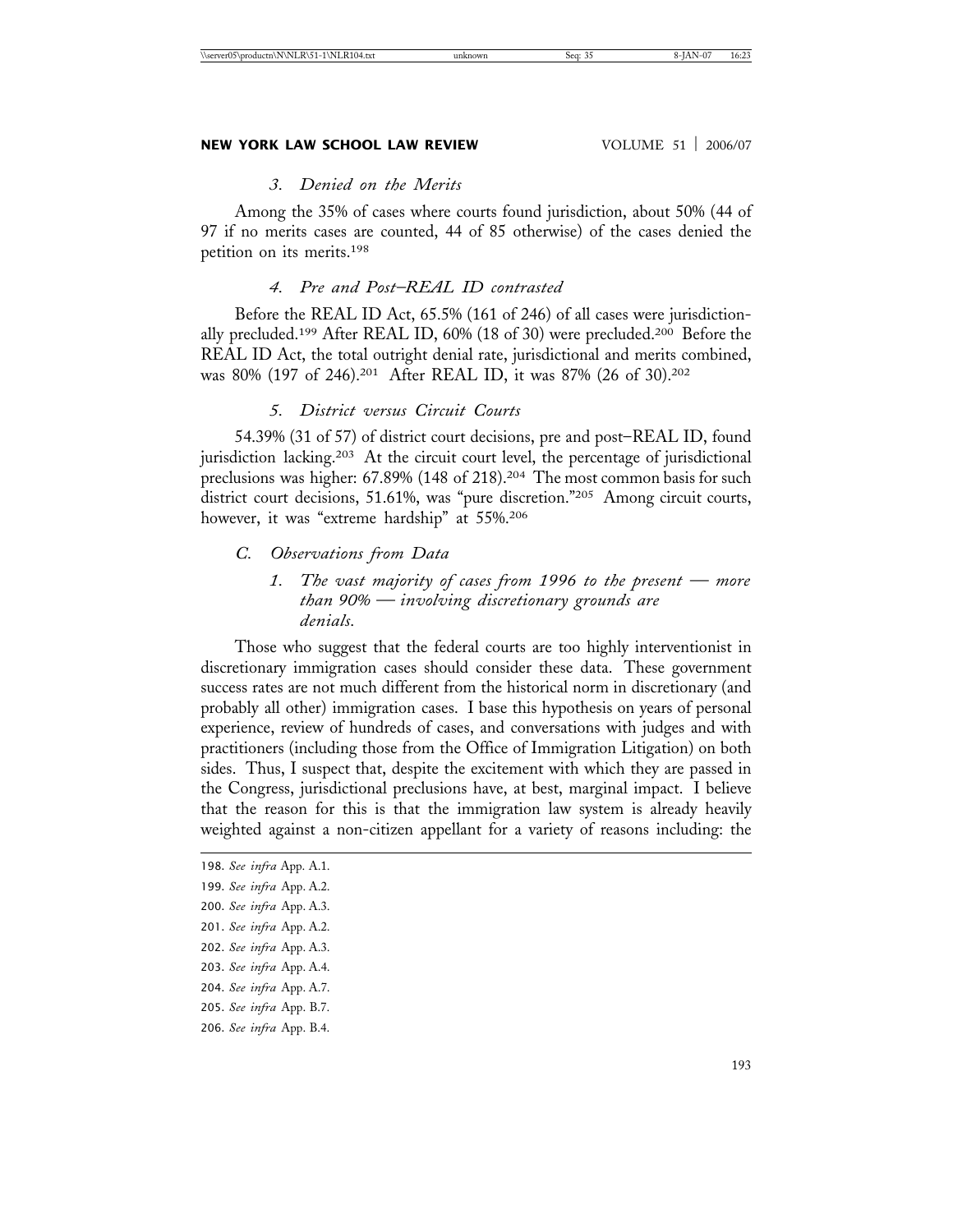# *3. Denied on the Merits*

Among the 35% of cases where courts found jurisdiction, about 50% (44 of 97 if no merits cases are counted, 44 of 85 otherwise) of the cases denied the petition on its merits.198

# *4. Pre and Post–REAL ID contrasted*

Before the REAL ID Act, 65.5% (161 of 246) of all cases were jurisdictionally precluded.199 After REAL ID, 60% (18 of 30) were precluded.200 Before the REAL ID Act, the total outright denial rate, jurisdictional and merits combined, was 80% (197 of 246).201 After REAL ID, it was 87% (26 of 30).202

### *5. District versus Circuit Courts*

54.39% (31 of 57) of district court decisions, pre and post–REAL ID, found jurisdiction lacking.203 At the circuit court level, the percentage of jurisdictional preclusions was higher: 67.89% (148 of 218).<sup>204</sup> The most common basis for such district court decisions, 51.61%, was "pure discretion."205 Among circuit courts, however, it was "extreme hardship" at 55%.206

# *C. Observations from Data*

*1. The vast majority of cases from 1996 to the present — more than 90% — involving discretionary grounds are denials.*

Those who suggest that the federal courts are too highly interventionist in discretionary immigration cases should consider these data. These government success rates are not much different from the historical norm in discretionary (and probably all other) immigration cases. I base this hypothesis on years of personal experience, review of hundreds of cases, and conversations with judges and with practitioners (including those from the Office of Immigration Litigation) on both sides. Thus, I suspect that, despite the excitement with which they are passed in the Congress, jurisdictional preclusions have, at best, marginal impact. I believe that the reason for this is that the immigration law system is already heavily weighted against a non-citizen appellant for a variety of reasons including: the

- 204. *See infra* App. A.7.
- 205. *See infra* App. B.7.
- 206. *See infra* App. B.4.

<sup>198.</sup> *See infra* App. A.1.

<sup>199.</sup> *See infra* App. A.2.

<sup>200.</sup> *See infra* App. A.3.

<sup>201.</sup> *See infra* App. A.2.

<sup>202.</sup> *See infra* App. A.3.

<sup>203.</sup> *See infra* App. A.4.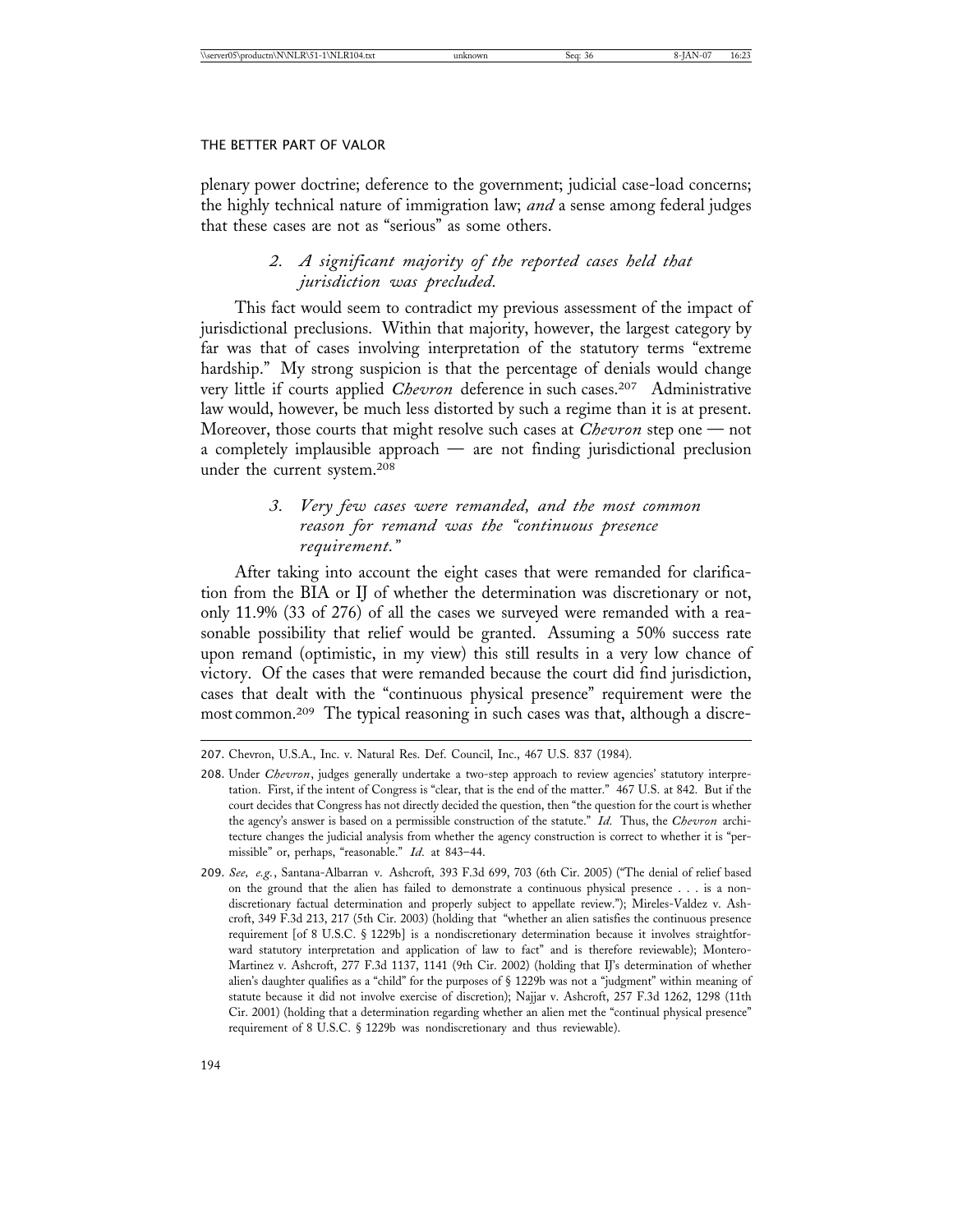plenary power doctrine; deference to the government; judicial case-load concerns; the highly technical nature of immigration law; *and* a sense among federal judges that these cases are not as "serious" as some others.

# *2. A significant majority of the reported cases held that jurisdiction was precluded.*

This fact would seem to contradict my previous assessment of the impact of jurisdictional preclusions. Within that majority, however, the largest category by far was that of cases involving interpretation of the statutory terms "extreme hardship." My strong suspicion is that the percentage of denials would change very little if courts applied *Chevron* deference in such cases.207 Administrative law would, however, be much less distorted by such a regime than it is at present. Moreover, those courts that might resolve such cases at *Chevron* step one — not a completely implausible approach — are not finding jurisdictional preclusion under the current system.208

# *3. Very few cases were remanded, and the most common reason for remand was the "continuous presence requirement."*

After taking into account the eight cases that were remanded for clarification from the BIA or IJ of whether the determination was discretionary or not, only 11.9% (33 of 276) of all the cases we surveyed were remanded with a reasonable possibility that relief would be granted. Assuming a 50% success rate upon remand (optimistic, in my view) this still results in a very low chance of victory. Of the cases that were remanded because the court did find jurisdiction, cases that dealt with the "continuous physical presence" requirement were the most common.209 The typical reasoning in such cases was that, although a discre-

<sup>207.</sup> Chevron, U.S.A., Inc. v. Natural Res. Def. Council, Inc., 467 U.S. 837 (1984).

<sup>208.</sup> Under *Chevron*, judges generally undertake a two-step approach to review agencies' statutory interpretation. First, if the intent of Congress is "clear, that is the end of the matter." 467 U.S. at 842. But if the court decides that Congress has not directly decided the question, then "the question for the court is whether the agency's answer is based on a permissible construction of the statute." *Id.* Thus, the *Chevron* architecture changes the judicial analysis from whether the agency construction is correct to whether it is "permissible" or, perhaps, "reasonable." *Id.* at 843–44.

<sup>209.</sup> *See, e.g.*, Santana-Albarran v. Ashcroft*,* 393 F.3d 699, 703 (6th Cir. 2005) ("The denial of relief based on the ground that the alien has failed to demonstrate a continuous physical presence . . . is a nondiscretionary factual determination and properly subject to appellate review."); Mireles-Valdez v. Ashcroft, 349 F.3d 213, 217 (5th Cir. 2003) (holding that "whether an alien satisfies the continuous presence requirement [of 8 U.S.C. § 1229b] is a nondiscretionary determination because it involves straightforward statutory interpretation and application of law to fact" and is therefore reviewable); Montero-Martinez v. Ashcroft, 277 F.3d 1137, 1141 (9th Cir. 2002) (holding that IJ's determination of whether alien's daughter qualifies as a "child" for the purposes of § 1229b was not a "judgment" within meaning of statute because it did not involve exercise of discretion); Najjar v. Ashcroft, 257 F.3d 1262, 1298 (11th Cir. 2001) (holding that a determination regarding whether an alien met the "continual physical presence" requirement of 8 U.S.C. § 1229b was nondiscretionary and thus reviewable).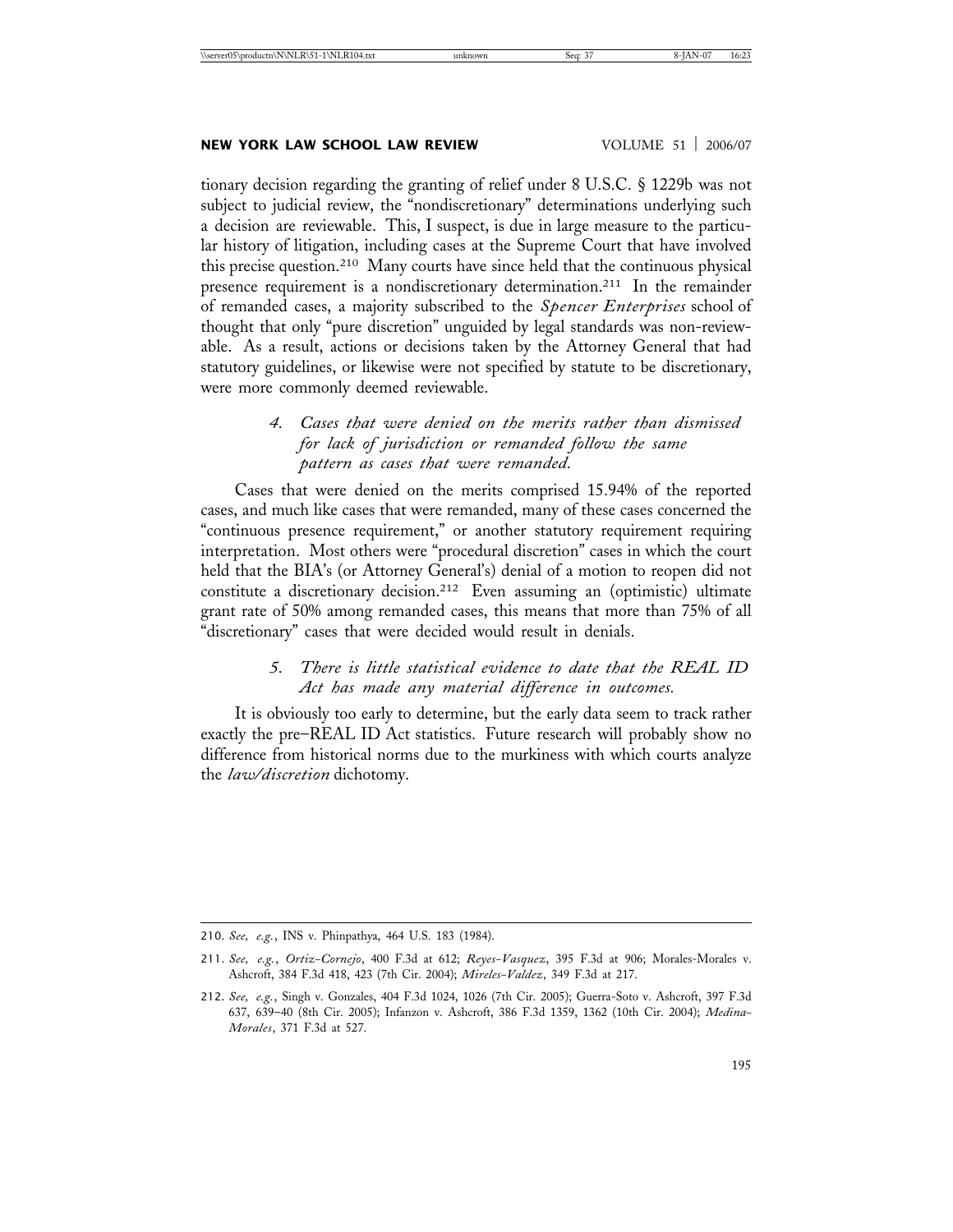# **NEW YORK LAW SCHOOL LAW REVIEW WOLUME 51 | 2006/07**

tionary decision regarding the granting of relief under 8 U.S.C. § 1229b was not subject to judicial review, the "nondiscretionary" determinations underlying such a decision are reviewable. This, I suspect, is due in large measure to the particular history of litigation, including cases at the Supreme Court that have involved this precise question.210 Many courts have since held that the continuous physical presence requirement is a nondiscretionary determination.211 In the remainder of remanded cases, a majority subscribed to the *Spencer Enterprises* school of thought that only "pure discretion" unguided by legal standards was non-reviewable. As a result, actions or decisions taken by the Attorney General that had statutory guidelines, or likewise were not specified by statute to be discretionary, were more commonly deemed reviewable.

# *4. Cases that were denied on the merits rather than dismissed for lack of jurisdiction or remanded follow the same pattern as cases that were remanded.*

Cases that were denied on the merits comprised 15.94% of the reported cases, and much like cases that were remanded, many of these cases concerned the "continuous presence requirement," or another statutory requirement requiring interpretation. Most others were "procedural discretion" cases in which the court held that the BIA's (or Attorney General's) denial of a motion to reopen did not constitute a discretionary decision.212 Even assuming an (optimistic) ultimate grant rate of 50% among remanded cases, this means that more than 75% of all "discretionary" cases that were decided would result in denials.

# *5. There is little statistical evidence to date that the REAL ID Act has made any material difference in outcomes.*

It is obviously too early to determine, but the early data seem to track rather exactly the pre–REAL ID Act statistics. Future research will probably show no difference from historical norms due to the murkiness with which courts analyze the *law/discretion* dichotomy.

210. *See, e.g.*, INS v. Phinpathya, 464 U.S. 183 (1984).

<sup>211.</sup> *See, e.g.*, *Ortiz-Cornejo*, 400 F.3d at 612; *Reyes-Vasquez*, 395 F.3d at 906; Morales-Morales v. Ashcroft, 384 F.3d 418, 423 (7th Cir. 2004); *Mireles-Valdez*, 349 F.3d at 217.

<sup>212.</sup> *See, e.g.*, Singh v. Gonzales, 404 F.3d 1024, 1026 (7th Cir. 2005); Guerra-Soto v. Ashcroft, 397 F.3d 637, 639–40 (8th Cir. 2005); Infanzon v. Ashcroft, 386 F.3d 1359, 1362 (10th Cir. 2004); *Medina-Morales*, 371 F.3d at 527.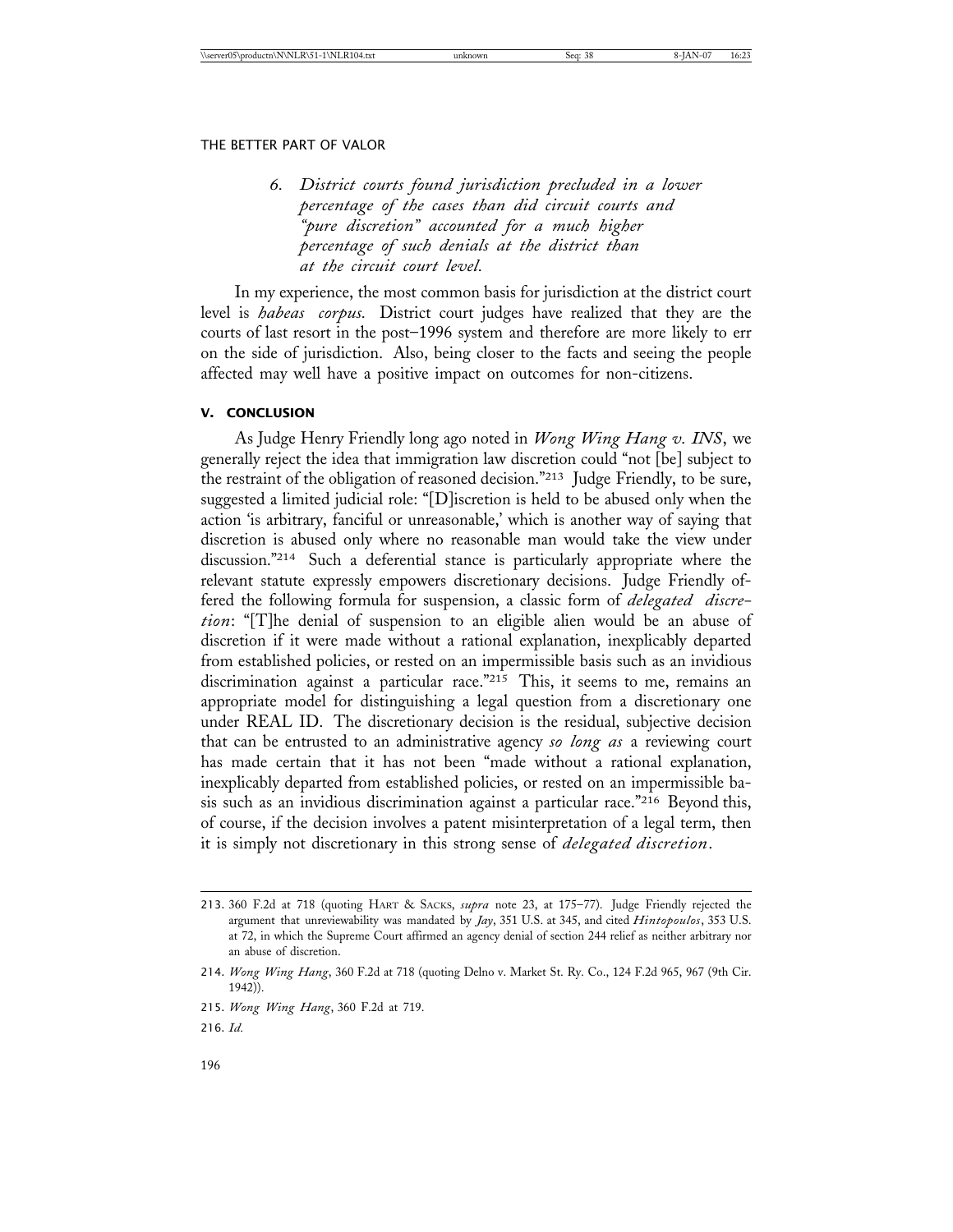*6. District courts found jurisdiction precluded in a lower percentage of the cases than did circuit courts and "pure discretion" accounted for a much higher percentage of such denials at the district than at the circuit court level.*

In my experience, the most common basis for jurisdiction at the district court level is *habeas corpus.* District court judges have realized that they are the courts of last resort in the post–1996 system and therefore are more likely to err on the side of jurisdiction. Also, being closer to the facts and seeing the people affected may well have a positive impact on outcomes for non-citizens.

# **V. CONCLUSION**

As Judge Henry Friendly long ago noted in *Wong Wing Hang v. INS*, we generally reject the idea that immigration law discretion could "not [be] subject to the restraint of the obligation of reasoned decision."213 Judge Friendly, to be sure, suggested a limited judicial role: "[D]iscretion is held to be abused only when the action 'is arbitrary, fanciful or unreasonable,' which is another way of saying that discretion is abused only where no reasonable man would take the view under discussion."214 Such a deferential stance is particularly appropriate where the relevant statute expressly empowers discretionary decisions. Judge Friendly offered the following formula for suspension, a classic form of *delegated discretion*: "[T]he denial of suspension to an eligible alien would be an abuse of discretion if it were made without a rational explanation, inexplicably departed from established policies, or rested on an impermissible basis such as an invidious discrimination against a particular race."<sup>215</sup> This, it seems to me, remains an appropriate model for distinguishing a legal question from a discretionary one under REAL ID. The discretionary decision is the residual, subjective decision that can be entrusted to an administrative agency *so long as* a reviewing court has made certain that it has not been "made without a rational explanation, inexplicably departed from established policies, or rested on an impermissible basis such as an invidious discrimination against a particular race."216 Beyond this, of course, if the decision involves a patent misinterpretation of a legal term, then it is simply not discretionary in this strong sense of *delegated discretion*.

<sup>213.</sup> 360 F.2d at 718 (quoting HART & SACKS, *supra* note 23, at 175–77). Judge Friendly rejected the argument that unreviewability was mandated by *Jay*, 351 U.S. at 345, and cited *Hintopoulos*, 353 U.S. at 72, in which the Supreme Court affirmed an agency denial of section 244 relief as neither arbitrary nor an abuse of discretion.

<sup>214.</sup> *Wong Wing Hang*, 360 F.2d at 718 (quoting Delno v. Market St. Ry. Co., 124 F.2d 965, 967 (9th Cir. 1942)).

<sup>215.</sup> *Wong Wing Hang*, 360 F.2d at 719.

<sup>216.</sup> *Id.*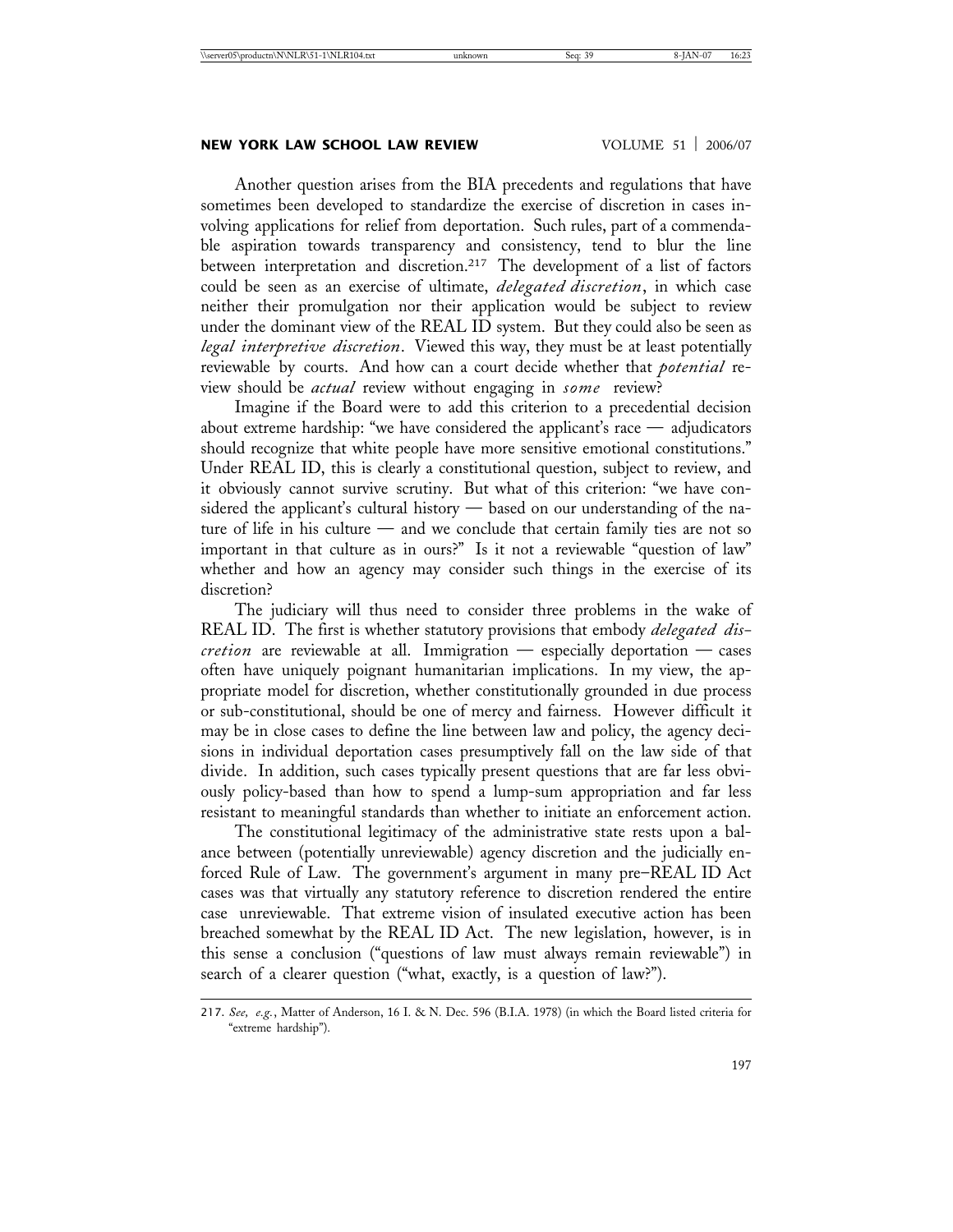# **NEW YORK LAW SCHOOL LAW REVIEW VOLUME 51 2006/07**

Another question arises from the BIA precedents and regulations that have sometimes been developed to standardize the exercise of discretion in cases involving applications for relief from deportation. Such rules, part of a commendable aspiration towards transparency and consistency, tend to blur the line between interpretation and discretion.217 The development of a list of factors could be seen as an exercise of ultimate, *delegated discretion*, in which case neither their promulgation nor their application would be subject to review under the dominant view of the REAL ID system. But they could also be seen as *legal interpretive discretion*. Viewed this way, they must be at least potentially reviewable by courts. And how can a court decide whether that *potential* review should be *actual* review without engaging in *some* review?

Imagine if the Board were to add this criterion to a precedential decision about extreme hardship: "we have considered the applicant's race — adjudicators should recognize that white people have more sensitive emotional constitutions." Under REAL ID, this is clearly a constitutional question, subject to review, and it obviously cannot survive scrutiny. But what of this criterion: "we have considered the applicant's cultural history — based on our understanding of the nature of life in his culture — and we conclude that certain family ties are not so important in that culture as in ours?" Is it not a reviewable "question of law" whether and how an agency may consider such things in the exercise of its discretion?

The judiciary will thus need to consider three problems in the wake of REAL ID. The first is whether statutory provisions that embody *delegated discretion* are reviewable at all. Immigration — especially deportation — cases often have uniquely poignant humanitarian implications. In my view, the appropriate model for discretion, whether constitutionally grounded in due process or sub-constitutional, should be one of mercy and fairness. However difficult it may be in close cases to define the line between law and policy, the agency decisions in individual deportation cases presumptively fall on the law side of that divide. In addition, such cases typically present questions that are far less obviously policy-based than how to spend a lump-sum appropriation and far less resistant to meaningful standards than whether to initiate an enforcement action.

The constitutional legitimacy of the administrative state rests upon a balance between (potentially unreviewable) agency discretion and the judicially enforced Rule of Law. The government's argument in many pre–REAL ID Act cases was that virtually any statutory reference to discretion rendered the entire case unreviewable. That extreme vision of insulated executive action has been breached somewhat by the REAL ID Act. The new legislation, however, is in this sense a conclusion ("questions of law must always remain reviewable") in search of a clearer question ("what, exactly, is a question of law?").

<sup>217.</sup> *See, e.g.*, Matter of Anderson, 16 I. & N. Dec. 596 (B.I.A. 1978) (in which the Board listed criteria for "extreme hardship").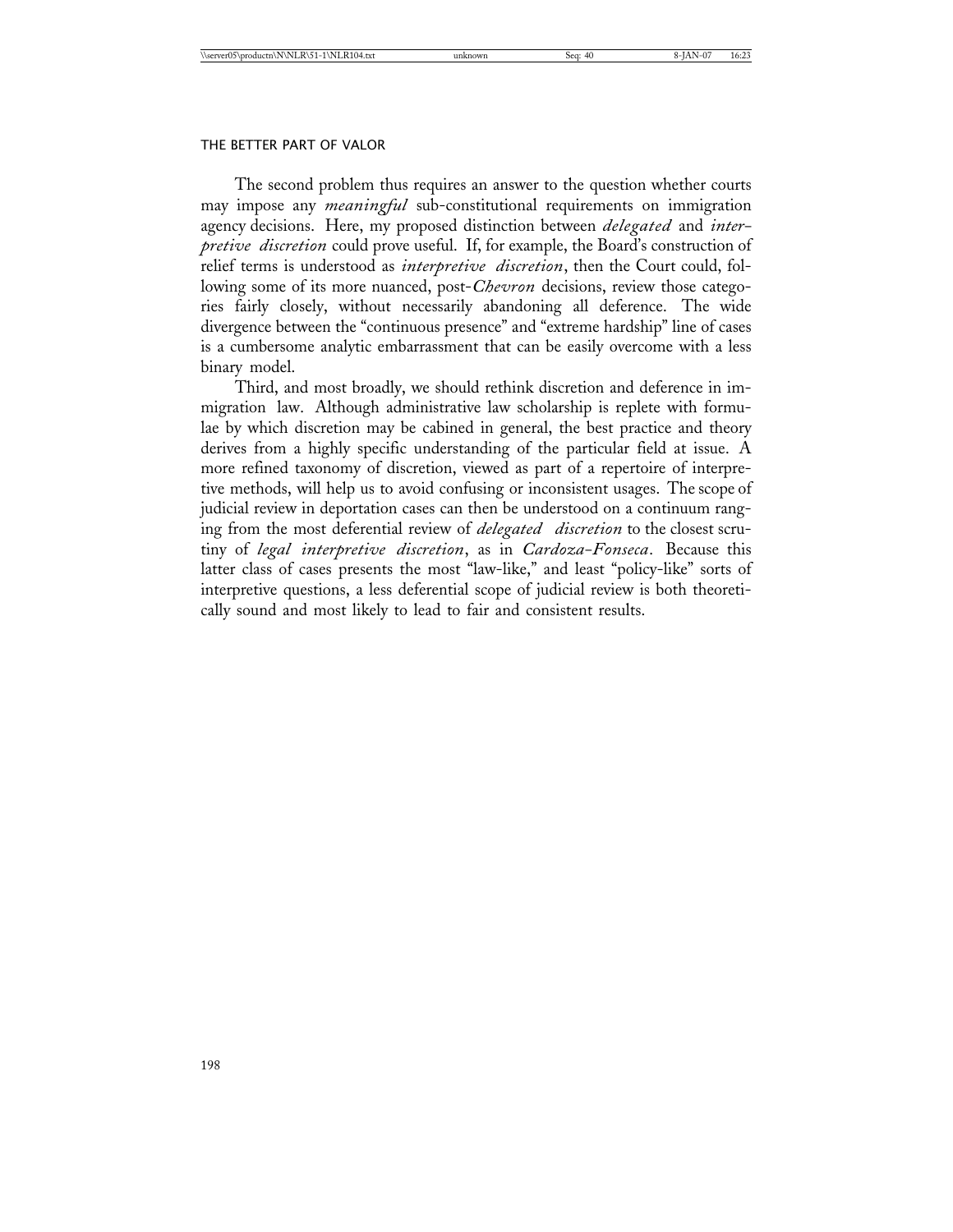The second problem thus requires an answer to the question whether courts may impose any *meaningful* sub-constitutional requirements on immigration agency decisions. Here, my proposed distinction between *delegated* and *interpretive discretion* could prove useful. If, for example, the Board's construction of relief terms is understood as *interpretive discretion*, then the Court could, following some of its more nuanced, post-*Chevron* decisions, review those categories fairly closely, without necessarily abandoning all deference. The wide divergence between the "continuous presence" and "extreme hardship" line of cases is a cumbersome analytic embarrassment that can be easily overcome with a less binary model.

Third, and most broadly, we should rethink discretion and deference in immigration law. Although administrative law scholarship is replete with formulae by which discretion may be cabined in general, the best practice and theory derives from a highly specific understanding of the particular field at issue. A more refined taxonomy of discretion, viewed as part of a repertoire of interpretive methods, will help us to avoid confusing or inconsistent usages. The scope of judicial review in deportation cases can then be understood on a continuum ranging from the most deferential review of *delegated discretion* to the closest scrutiny of *legal interpretive discretion*, as in *Cardoza-Fonseca*. Because this latter class of cases presents the most "law-like," and least "policy-like" sorts of interpretive questions, a less deferential scope of judicial review is both theoretically sound and most likely to lead to fair and consistent results.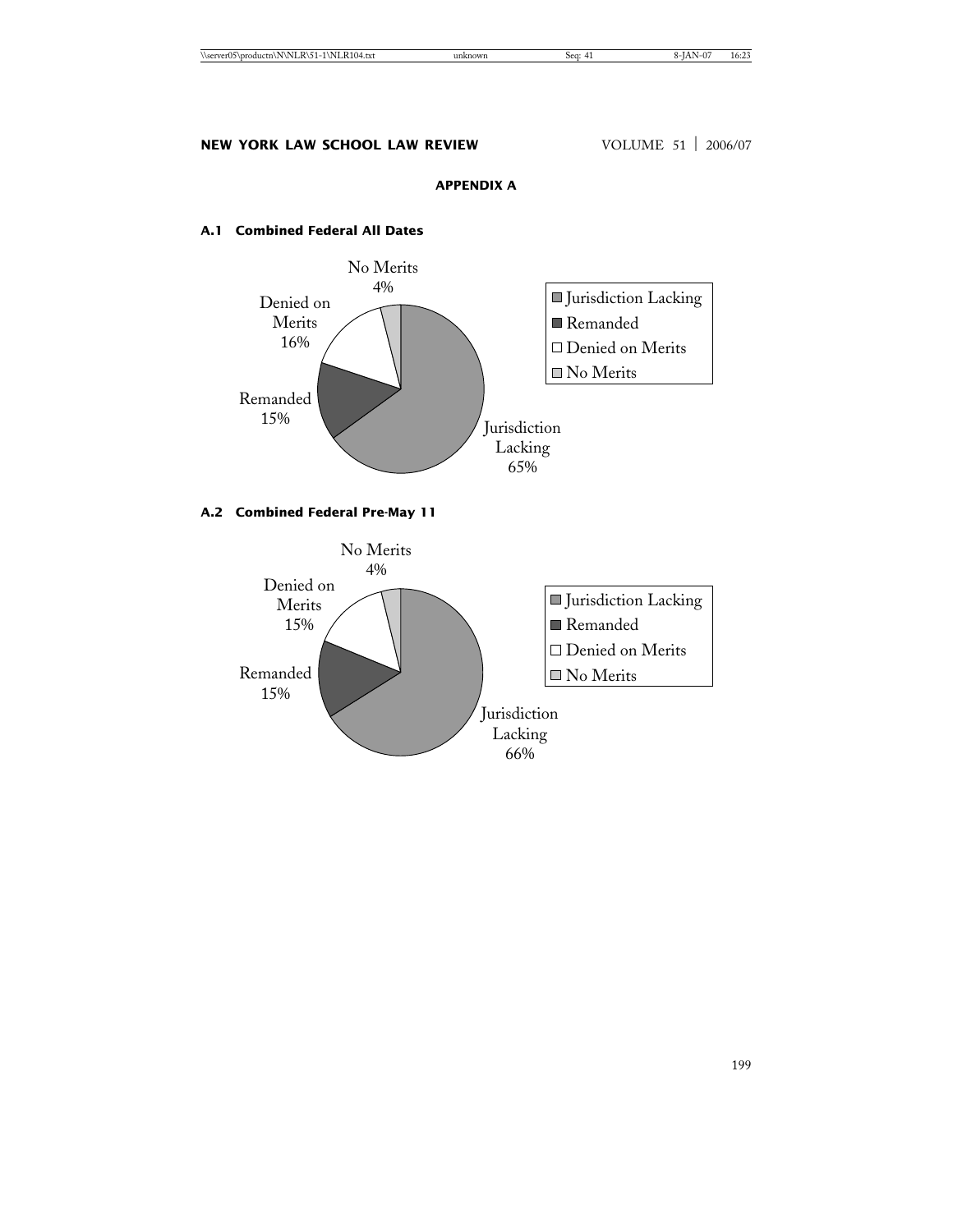# **APPENDIX A**

# **A.1 Combined Federal All Dates**



# **A.2 Combined Federal Pre-May 11**

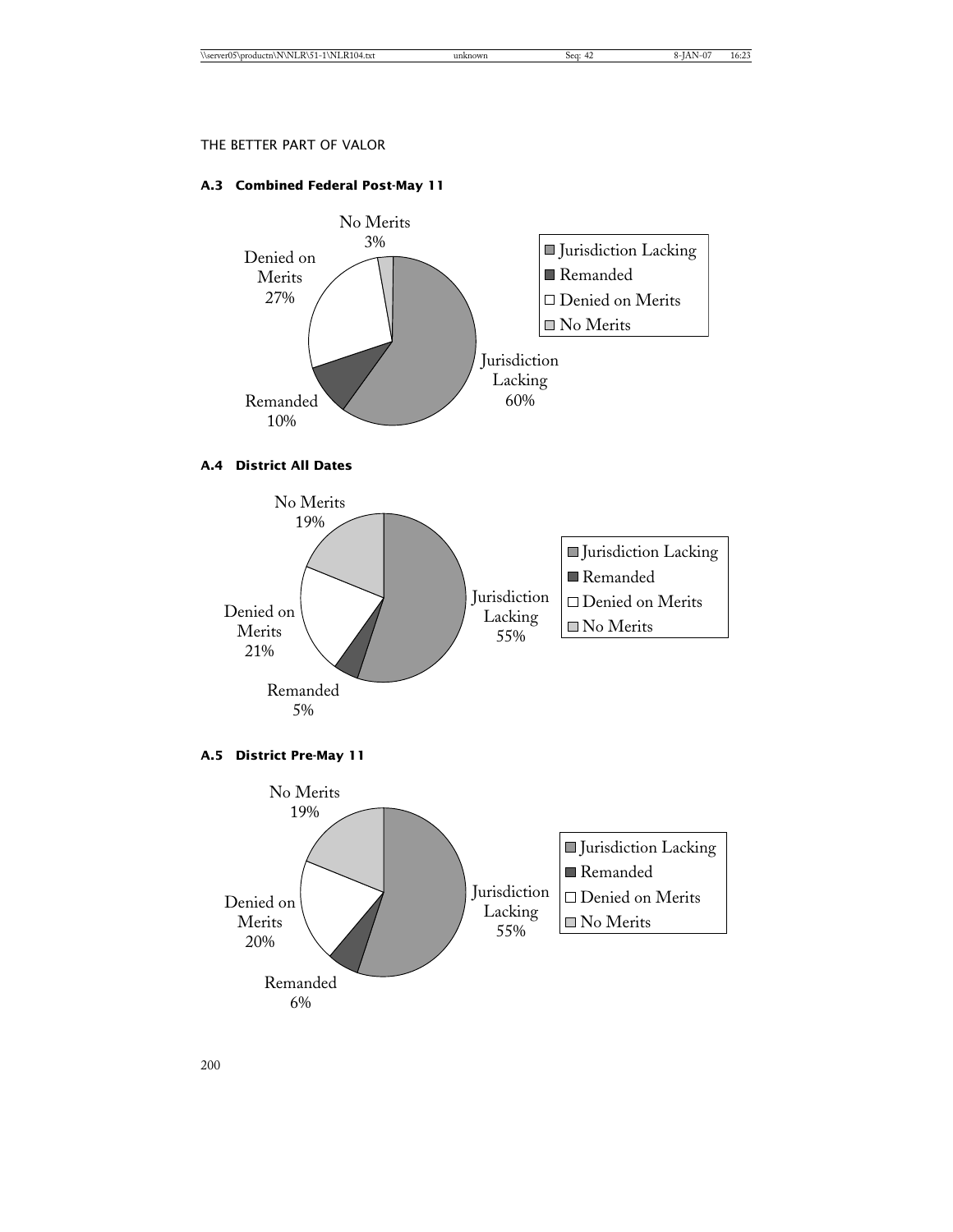# **A.3 Combined Federal Post-May 11**



# **A.4 District All Dates**



# **A.5 District Pre-May 11**

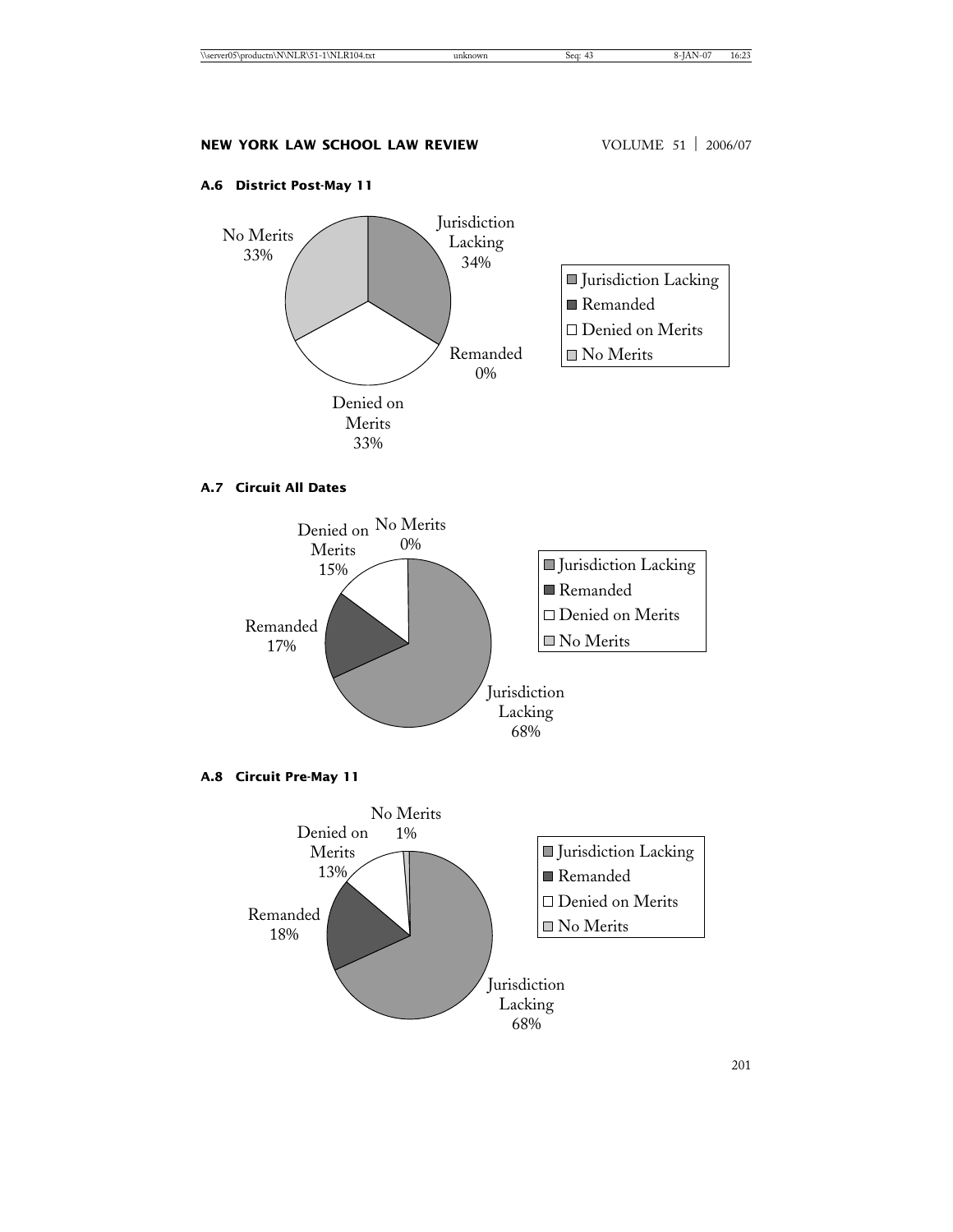# **A.6 District Post-May 11**



# **A.7 Circuit All Dates**



**A.8 Circuit Pre-May 11**

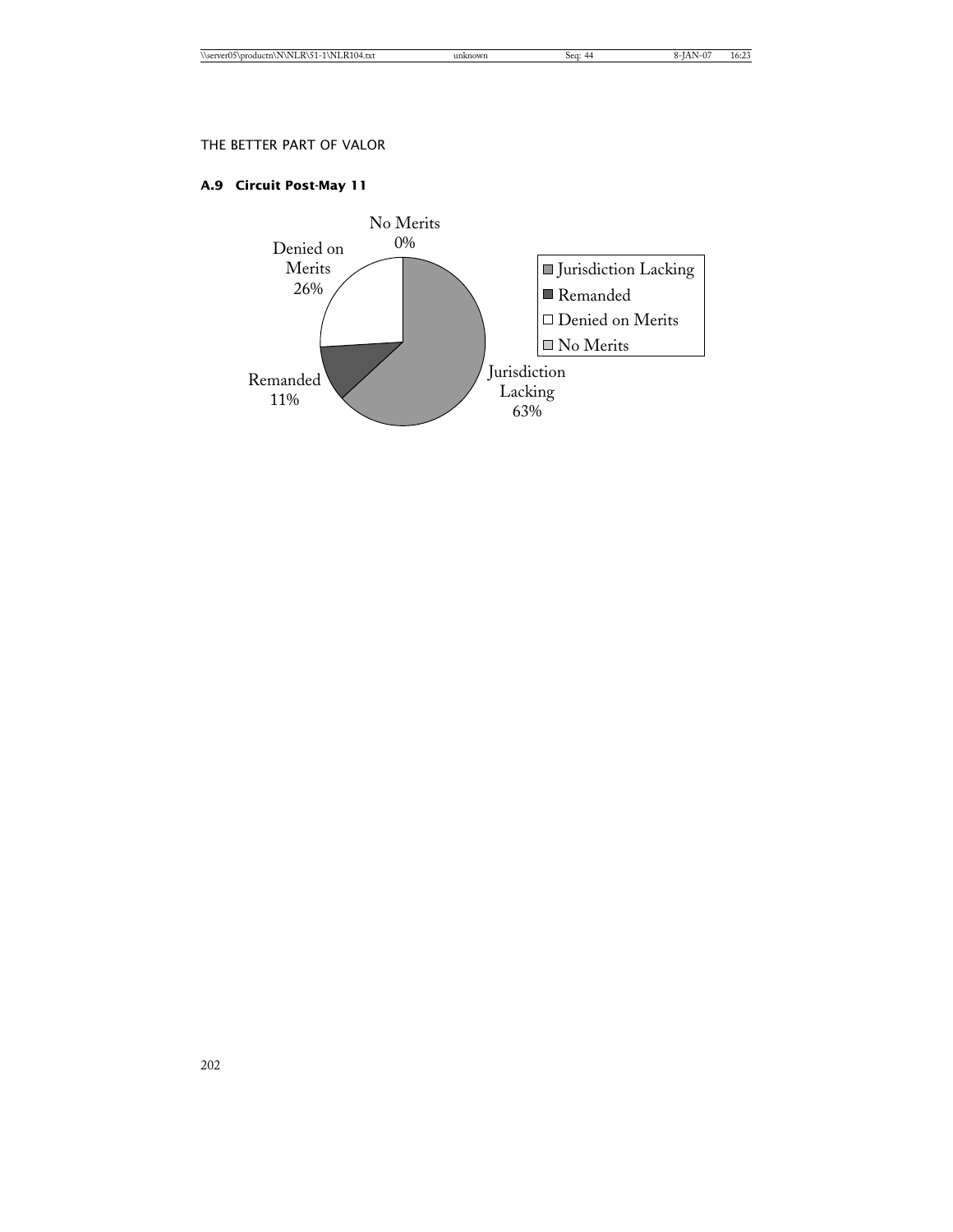# **A.9 Circuit Post-May 11**

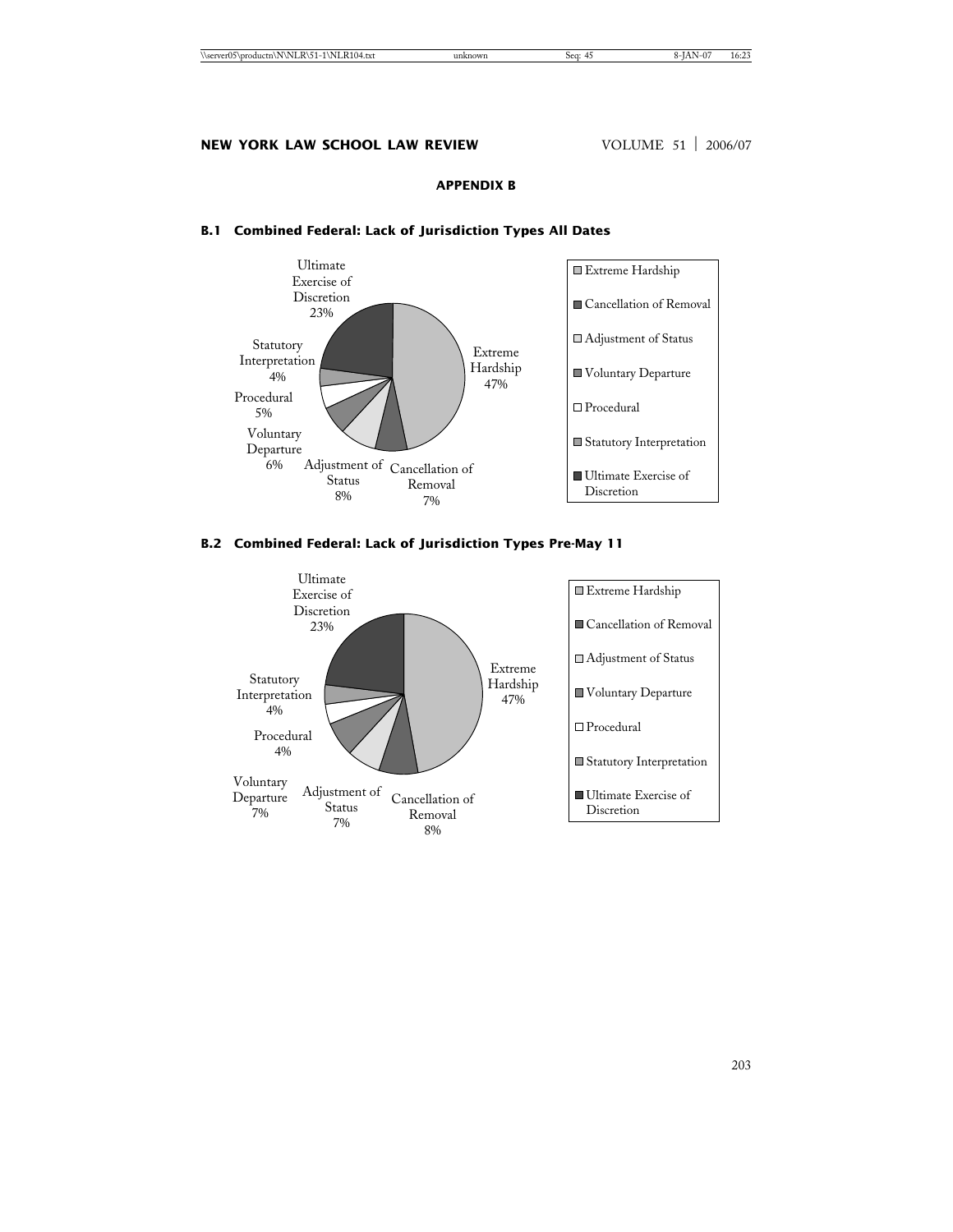# **APPENDIX B**



# **B.1 Combined Federal: Lack of Jurisdiction Types All Dates**

# **B.2 Combined Federal: Lack of Jurisdiction Types Pre-May 11**

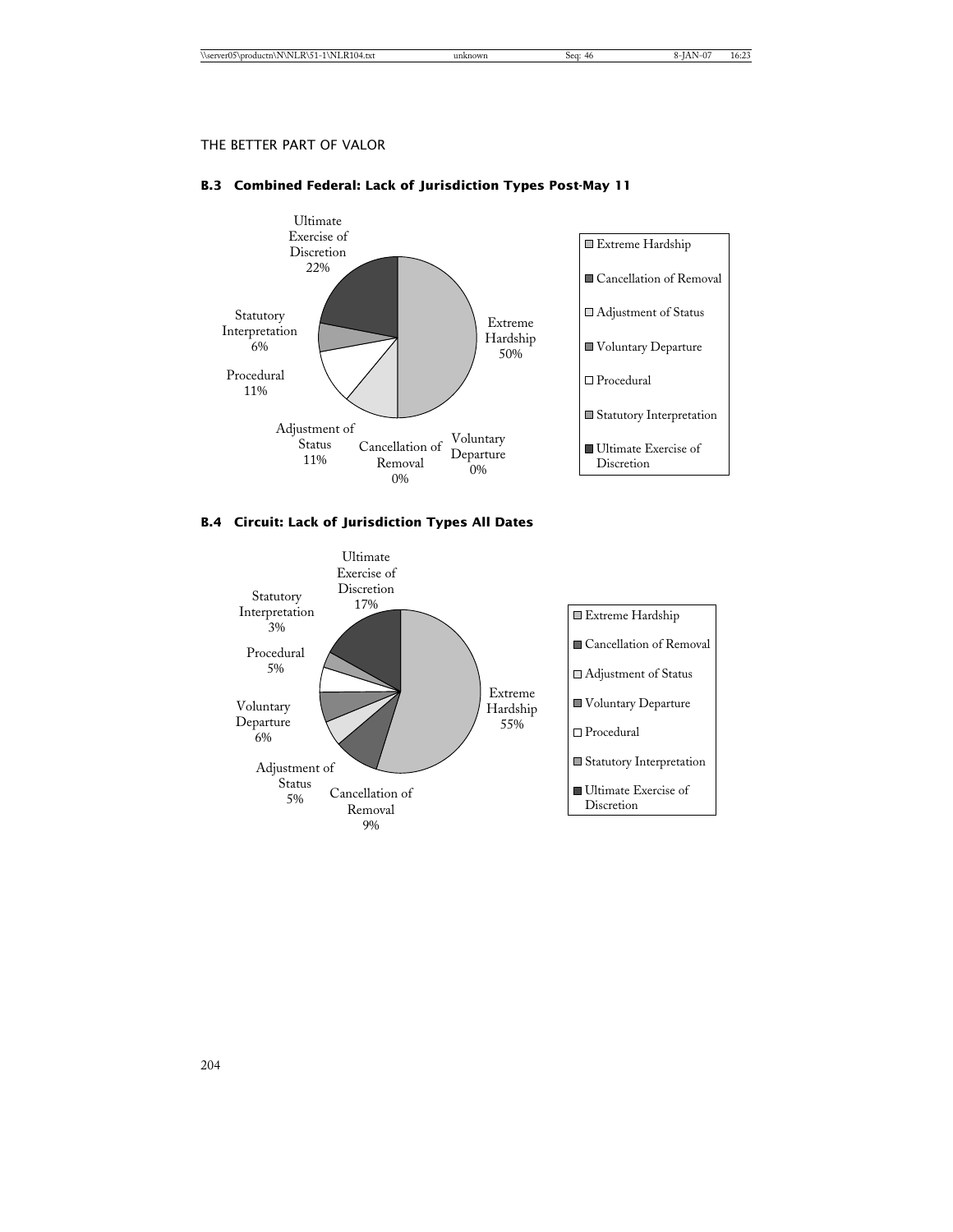# **B.3 Combined Federal: Lack of Jurisdiction Types Post-May 11**



# **B.4 Circuit: Lack of Jurisdiction Types All Dates**

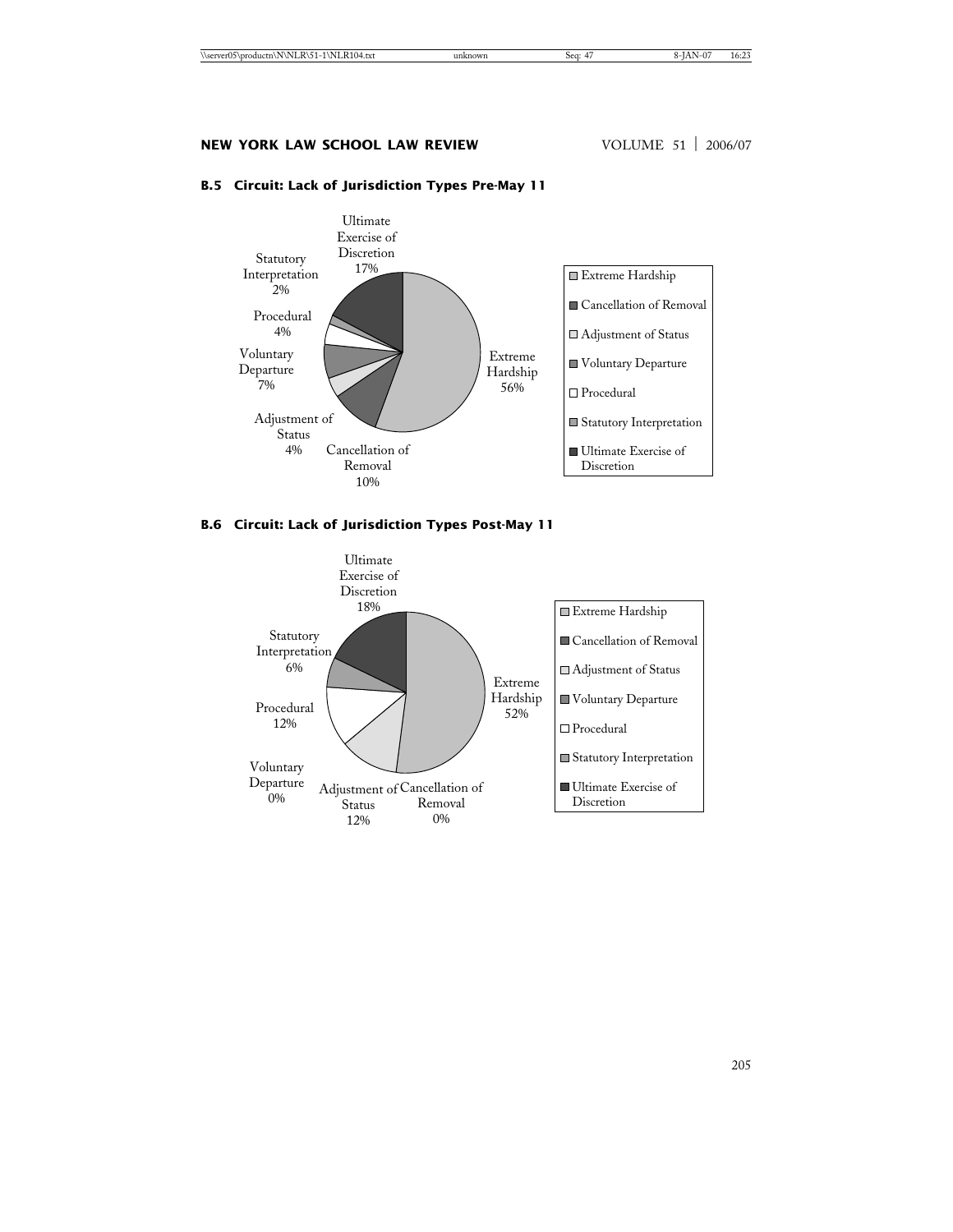# **B.5 Circuit: Lack of Jurisdiction Types Pre-May 11**



# **B.6 Circuit: Lack of Jurisdiction Types Post-May 11**